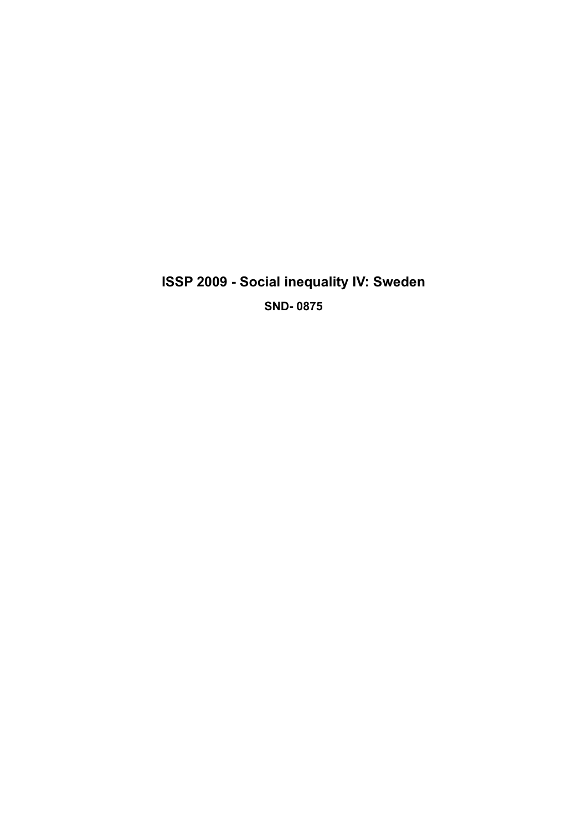**ISSP 2009 - Social inequality IV: Sweden SND- 0875**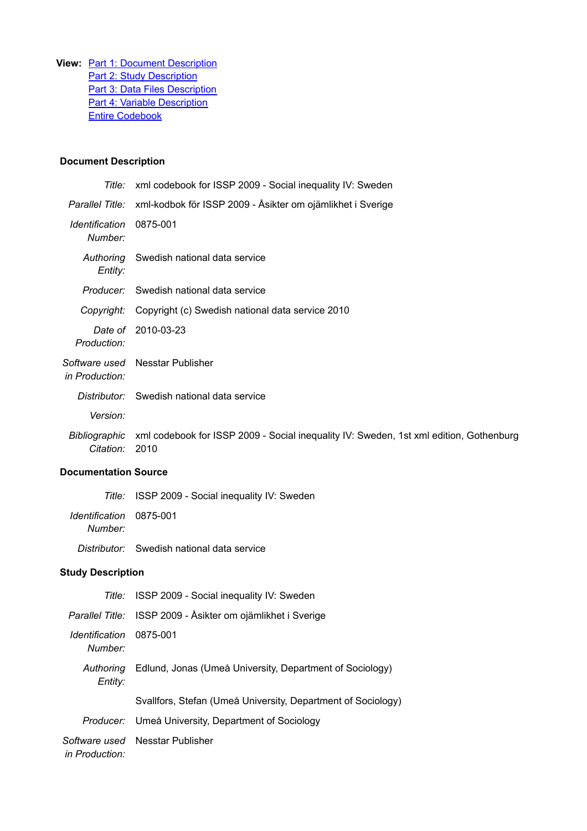**View:** Part 1: Document Description **Part 2: Study Description** Part 3: Data Files Description Part 4: Variable Description Entire Codebook

# **Document Description**

|                            | Title: xml codebook for ISSP 2009 - Social inequality IV: Sweden                               |
|----------------------------|------------------------------------------------------------------------------------------------|
|                            | Parallel Title: xml-kodbok för ISSP 2009 - Åsikter om ojämlikhet i Sverige                     |
| Identification<br>Number:  | 0875-001                                                                                       |
| Entity:                    | Authoring Swedish national data service                                                        |
|                            | <i>Producer:</i> Swedish national data service                                                 |
| Copyright:                 | Copyright (c) Swedish national data service 2010                                               |
| Production:                | Date of 2010-03-23                                                                             |
| in Production:             | Software used Nesstar Publisher                                                                |
|                            | Distributor: Swedish national data service                                                     |
| Version:                   |                                                                                                |
| Bibliographic<br>Citation: | xml codebook for ISSP 2009 - Social inequality IV: Sweden, 1st xml edition, Gothenburg<br>2010 |
|                            |                                                                                                |

# **Documentation Source**

|                                    | Title: ISSP 2009 - Social inequality IV: Sweden   |
|------------------------------------|---------------------------------------------------|
| Identification 0875-001<br>Number: |                                                   |
|                                    | <i>Distributor:</i> Swedish national data service |

# **Study Description**

|                                    | Title: ISSP 2009 - Social inequality IV: Sweden              |
|------------------------------------|--------------------------------------------------------------|
|                                    | Parallel Title: ISSP 2009 - Åsikter om ojämlikhet i Sverige  |
| Identification 0875-001<br>Number: |                                                              |
| Authorina<br>Entity:               | Edlund, Jonas (Umeå University, Department of Sociology)     |
|                                    | Svallfors, Stefan (Umeå University, Department of Sociology) |
|                                    | Producer: Umeå University, Department of Sociology           |
| in Production:                     | Software used Nesstar Publisher                              |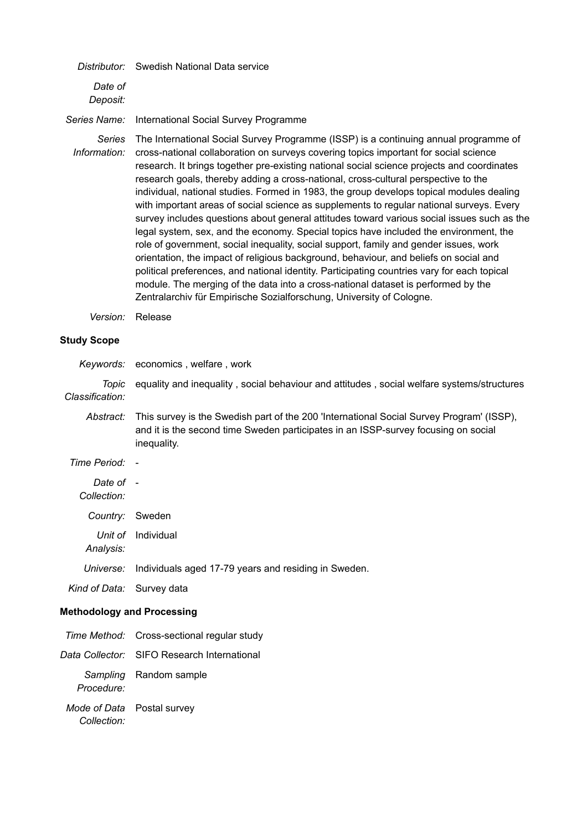|                               | Distributor: Swedish National Data service                                                                                                                                                                                                                                                                                                                                                                                                                                                                                                                                                                                                                                                                                                                                                                                               |
|-------------------------------|------------------------------------------------------------------------------------------------------------------------------------------------------------------------------------------------------------------------------------------------------------------------------------------------------------------------------------------------------------------------------------------------------------------------------------------------------------------------------------------------------------------------------------------------------------------------------------------------------------------------------------------------------------------------------------------------------------------------------------------------------------------------------------------------------------------------------------------|
| Date of<br>Deposit:           |                                                                                                                                                                                                                                                                                                                                                                                                                                                                                                                                                                                                                                                                                                                                                                                                                                          |
| Series Name:                  | International Social Survey Programme                                                                                                                                                                                                                                                                                                                                                                                                                                                                                                                                                                                                                                                                                                                                                                                                    |
| <b>Series</b><br>Information: | The International Social Survey Programme (ISSP) is a continuing annual programme of<br>cross-national collaboration on surveys covering topics important for social science<br>research. It brings together pre-existing national social science projects and coordinates<br>research goals, thereby adding a cross-national, cross-cultural perspective to the<br>individual, national studies. Formed in 1983, the group develops topical modules dealing<br>with important areas of social science as supplements to regular national surveys. Every<br>survey includes questions about general attitudes toward various social issues such as the<br>legal system, sex, and the economy. Special topics have included the environment, the<br>role of government, social inequality, social support, family and gender issues, work |

orientation, the impact of religious background, behaviour, and beliefs on social and political preferences, and national identity. Participating countries vary for each topical module. The merging of the data into a cross-national dataset is performed by the Zentralarchiv für Empirische Sozialforschung, University of Cologne.

*Version:* Release

# **Study Scope**

|                                   | Keywords: economics, welfare, work                                                                                                                                                            |
|-----------------------------------|-----------------------------------------------------------------------------------------------------------------------------------------------------------------------------------------------|
| Topic<br>Classification:          | equality and inequality, social behaviour and attitudes, social welfare systems/structures                                                                                                    |
| Abstract:                         | This survey is the Swedish part of the 200 'International Social Survey Program' (ISSP),<br>and it is the second time Sweden participates in an ISSP-survey focusing on social<br>inequality. |
| Time Period: -                    |                                                                                                                                                                                               |
| Date of -<br>Collection:          |                                                                                                                                                                                               |
| Country: Sweden                   |                                                                                                                                                                                               |
| Unit of<br>Analysis:              | Individual                                                                                                                                                                                    |
| Universe:                         | Individuals aged 17-79 years and residing in Sweden.                                                                                                                                          |
| Kind of Data: Survey data         |                                                                                                                                                                                               |
| <b>Methodology and Processing</b> |                                                                                                                                                                                               |
|                                   | Time Method: Cross-sectional regular study                                                                                                                                                    |
|                                   | Data Collector: SIFO Research International                                                                                                                                                   |
| Sampling                          | Random sample                                                                                                                                                                                 |

*Mode of Data* Postal survey*Collection:*

*Procedure:*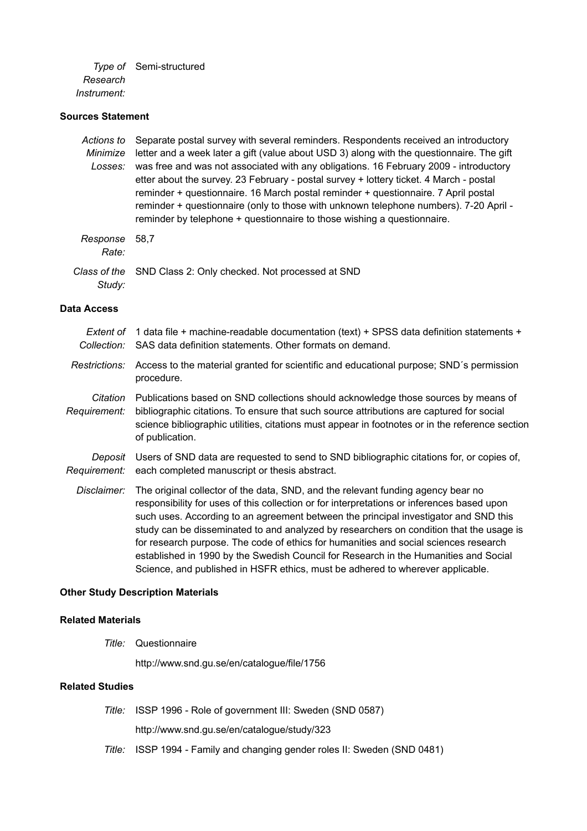*Type of* Semi-structured *Research Instrument:*

# **Sources Statement**

| Actions to<br>Minimize<br>Losses: | Separate postal survey with several reminders. Respondents received an introductory<br>letter and a week later a gift (value about USD 3) along with the questionnaire. The gift<br>was free and was not associated with any obligations. 16 February 2009 - introductory<br>etter about the survey. 23 February - postal survey + lottery ticket. 4 March - postal<br>reminder + questionnaire. 16 March postal reminder + questionnaire. 7 April postal<br>reminder + questionnaire (only to those with unknown telephone numbers). 7-20 April -<br>reminder by telephone + questionnaire to those wishing a questionnaire.       |
|-----------------------------------|-------------------------------------------------------------------------------------------------------------------------------------------------------------------------------------------------------------------------------------------------------------------------------------------------------------------------------------------------------------------------------------------------------------------------------------------------------------------------------------------------------------------------------------------------------------------------------------------------------------------------------------|
| Response<br>Rate:                 | 58,7                                                                                                                                                                                                                                                                                                                                                                                                                                                                                                                                                                                                                                |
| Class of the<br>Study:            | SND Class 2: Only checked. Not processed at SND                                                                                                                                                                                                                                                                                                                                                                                                                                                                                                                                                                                     |
| <b>Data Access</b>                |                                                                                                                                                                                                                                                                                                                                                                                                                                                                                                                                                                                                                                     |
| Extent of<br>Collection:          | 1 data file + machine-readable documentation (text) + SPSS data definition statements +<br>SAS data definition statements. Other formats on demand.                                                                                                                                                                                                                                                                                                                                                                                                                                                                                 |
| Restrictions:                     | Access to the material granted for scientific and educational purpose; SND's permission<br>procedure.                                                                                                                                                                                                                                                                                                                                                                                                                                                                                                                               |
| Citation<br>Requirement:          | Publications based on SND collections should acknowledge those sources by means of<br>bibliographic citations. To ensure that such source attributions are captured for social<br>science bibliographic utilities, citations must appear in footnotes or in the reference section<br>of publication.                                                                                                                                                                                                                                                                                                                                |
| Deposit<br>Requirement:           | Users of SND data are requested to send to SND bibliographic citations for, or copies of,<br>each completed manuscript or thesis abstract.                                                                                                                                                                                                                                                                                                                                                                                                                                                                                          |
| Disclaimer:                       | The original collector of the data, SND, and the relevant funding agency bear no<br>responsibility for uses of this collection or for interpretations or inferences based upon<br>such uses. According to an agreement between the principal investigator and SND this<br>study can be disseminated to and analyzed by researchers on condition that the usage is<br>for research purpose. The code of ethics for humanities and social sciences research<br>established in 1990 by the Swedish Council for Research in the Humanities and Social<br>Science, and published in HSFR ethics, must be adhered to wherever applicable. |
|                                   | <b>Other Study Description Materials</b>                                                                                                                                                                                                                                                                                                                                                                                                                                                                                                                                                                                            |

# **Related Materials**

*Title:* Questionnaire

http://www.snd.gu.se/en/catalogue/file/1756

# **Related Studies**

*Title:* ISSP 1996 - Role of government III: Sweden (SND 0587)

http://www.snd.gu.se/en/catalogue/study/323

*Title:* ISSP 1994 - Family and changing gender roles II: Sweden (SND 0481)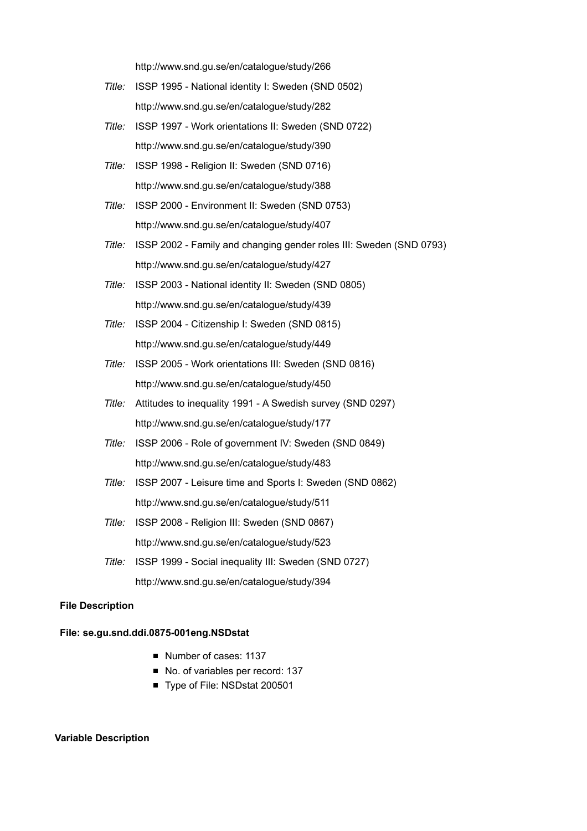http://www.snd.gu.se/en/catalogue/study/266

- *Title:* ISSP 1995 National identity I: Sweden (SND 0502) http://www.snd.gu.se/en/catalogue/study/282
- *Title:* ISSP 1997 Work orientations II: Sweden (SND 0722) http://www.snd.gu.se/en/catalogue/study/390
- *Title:* ISSP 1998 Religion II: Sweden (SND 0716) http://www.snd.gu.se/en/catalogue/study/388
- *Title:* ISSP 2000 Environment II: Sweden (SND 0753) http://www.snd.gu.se/en/catalogue/study/407
- *Title:* ISSP 2002 Family and changing gender roles III: Sweden (SND 0793) http://www.snd.gu.se/en/catalogue/study/427
- *Title:* ISSP 2003 National identity II: Sweden (SND 0805) http://www.snd.gu.se/en/catalogue/study/439
- *Title:* ISSP 2004 Citizenship I: Sweden (SND 0815) http://www.snd.gu.se/en/catalogue/study/449
- *Title:* ISSP 2005 Work orientations III: Sweden (SND 0816) http://www.snd.gu.se/en/catalogue/study/450
- *Title:* Attitudes to inequality 1991 A Swedish survey (SND 0297) http://www.snd.gu.se/en/catalogue/study/177
- *Title:* ISSP 2006 Role of government IV: Sweden (SND 0849) http://www.snd.gu.se/en/catalogue/study/483
- *Title:* ISSP 2007 Leisure time and Sports I: Sweden (SND 0862) http://www.snd.gu.se/en/catalogue/study/511
- *Title:* ISSP 2008 Religion III: Sweden (SND 0867) http://www.snd.gu.se/en/catalogue/study/523
- *Title:* ISSP 1999 Social inequality III: Sweden (SND 0727) http://www.snd.gu.se/en/catalogue/study/394

### **File Description**

### **File: se.gu.snd.ddi.0875-001eng.NSDstat**

- Number of cases: 1137
- No. of variables per record: 137
- Type of File: NSDstat 200501

#### **Variable Description**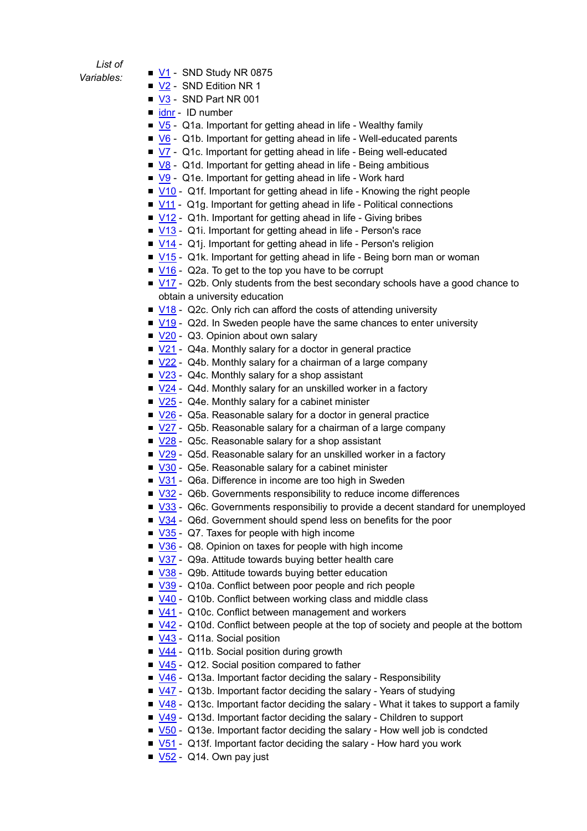# *List of*

- $Variables:$   $\blacksquare$   $\blacksquare$   $\blacksquare$   $\blacksquare$  SND Study NR 0875
	- V<sub>2</sub> SND Edition NR 1
	- V3 SND Part NR 001
	- idnr ID number
	- $\blacktriangleright$  V<sub>5</sub> Q1a. Important for getting ahead in life Wealthy family
	- V6 Q1b. Important for getting ahead in life Well-educated parents
	- $\sqrt{7}$  Q1c. Important for getting ahead in life Being well-educated
	- $\sqrt{8}$  Q1d. Important for getting ahead in life Being ambitious
	- V9 Q1e. Important for getting ahead in life Work hard
	- V10 Q1f. Important for getting ahead in life Knowing the right people
	- $\blacksquare$  V11 Q1g. Important for getting ahead in life Political connections
	- $\blacksquare$  V12 Q1h. Important for getting ahead in life Giving bribes
	- V13 Q1i. Important for getting ahead in life Person's race
	- $\sqrt{14}$  Q1j. Important for getting ahead in life Person's religion
	- V15 Q1k. Important for getting ahead in life Being born man or woman
	- $\blacksquare$  V16 Q2a. To get to the top you have to be corrupt
	- $\blacksquare$  V17 Q2b. Only students from the best secondary schools have a good chance to obtain a university education
	- V18 Q2c. Only rich can afford the costs of attending university
	- $\blacksquare$  V19 Q2d. In Sweden people have the same chances to enter university
	- V20 Q3. Opinion about own salary
	- $\sqrt{21}$  Q4a. Monthly salary for a doctor in general practice
	- V22 Q4b. Monthly salary for a chairman of a large company
	- V23 Q4c. Monthly salary for a shop assistant
	- $\sqrt{24}$  Q4d. Monthly salary for an unskilled worker in a factory
	- $\sqrt{25}$  Q4e. Monthly salary for a cabinet minister
	- V26 Q5a. Reasonable salary for a doctor in general practice
	- V27 Q5b. Reasonable salary for a chairman of a large company
	- V28 Q5c. Reasonable salary for a shop assistant
	- V29 Q5d. Reasonable salary for an unskilled worker in a factory
	- V30 Q5e. Reasonable salary for a cabinet minister
	- V31 Q6a. Difference in income are too high in Sweden
	- V32 Q6b. Governments responsibility to reduce income differences
	- V33 Q6c. Governments responsibiliy to provide a decent standard for unemployed
	- V34 Q6d. Government should spend less on benefits for the poor
	- $\blacksquare$  V35 Q7. Taxes for people with high income
	- V36 Q8. Opinion on taxes for people with high income
	- V37 Q9a. Attitude towards buying better health care
	- V38 Q9b. Attitude towards buying better education
	- V39 Q10a. Conflict between poor people and rich people
	- V40 Q10b. Conflict between working class and middle class
	- V41 Q10c. Conflict between management and workers
	- V42 Q10d. Conflict between people at the top of society and people at the bottom
	- V43 Q11a. Social position
	- $\sqrt{44}$  Q11b. Social position during growth
	- V45 Q12. Social position compared to father
	- $\blacksquare$  V46 Q13a. Important factor deciding the salary Responsibility
	- $\sqrt{47}$  Q13b. Important factor deciding the salary Years of studying
	- $\blacksquare$  V48 Q13c. Important factor deciding the salary What it takes to support a family
	- V49 Q13d. Important factor deciding the salary Children to support
	- $\blacktriangleright$  V50 Q13e. Important factor deciding the salary How well job is condcted
	- $\blacktriangleright$  V51 Q13f. Important factor deciding the salary How hard you work
	- $\sqrt{52}$  Q14. Own pay just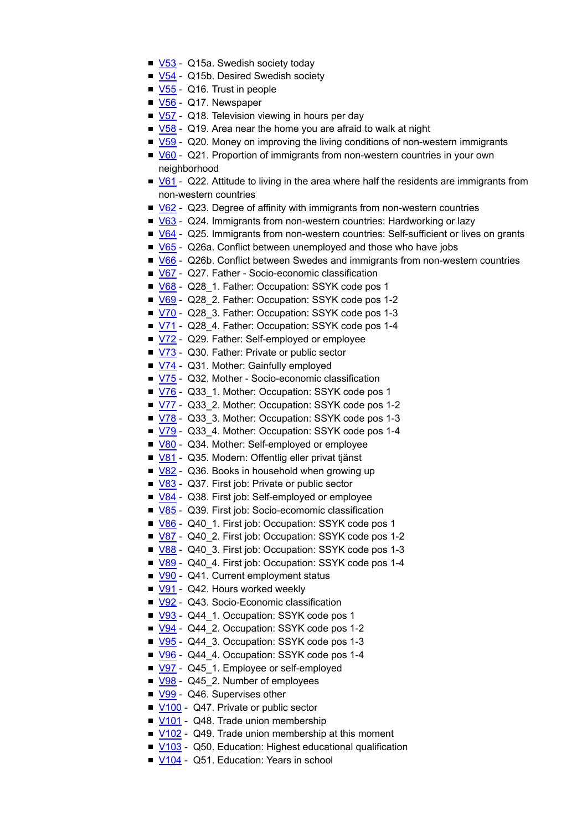- V53 Q15a. Swedish society today
- $\sqrt{54}$  Q15b. Desired Swedish society
- $\sqrt{55}$  Q16. Trust in people
- V<sub>56</sub> Q17. Newspaper
- $\blacktriangleright$  V57 Q18. Television viewing in hours per day
- $\blacktriangleright$  V58 Q19. Area near the home you are afraid to walk at night
- V59 Q20. Money on improving the living conditions of non-western immigrants
- V60 Q21. Proportion of immigrants from non-western countries in your own neighborhood
- V61 Q22. Attitude to living in the area where half the residents are immigrants from non-western countries
- $\blacktriangleright$  V62 Q23. Degree of affinity with immigrants from non-western countries
- V63 Q24. Immigrants from non-western countries: Hardworking or lazy
- V64 Q25. Immigrants from non-western countries: Self-sufficient or lives on grants
- V65 Q26a. Conflict between unemployed and those who have jobs
- V66 Q26b. Conflict between Swedes and immigrants from non-western countries
- V67 Q27. Father Socio-economic classification
- V68 Q28 1. Father: Occupation: SSYK code pos 1
- V69 Q28 2. Father: Occupation: SSYK code pos 1-2
- V70 Q28 3. Father: Occupation: SSYK code pos 1-3
- V71 Q28 4. Father: Occupation: SSYK code pos 1-4
- V72 Q29. Father: Self-employed or employee
- V73 Q30. Father: Private or public sector
- V74 Q31. Mother: Gainfully employed
- V75 Q32. Mother Socio-economic classification
- V76 Q33 1. Mother: Occupation: SSYK code pos 1
- V77 Q33 2. Mother: Occupation: SSYK code pos 1-2
- V78 Q33 3. Mother: Occupation: SSYK code pos 1-3
- V79 Q33 4. Mother: Occupation: SSYK code pos 1-4
- V80 Q34. Mother: Self-employed or employee
- V81 Q35. Modern: Offentlig eller privat tjänst
- V82 Q36. Books in household when growing up
- V83 Q37. First job: Private or public sector
- V84 Q38. First job: Self-employed or employee
- V85 Q39. First job: Socio-ecomomic classification
- V86 Q40 1. First job: Occupation: SSYK code pos 1
- V87 Q40 2. First job: Occupation: SSYK code pos 1-2
- V88 Q40 3. First job: Occupation: SSYK code pos 1-3
- V89 Q40 4. First job: Occupation: SSYK code pos 1-4
- V90 Q41. Current employment status
- V91 Q42. Hours worked weekly
- V92 Q43. Socio-Economic classification
- V93 Q44 1. Occupation: SSYK code pos 1
- V94 Q44 2. Occupation: SSYK code pos 1-2
- V95 Q44 3. Occupation: SSYK code pos 1-3
- V96 Q44 4. Occupation: SSYK code pos 1-4
- V97 Q45 1. Employee or self-employed
- V98 Q45 2. Number of employees
- V99 Q46. Supervises other
- V100 Q47. Private or public sector
- V101 Q48. Trade union membership
- V102 Q49. Trade union membership at this moment
- V103 Q50. Education: Highest educational qualification
- V104 Q51. Education: Years in school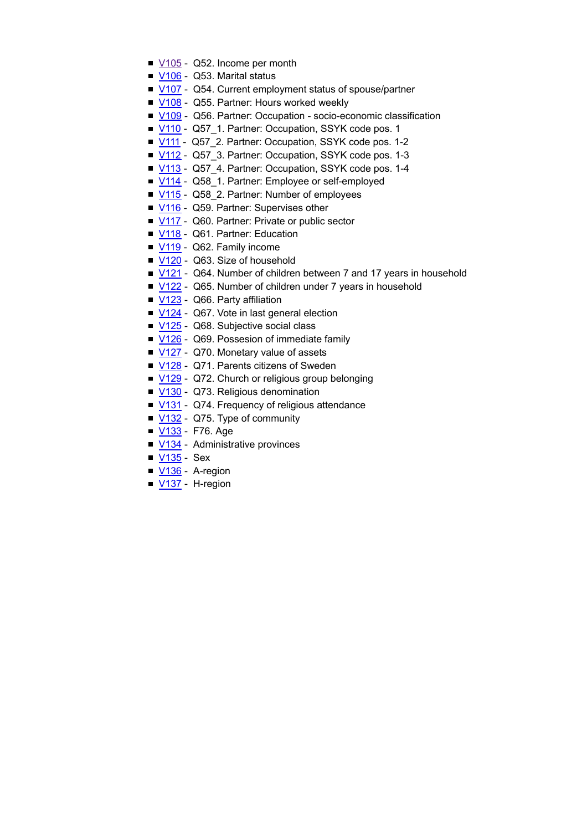- V105 Q52. Income per month
- $\blacksquare$  <u>V106</u> Q53. Marital status
- V107 Q54. Current employment status of spouse/partner
- V108 Q55. Partner: Hours worked weekly
- V109 Q56. Partner: Occupation socio-economic classification
- V110 Q57 1. Partner: Occupation, SSYK code pos. 1
- V111 Q57\_2. Partner: Occupation, SSYK code pos. 1-2
- V112 Q57\_3. Partner: Occupation, SSYK code pos. 1-3
- V113 Q57 4. Partner: Occupation, SSYK code pos. 1-4
- V114 Q58 1. Partner: Employee or self-employed
- V115 Q58\_2. Partner: Number of employees
- V116 Q59. Partner: Supervises other
- V117 Q60. Partner: Private or public sector
- V118 Q61. Partner: Education
- V119 Q62. Family income
- V120 Q63. Size of household
- $V121$  Q64. Number of children between 7 and 17 years in household
- V122 Q65. Number of children under 7 years in household
- V123 Q66. Party affiliation
- V124 Q67. Vote in last general election
- V125 Q68. Subjective social class
- V126 Q69. Possesion of immediate family
- V127 Q70. Monetary value of assets
- V128 Q71. Parents citizens of Sweden
- V129 Q72. Church or religious group belonging
- V130 Q73. Religious denomination
- V131 Q74. Frequency of religious attendance
- $\sqrt{132}$  Q75. Type of community
- <u>V133</u> F76. Age
- V134 Administrative provinces
- **V135 Sex**
- V<sub>136</sub> A-region
- V137 H-region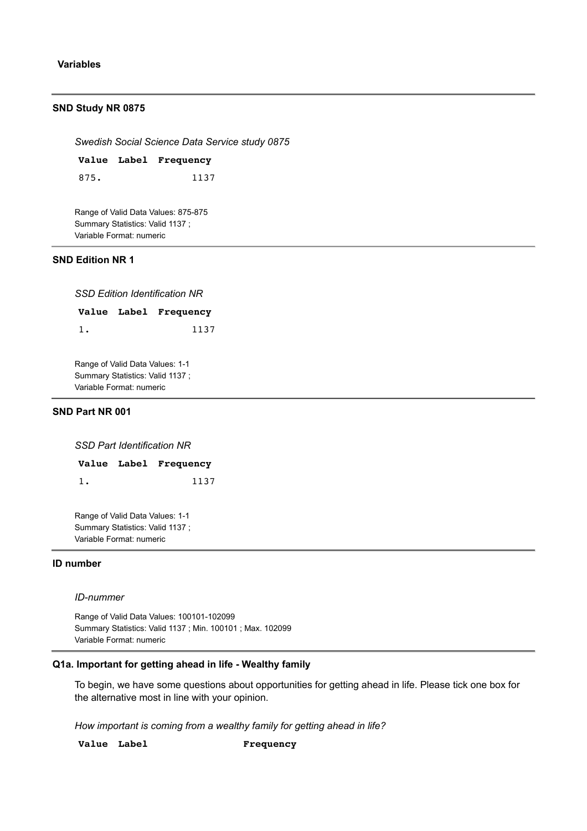### **Variables**

#### **SND Study NR 0875**

*Swedish Social Science Data Service study 0875*

**Value Label Frequency** 875. 1137

Range of Valid Data Values: 875-875 Summary Statistics: Valid 1137 ; Variable Format: numeric

# **SND Edition NR 1**

*SSD Edition Identification NR*

**Value Label Frequency** 1. 1137

Range of Valid Data Values: 1-1 Summary Statistics: Valid 1137 ; Variable Format: numeric

### **SND Part NR 001**

*SSD Part Identification NR*

| Value Label Frequency |  |      |
|-----------------------|--|------|
|                       |  | 1137 |

Range of Valid Data Values: 1-1 Summary Statistics: Valid 1137 ; Variable Format: numeric

### **ID number**

#### *ID-nummer*

Range of Valid Data Values: 100101-102099 Summary Statistics: Valid 1137 ; Min. 100101 ; Max. 102099 Variable Format: numeric

### **Q1a. Important for getting ahead in life - Wealthy family**

To begin, we have some questions about opportunities for getting ahead in life. Please tick one box for the alternative most in line with your opinion.

*How important is coming from a wealthy family for getting ahead in life?*

**Value Label Frequency**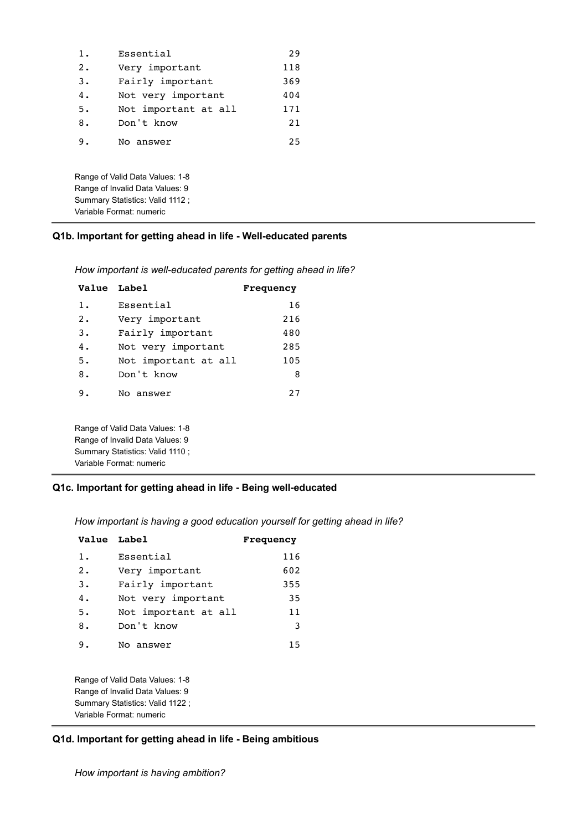| $1$ . | Essential                                                          | 29  |
|-------|--------------------------------------------------------------------|-----|
| 2.    | Very important                                                     | 118 |
| 3.    | Fairly important                                                   | 369 |
| 4.    | Not very important                                                 | 404 |
| 5.    | Not important at all                                               | 171 |
| 8.    | Don't know                                                         | 21  |
| 9.    | No answer                                                          | 25  |
|       | Range of Valid Data Values: 1-8<br>Range of Invalid Data Values: 9 |     |
|       | Summary Statistics: Valid 1112 ;                                   |     |
|       | Variable Format: numeric                                           |     |

# **Q1b. Important for getting ahead in life - Well-educated parents**

| How important is well-educated parents for getting ahead in life? |  |  |
|-------------------------------------------------------------------|--|--|
|                                                                   |  |  |

| <b>Value Label</b> |                                 | Frequency |
|--------------------|---------------------------------|-----------|
| $1$ .              | Essential                       | 16        |
| 2.                 | Very important                  | 216       |
| 3.                 | Fairly important                | 480       |
| 4.                 | Not very important              | 285       |
| 5.                 | Not important at all            | 105       |
| 8.                 | Don't know                      | 8         |
| 9.                 | No answer                       | 27        |
|                    | Range of Valid Data Values: 1-8 |           |
|                    | Range of Invalid Data Values: 9 |           |
|                    | Summary Statistics: Valid 1110; |           |

# **Q1c. Important for getting ahead in life - Being well-educated**

*How important is having a good education yourself for getting ahead in life?*

| Value Label |                      | <b>Frequency</b> |
|-------------|----------------------|------------------|
| 1.          | Essential            | 116              |
| $2$ .       | Very important       | 602              |
| $3$ .       | Fairly important     | 355              |
| 4.          | Not very important   | 35               |
| 5.          | Not important at all | 11               |
| 8.          | Don't know           | 3                |
| 9.          | No answer            | 15               |
|             |                      |                  |

Range of Valid Data Values: 1-8 Range of Invalid Data Values: 9 Summary Statistics: Valid 1122 ; Variable Format: numeric

Variable Format: numeric

# **Q1d. Important for getting ahead in life - Being ambitious**

*How important is having ambition?*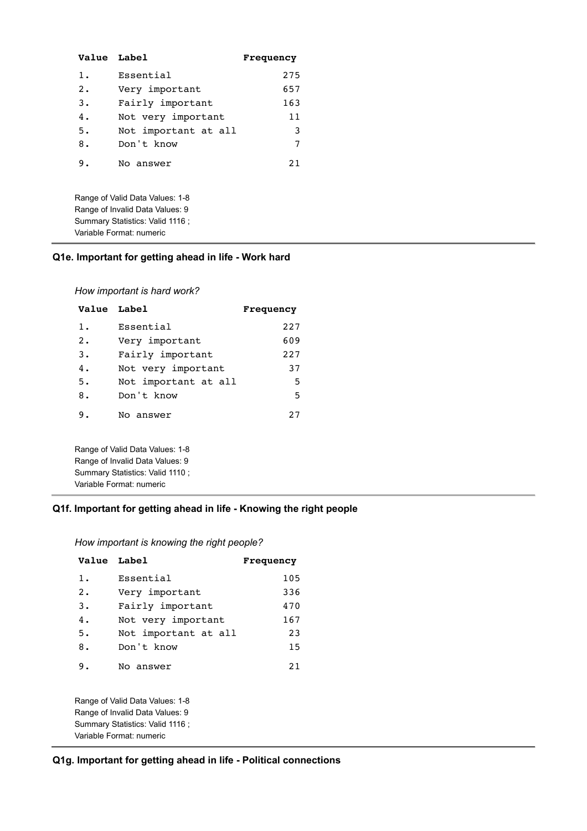| <b>Value Label</b> |                      | Frequency |
|--------------------|----------------------|-----------|
| 1.                 | Essential            | 275       |
| $\overline{2}$ .   | Very important       | 657       |
| 3.                 | Fairly important     | 163       |
| 4.                 | Not very important   | 11        |
| 5.                 | Not important at all | 3         |
| 8.                 | Don't know           | 7         |
| 9.                 | No answer            | 2.1       |
|                    |                      |           |

Range of Valid Data Values: 1-8 Range of Invalid Data Values: 9 Summary Statistics: Valid 1116 ; Variable Format: numeric

# **Q1e. Important for getting ahead in life - Work hard**

*How important is hard work?*

|                      | Frequency   |
|----------------------|-------------|
| Essential            | 227         |
| Very important       | 609         |
| Fairly important     | 227         |
| Not very important   | 37          |
| Not important at all | 5           |
| Don't know           | 5           |
| No answer            | 27          |
|                      | Value Label |

Range of Valid Data Values: 1-8 Range of Invalid Data Values: 9 Summary Statistics: Valid 1110 ; Variable Format: numeric

### **Q1f. Important for getting ahead in life - Knowing the right people**

| Value Label |                                  | Frequency |
|-------------|----------------------------------|-----------|
| $1$ .       | Essential                        | 105       |
| 2.          | Very important                   | 336       |
| 3.          | Fairly important                 | 470       |
| 4.          | Not very important               | 167       |
| 5.          | Not important at all             | 23        |
| 8.          | Don't know                       | 15        |
| 9.          | No answer                        | 21        |
|             | Range of Valid Data Values: 1-8  |           |
|             | Range of Invalid Data Values: 9  |           |
|             | Summary Statistics: Valid 1116 ; |           |

Variable Format: numeric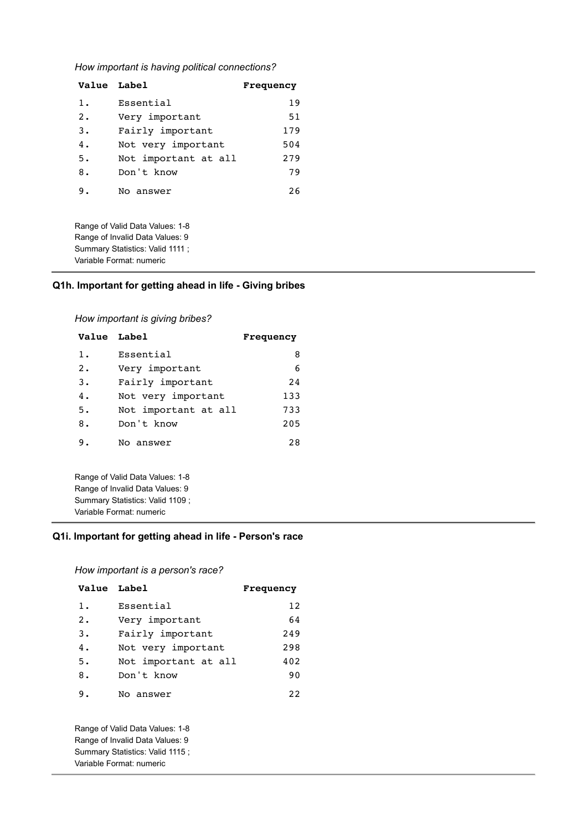*How important is having political connections?*

| Value Label |                      | Frequency |
|-------------|----------------------|-----------|
| 1.          | Essential            | 19        |
| 2.          | Very important       | 51        |
| 3.          | Fairly important     | 179       |
| 4.          | Not very important   | 504       |
| 5.          | Not important at all | 279       |
| 8.          | Don't know           | 79        |
| ۹.          | No answer            | 26        |

Range of Valid Data Values: 1-8 Range of Invalid Data Values: 9 Summary Statistics: Valid 1111 ; Variable Format: numeric

## **Q1h. Important for getting ahead in life - Giving bribes**

*How important is giving bribes?*

| Value Label |                      | <b>Frequency</b> |
|-------------|----------------------|------------------|
| $1$ .       | Essential            | 8                |
| 2.          | Very important       | 6                |
| 3.          | Fairly important     | 24               |
| 4.          | Not very important   | 133              |
| 5.          | Not important at all | 733              |
| 8.          | Don't know           | 205              |
| 9.          | No answer            | 28               |

Range of Valid Data Values: 1-8 Range of Invalid Data Values: 9 Summary Statistics: Valid 1109 ; Variable Format: numeric

## **Q1i. Important for getting ahead in life - Person's race**

*How important is a person's race?*

| Value Label |                      | Frequency |
|-------------|----------------------|-----------|
| $1$ .       | Essential            | 12        |
| 2.          | Very important       | 64        |
| 3.          | Fairly important     | 249       |
| 4.          | Not very important   | 298       |
| 5.          | Not important at all | 402       |
| 8.          | Don't know           | 90        |
| 9.          | No answer            | 22        |

Range of Valid Data Values: 1-8 Range of Invalid Data Values: 9 Summary Statistics: Valid 1115 ; Variable Format: numeric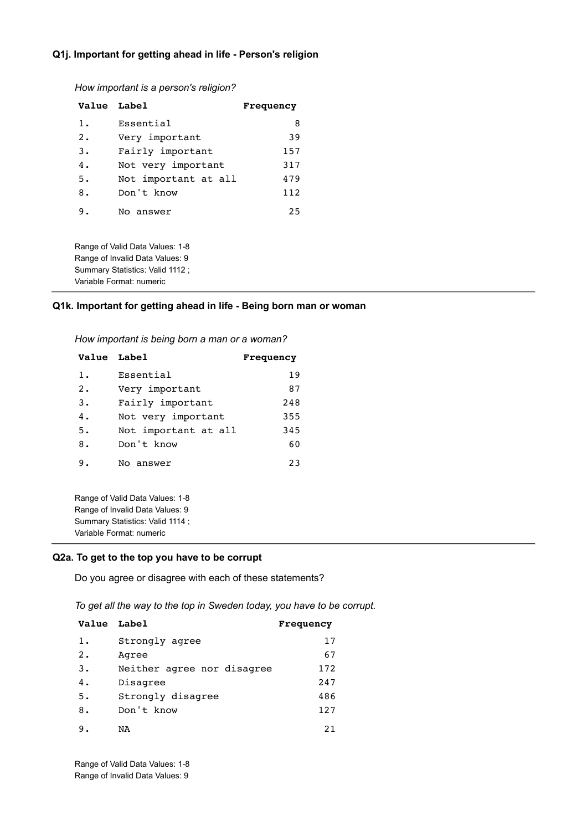### **Q1j. Important for getting ahead in life - Person's religion**

*How important is a person's religion?*

| Value Label |                      | Frequency |
|-------------|----------------------|-----------|
| $1$ .       | Essential            | 8         |
| 2.          | Very important       | 39        |
| 3.          | Fairly important     | 157       |
| 4.          | Not very important   | 317       |
| 5.          | Not important at all | 479       |
| 8.          | Don't know           | 112       |
| 9.          | No answer            | 25        |

Range of Valid Data Values: 1-8 Range of Invalid Data Values: 9 Summary Statistics: Valid 1112 ; Variable Format: numeric

### **Q1k. Important for getting ahead in life - Being born man or woman**

*How important is being born a man or a woman?*

| Value Label |                      | Frequency |
|-------------|----------------------|-----------|
| $1$ .       | Essential            | 19        |
| 2.          | Very important       | 87        |
| 3.          | Fairly important     | 248       |
| 4.          | Not very important   | 355       |
| 5.          | Not important at all | 345       |
| 8.          | Don't know           | 60        |
| 9.          | No answer            | 23        |

Range of Valid Data Values: 1-8 Range of Invalid Data Values: 9 Summary Statistics: Valid 1114 ; Variable Format: numeric

### **Q2a. To get to the top you have to be corrupt**

Do you agree or disagree with each of these statements?

*To get all the way to the top in Sweden today, you have to be corrupt.*

| Value Label |                            | <b>Frequency</b> |
|-------------|----------------------------|------------------|
| $1$ .       | Strongly agree             | 17               |
| 2.          | Agree                      | 67               |
| 3.          | Neither agree nor disagree | 172              |
| 4.          | Disagree                   | 247              |
| 5.          | Strongly disagree          | 486              |
| 8.          | Don't know                 | 127              |
| 9.          | NA                         | 2.1              |

Range of Valid Data Values: 1-8 Range of Invalid Data Values: 9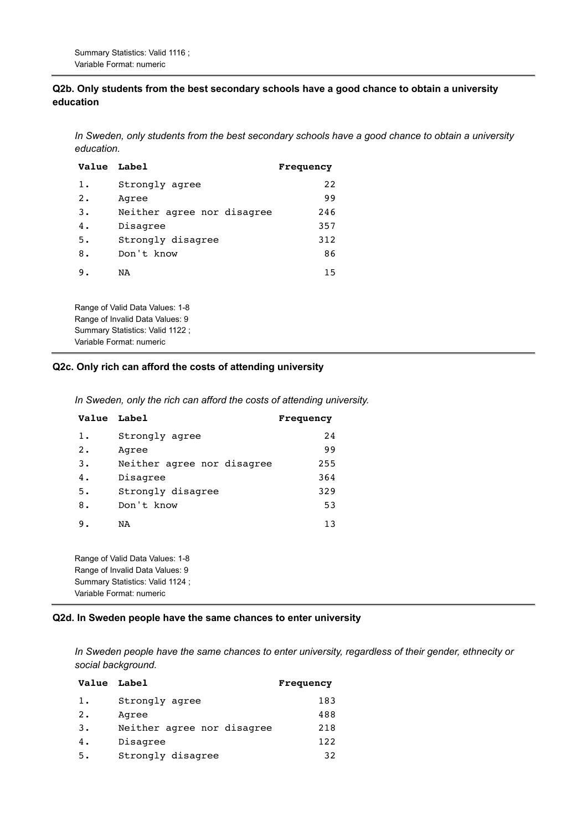### **Q2b. Only students from the best secondary schools have a good chance to obtain a university education**

*In Sweden, only students from the best secondary schools have a good chance to obtain a university education.*

| Value Label |                                                                    | Frequency |
|-------------|--------------------------------------------------------------------|-----------|
| 1.          | Strongly agree                                                     | 22        |
| $2$ .       | Agree                                                              | 99        |
| 3.          | Neither agree nor disagree                                         | 246       |
| 4.          | Disagree                                                           | 357       |
| 5.          | Strongly disagree                                                  | 312       |
| 8.          | Don't know                                                         | 86        |
| 9.          | NA                                                                 | 15        |
|             | Range of Valid Data Values: 1-8<br>Range of Invalid Data Values: 9 |           |
|             | Summary Statistics: Valid 1122 ;                                   |           |

# **Q2c. Only rich can afford the costs of attending university**

*In Sweden, only the rich can afford the costs of attending university.*

| Value Label |                            | Frequency |
|-------------|----------------------------|-----------|
| 1.          | Strongly agree             | 24        |
| $2$ .       | Agree                      | 99        |
| 3.          | Neither agree nor disagree | 255       |
| 4.          | Disagree                   | 364       |
| 5.          | Strongly disagree          | 329       |
| 8.          | Don't know                 | 53        |
| 9.          | NA                         | 13        |
|             |                            |           |

Range of Valid Data Values: 1-8 Range of Invalid Data Values: 9 Summary Statistics: Valid 1124 ; Variable Format: numeric

Variable Format: numeric

### **Q2d. In Sweden people have the same chances to enter university**

*In Sweden people have the same chances to enter university, regardless of their gender, ethnecity or social background.*

| Value Label |                            | Frequency |
|-------------|----------------------------|-----------|
| 1.          | Strongly agree             | 183       |
| 2.          | Agree                      | 488       |
| 3.          | Neither agree nor disagree | 218       |
| 4.          | Disagree                   | 122       |
| 5.          | Strongly disagree          | 32        |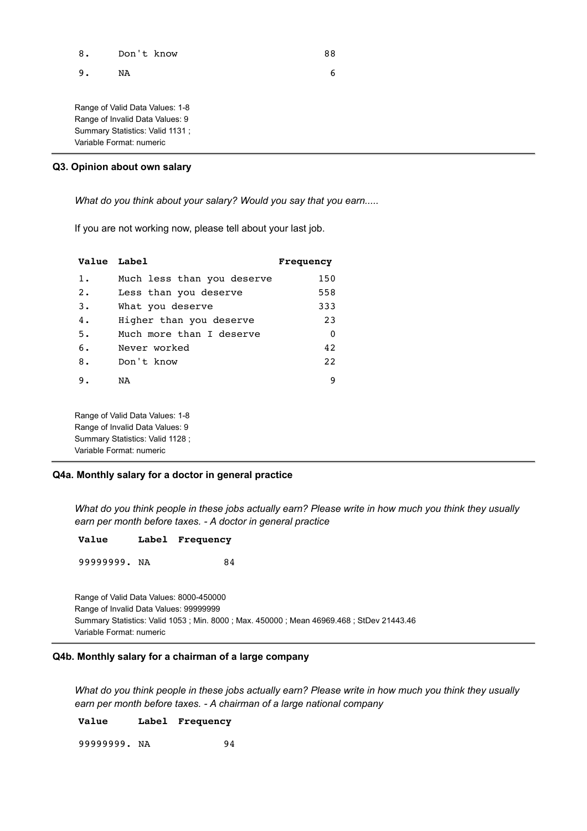| 8. | Don't know                                                                                            | 88 |
|----|-------------------------------------------------------------------------------------------------------|----|
| 9. | NA                                                                                                    | 6  |
|    | Range of Valid Data Values: 1-8<br>Range of Invalid Data Values: 9<br>Summary Statistics: Valid 1131; |    |
|    | Variable Format: numeric                                                                              |    |

### **Q3. Opinion about own salary**

*What do you think about your salary? Would you say that you earn.....*

If you are not working now, please tell about your last job.

| Value Label |                            | Frequency |
|-------------|----------------------------|-----------|
| $1$ .       | Much less than you deserve | 150       |
| $2 \cdot$   | Less than you deserve      | 558       |
| 3.          | What you deserve           | 333       |
| 4.          | Higher than you deserve    | 23        |
| 5.          | Much more than I deserve   | $\Omega$  |
| 6.          | Never worked               | 42        |
| 8.          | Don't know                 | 22        |
| 9.          | NA                         | 9         |

Range of Valid Data Values: 1-8 Range of Invalid Data Values: 9 Summary Statistics: Valid 1128 ; Variable Format: numeric

### **Q4a. Monthly salary for a doctor in general practice**

*What do you think people in these jobs actually earn? Please write in how much you think they usually earn per month before taxes. - A doctor in general practice*

| Value |  | Label Frequency |
|-------|--|-----------------|
|-------|--|-----------------|

99999999. NA 84

Range of Valid Data Values: 8000-450000 Range of Invalid Data Values: 99999999 Summary Statistics: Valid 1053 ; Min. 8000 ; Max. 450000 ; Mean 46969.468 ; StDev 21443.46 Variable Format: numeric

### **Q4b. Monthly salary for a chairman of a large company**

*What do you think people in these jobs actually earn? Please write in how much you think they usually earn per month before taxes. - A chairman of a large national company*

**Value Label Frequency**

99999999. NA 94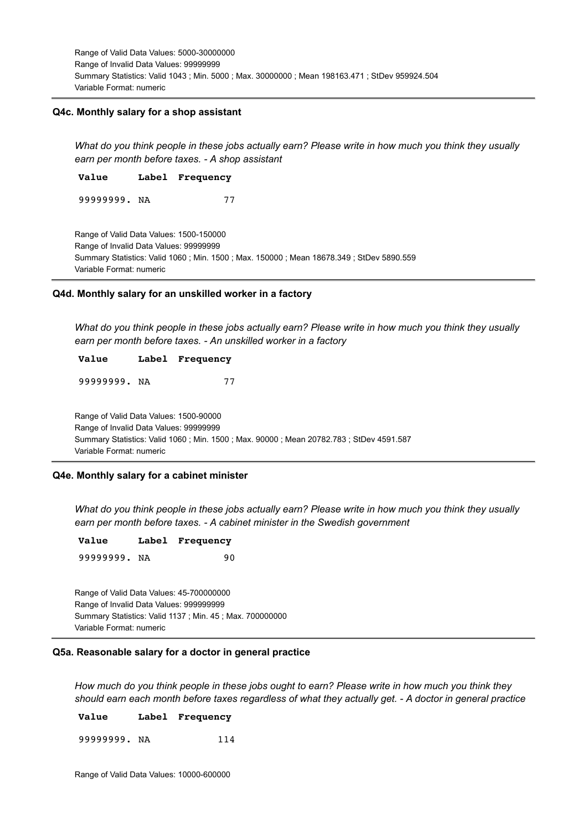Range of Valid Data Values: 5000-30000000 Range of Invalid Data Values: 99999999 Summary Statistics: Valid 1043 ; Min. 5000 ; Max. 30000000 ; Mean 198163.471 ; StDev 959924.504 Variable Format: numeric

#### **Q4c. Monthly salary for a shop assistant**

*What do you think people in these jobs actually earn? Please write in how much you think they usually earn per month before taxes. - A shop assistant*

**Value Label Frequency**

99999999. NA 77

Range of Valid Data Values: 1500-150000 Range of Invalid Data Values: 99999999 Summary Statistics: Valid 1060 ; Min. 1500 ; Max. 150000 ; Mean 18678.349 ; StDev 5890.559 Variable Format: numeric

#### **Q4d. Monthly salary for an unskilled worker in a factory**

*What do you think people in these jobs actually earn? Please write in how much you think they usually earn per month before taxes. - An unskilled worker in a factory*

#### **Value Label Frequency**

99999999. NA 77

Range of Valid Data Values: 1500-90000 Range of Invalid Data Values: 99999999 Summary Statistics: Valid 1060 ; Min. 1500 ; Max. 90000 ; Mean 20782.783 ; StDev 4591.587 Variable Format: numeric

#### **Q4e. Monthly salary for a cabinet minister**

*What do you think people in these jobs actually earn? Please write in how much you think they usually earn per month before taxes. - A cabinet minister in the Swedish government*

| Value        | Label Frequency |
|--------------|-----------------|
| 99999999. NA | 90              |

Range of Valid Data Values: 45-700000000 Range of Invalid Data Values: 999999999 Summary Statistics: Valid 1137 ; Min. 45 ; Max. 700000000 Variable Format: numeric

### **Q5a. Reasonable salary for a doctor in general practice**

*How much do you think people in these jobs ought to earn? Please write in how much you think they should earn each month before taxes regardless of what they actually get. - A doctor in general practice*

**Value Label Frequency**

99999999. NA 114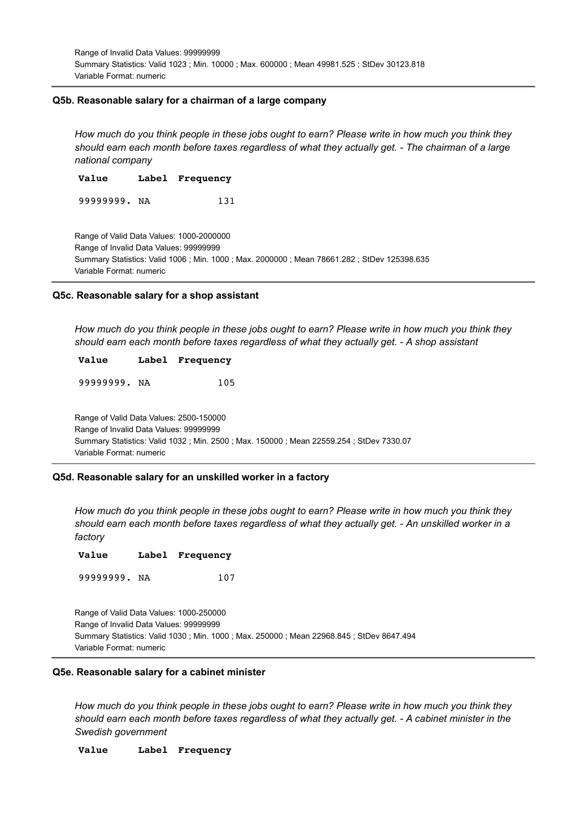Range of Invalid Data Values: 99999999 Summary Statistics: Valid 1023 ; Min. 10000 ; Max. 600000 ; Mean 49981.525 ; StDev 30123.818 Variable Format: numeric

#### **Q5b. Reasonable salary for a chairman of a large company**

*How much do you think people in these jobs ought to earn? Please write in how much you think they should earn each month before taxes regardless of what they actually get. - The chairman of a large national company*

**Value Label Frequency** 99999999. NA 131

Range of Valid Data Values: 1000-2000000 Range of Invalid Data Values: 99999999 Summary Statistics: Valid 1006 ; Min. 1000 ; Max. 2000000 ; Mean 78661.282 ; StDev 125398.635 Variable Format: numeric

#### **Q5c. Reasonable salary for a shop assistant**

*How much do you think people in these jobs ought to earn? Please write in how much you think they should earn each month before taxes regardless of what they actually get. - A shop assistant*

#### **Value Label Frequency**

99999999. NA 105

Range of Valid Data Values: 2500-150000 Range of Invalid Data Values: 99999999 Summary Statistics: Valid 1032 ; Min. 2500 ; Max. 150000 ; Mean 22559.254 ; StDev 7330.07 Variable Format: numeric

### **Q5d. Reasonable salary for an unskilled worker in a factory**

*How much do you think people in these jobs ought to earn? Please write in how much you think they should earn each month before taxes regardless of what they actually get. - An unskilled worker in a factory*

| <b>Value</b> | Label Frequency |
|--------------|-----------------|
|              |                 |

99999999. NA 107

Range of Valid Data Values: 1000-250000 Range of Invalid Data Values: 99999999 Summary Statistics: Valid 1030 ; Min. 1000 ; Max. 250000 ; Mean 22968.845 ; StDev 8647.494 Variable Format: numeric

#### **Q5e. Reasonable salary for a cabinet minister**

*How much do you think people in these jobs ought to earn? Please write in how much you think they should earn each month before taxes regardless of what they actually get. - A cabinet minister in the Swedish government*

#### **Value Label Frequency**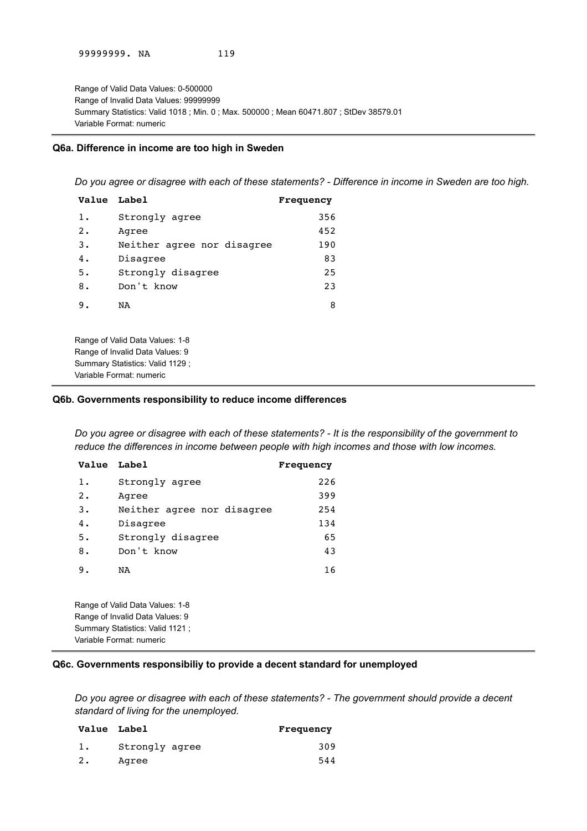Range of Valid Data Values: 0-500000 Range of Invalid Data Values: 99999999 Summary Statistics: Valid 1018 ; Min. 0 ; Max. 500000 ; Mean 60471.807 ; StDev 38579.01 Variable Format: numeric

#### **Q6a. Difference in income are too high in Sweden**

*Do you agree or disagree with each of these statements? - Difference in income in Sweden are too high.*

| Value Label |                            | Frequency |
|-------------|----------------------------|-----------|
| $1$ .       | Strongly agree             | 356       |
| $2 \cdot$   | Agree                      | 452       |
| 3.          | Neither agree nor disagree | 190       |
| 4.          | Disagree                   | 83        |
| 5.          | Strongly disagree          | 25        |
| 8.          | Don't know                 | 23        |
| 9.          | NA                         | 8         |
|             |                            |           |
|             |                            |           |

Range of Valid Data Values: 1-8 Range of Invalid Data Values: 9 Summary Statistics: Valid 1129 ; Variable Format: numeric

### **Q6b. Governments responsibility to reduce income differences**

*Do you agree or disagree with each of these statements? - It is the responsibility of the government to reduce the differences in income between people with high incomes and those with low incomes.*

| Value Label |                            | Frequency |
|-------------|----------------------------|-----------|
| $1$ .       | Strongly agree             | 226       |
| 2.          | Agree                      | 399       |
| 3.          | Neither agree nor disagree | 254       |
| 4.          | Disagree                   | 134       |
| 5.          | Strongly disagree          | 65        |
| 8.          | Don't know                 | 43        |
| 9.          | NA                         | 16        |

Range of Valid Data Values: 1-8 Range of Invalid Data Values: 9 Summary Statistics: Valid 1121 ; Variable Format: numeric

### **Q6c. Governments responsibiliy to provide a decent standard for unemployed**

*Do you agree or disagree with each of these statements? - The government should provide a decent standard of living for the unemployed.*

|    | Value Label    | Frequency |
|----|----------------|-----------|
|    | Strongly agree | 309       |
| 2. | Agree          | 544       |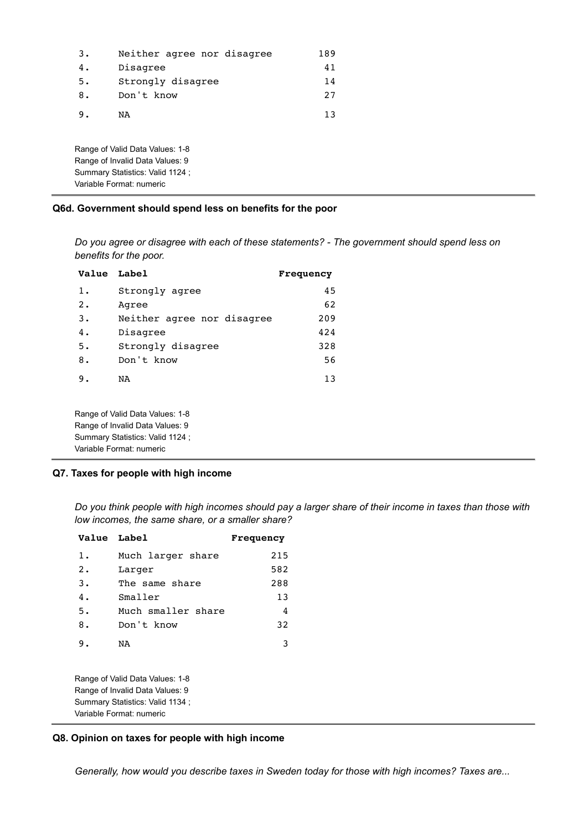| 3. | Neither agree nor disagree | 189 |
|----|----------------------------|-----|
| 4. | Disagree                   | 41  |
| 5. | Strongly disagree          | 14  |
| 8. | Don't know                 | 27  |
| 9. | NA                         | 13  |
|    |                            |     |

Range of Valid Data Values: 1-8 Range of Invalid Data Values: 9 Summary Statistics: Valid 1124 ; Variable Format: numeric

### **Q6d. Government should spend less on benefits for the poor**

*Do you agree or disagree with each of these statements? - The government should spend less on benefits for the poor.*

| Value Label |                            | Frequency |
|-------------|----------------------------|-----------|
| 1.          | Strongly agree             | 45        |
| 2.          | Agree                      | 62        |
| 3.          | Neither agree nor disagree | 209       |
| 4.          | Disagree                   | 424       |
| 5.          | Strongly disagree          | 328       |
| 8.          | Don't know                 | 56        |
| 9.          | NA                         | 13        |
|             |                            |           |

Range of Valid Data Values: 1-8 Range of Invalid Data Values: 9 Summary Statistics: Valid 1124 ; Variable Format: numeric

### **Q7. Taxes for people with high income**

*Do you think people with high incomes should pay a larger share of their income in taxes than those with low incomes, the same share, or a smaller share?*

| Value Label |                    | Frequency |
|-------------|--------------------|-----------|
| 1.          | Much larger share  | 215       |
| 2.          | Larger             | 582       |
| 3.          | The same share     | 288       |
| 4.          | Smaller            | 13        |
| 5.          | Much smaller share | 4         |
| 8.          | Don't know         | 32        |
| 9.          | ΝA                 | 3         |

Range of Valid Data Values: 1-8 Range of Invalid Data Values: 9 Summary Statistics: Valid 1134 ; Variable Format: numeric

### **Q8. Opinion on taxes for people with high income**

*Generally, how would you describe taxes in Sweden today for those with high incomes? Taxes are...*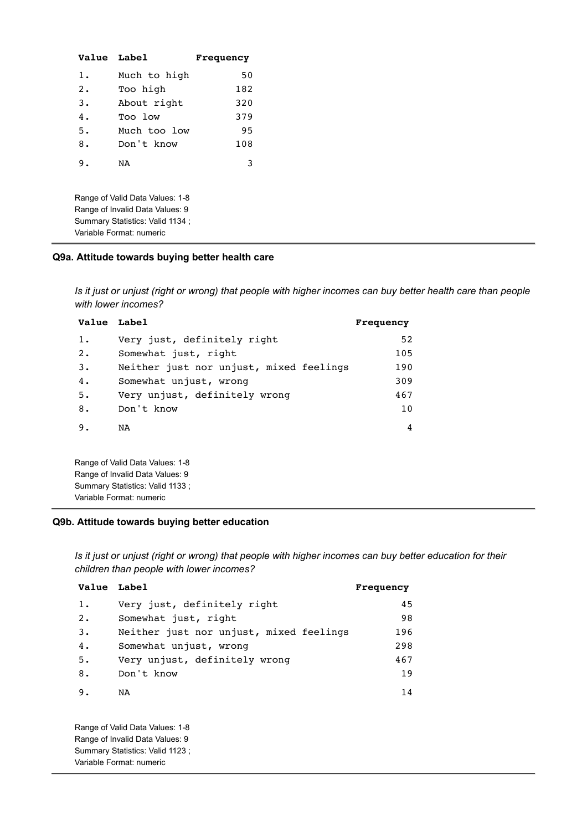| <b>Value Label</b>                                                                                                                |              | Frequency |
|-----------------------------------------------------------------------------------------------------------------------------------|--------------|-----------|
| $1$ .                                                                                                                             | Much to high | 50        |
| 2.                                                                                                                                | Too high     | 182       |
| $3$ .                                                                                                                             | About right  | 320       |
| 4.                                                                                                                                | Too low      | 379       |
| 5.                                                                                                                                | Much too low | 95        |
| 8.                                                                                                                                | Don't know   | 108       |
| 9.                                                                                                                                | NA           | 3         |
| Range of Valid Data Values: 1-8<br>Range of Invalid Data Values: 9<br>Summary Statistics: Valid 1134;<br>Variable Format: numeric |              |           |

## **Q9a. Attitude towards buying better health care**

*Is it just or unjust (right or wrong) that people with higher incomes can buy better health care than people with lower incomes?*

| Value Label |                                         | Frequency |
|-------------|-----------------------------------------|-----------|
| $1$ .       | Very just, definitely right             | 52        |
| 2.          | Somewhat just, right                    | 105       |
| 3.          | Neither just nor unjust, mixed feelings | 190       |
| 4.          | Somewhat unjust, wrong                  | 309       |
| 5.          | Very unjust, definitely wrong           | 467       |
| 8.          | Don't know                              | 10        |
| 9.          | NA                                      | 4         |
|             |                                         |           |
|             |                                         |           |

Range of Valid Data Values: 1-8 Range of Invalid Data Values: 9 Summary Statistics: Valid 1133 ; Variable Format: numeric

### **Q9b. Attitude towards buying better education**

*Is it just or unjust (right or wrong) that people with higher incomes can buy better education for their children than people with lower incomes?*

| Value Label |                                         | Frequency |
|-------------|-----------------------------------------|-----------|
| 1.          | Very just, definitely right             | 45        |
| 2.          | Somewhat just, right                    | 98        |
| 3.          | Neither just nor unjust, mixed feelings | 196       |
| 4.          | Somewhat unjust, wrong                  | 298       |
| 5.          | Very unjust, definitely wrong           | 467       |
| 8.          | Don't know                              | 19        |
| 9.          | NA                                      | 14        |

Range of Valid Data Values: 1-8 Range of Invalid Data Values: 9 Summary Statistics: Valid 1123 ; Variable Format: numeric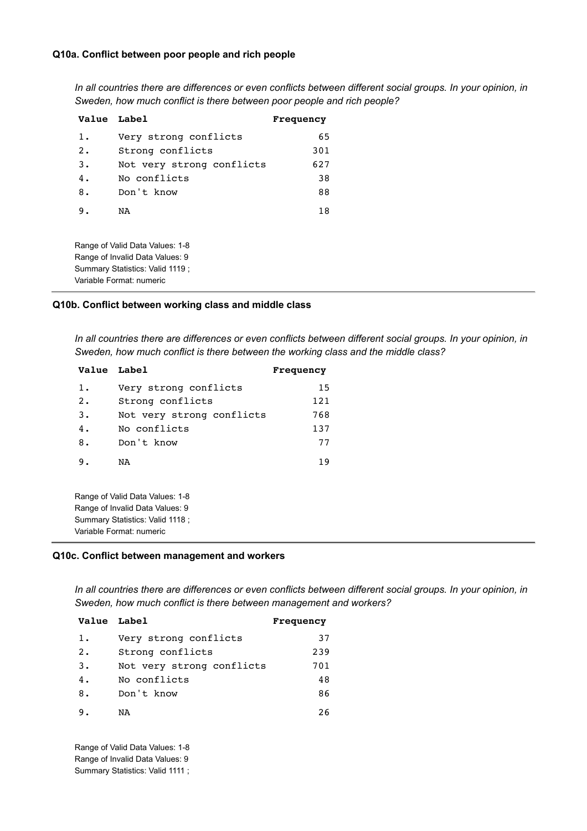### **Q10a. Conflict between poor people and rich people**

*In all countries there are differences or even conflicts between different social groups. In your opinion, in Sweden, how much conflict is there between poor people and rich people?*

| Value Label |                                                                    | Frequency |
|-------------|--------------------------------------------------------------------|-----------|
| 1.          | Very strong conflicts                                              | 65        |
| 2.          | Strong conflicts                                                   | 301       |
| 3.          | Not very strong conflicts                                          | 627       |
| 4.          | No conflicts                                                       | 38        |
| 8.          | Don't know                                                         | 88        |
| 9.          | NA                                                                 | 18        |
|             | Range of Valid Data Values: 1-8<br>Range of Invalid Data Values: 9 |           |

# **Q10b. Conflict between working class and middle class**

*In all countries there are differences or even conflicts between different social groups. In your opinion, in Sweden, how much conflict is there between the working class and the middle class?*

| Value Label |                           | Frequency |
|-------------|---------------------------|-----------|
| 1.          | Very strong conflicts     | 15        |
| 2.          | Strong conflicts          | 121       |
| 3.          | Not very strong conflicts | 768       |
| 4.          | No conflicts              | 137       |
| 8.          | Don't know                | 77        |
| 9.          | NA                        | 19        |

Range of Valid Data Values: 1-8 Range of Invalid Data Values: 9 Summary Statistics: Valid 1118 ; Variable Format: numeric

Summary Statistics: Valid 1119 ; Variable Format: numeric

### **Q10c. Conflict between management and workers**

*In all countries there are differences or even conflicts between different social groups. In your opinion, in Sweden, how much conflict is there between management and workers?*

| Value Label |                           | Frequency |
|-------------|---------------------------|-----------|
| 1.          | Very strong conflicts     | 37        |
| 2.          | Strong conflicts          | 239       |
| 3.          | Not very strong conflicts | 701       |
| 4.          | No conflicts              | 48        |
| 8.          | Don't know                | 86        |
| 9.          | NA                        | 26        |

Range of Valid Data Values: 1-8 Range of Invalid Data Values: 9 Summary Statistics: Valid 1111 ;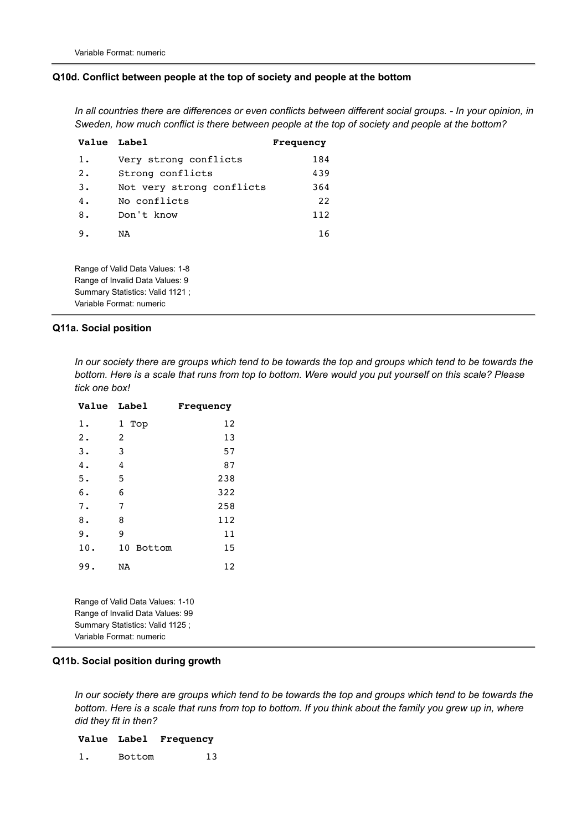#### **Q10d. Conflict between people at the top of society and people at the bottom**

*In all countries there are differences or even conflicts between different social groups. - In your opinion, in Sweden, how much conflict is there between people at the top of society and people at the bottom?*

| Value Label                                                        |                           | Frequency |
|--------------------------------------------------------------------|---------------------------|-----------|
| 1.                                                                 | Very strong conflicts     | 184       |
| 2.                                                                 | Strong conflicts          | 439       |
| 3.                                                                 | Not very strong conflicts | 364       |
| 4.                                                                 | No conflicts              | 22        |
| 8.                                                                 | Don't know                | 112       |
| 9.                                                                 | NA                        | 16        |
| Range of Valid Data Values: 1-8<br>Range of Invalid Data Values: 9 |                           |           |

# **Q11a. Social position**

Summary Statistics: Valid 1121 ; Variable Format: numeric

*In our society there are groups which tend to be towards the top and groups which tend to be towards the bottom. Here is a scale that runs from top to bottom. Were would you put yourself on this scale? Please tick one box!*

| <b>Value</b>                                                         | <b>Label</b> | Frequency |
|----------------------------------------------------------------------|--------------|-----------|
| 1.                                                                   | 1 Top        | 12        |
| 2.                                                                   | 2            | 13        |
| 3.                                                                   | 3            | 57        |
| 4.                                                                   | 4            | 87        |
| 5.                                                                   | 5            | 238       |
| 6.                                                                   | 6            | 322       |
| 7.                                                                   | 7            | 258       |
| 8.                                                                   | 8            | 112       |
| 9.                                                                   | 9            | 11        |
| 10.                                                                  | 10<br>Bottom | 15        |
| 99.                                                                  | NA           | 12        |
| Range of Valid Data Values: 1-10<br>Range of Invalid Data Values: 99 |              |           |

Summary Statistics: Valid 1125 ; Variable Format: numeric

#### **Q11b. Social position during growth**

*In our society there are groups which tend to be towards the top and groups which tend to be towards the bottom. Here is a scale that runs from top to bottom. If you think about the family you grew up in, where did they fit in then?*

#### **Value Label Frequency**

1. Bottom 13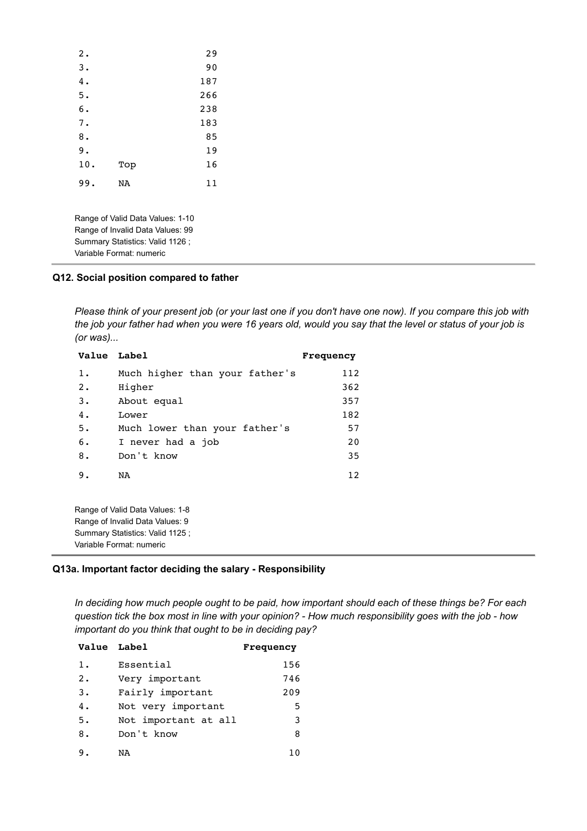| 2.  |     | 29  |
|-----|-----|-----|
| 3.  |     | 90  |
| 4.  |     | 187 |
| 5.  |     | 266 |
| 6.  |     | 238 |
| 7.  |     | 183 |
| 8.  |     | 85  |
| 9.  |     | 19  |
| 10. | Top | 16  |
| 99. | NA  | 11  |
|     |     |     |

Range of Valid Data Values: 1-10 Range of Invalid Data Values: 99 Summary Statistics: Valid 1126 ; Variable Format: numeric

### **Q12. Social position compared to father**

*Please think of your present job (or your last one if you don't have one now). If you compare this job with the job your father had when you were 16 years old, would you say that the level or status of your job is (or was)...*

| Value Label |                                | Frequency |
|-------------|--------------------------------|-----------|
| 1.          | Much higher than your father's | 112       |
| 2.          | Higher                         | 362       |
| 3.          | About equal                    | 357       |
| 4.          | Lower                          | 182       |
| 5.          | Much lower than your father's  | 57        |
| 6.          | I never had a job              | 20        |
| 8.          | Don't know                     | 35        |
| 9.          | NA                             | 12        |

Range of Valid Data Values: 1-8 Range of Invalid Data Values: 9 Summary Statistics: Valid 1125 ; Variable Format: numeric

### **Q13a. Important factor deciding the salary - Responsibility**

*In deciding how much people ought to be paid, how important should each of these things be? For each question tick the box most in line with your opinion? - How much responsibility goes with the job - how important do you think that ought to be in deciding pay?*

| Value Label |                      | Frequency |
|-------------|----------------------|-----------|
| $1$ .       | Essential            | 156       |
| 2.          | Very important       | 746       |
| 3.          | Fairly important     | 209       |
| 4.          | Not very important   | 5         |
| 5.          | Not important at all | 3         |
| 8.          | Don't know           | 8         |
| 9.          | NA                   | 10        |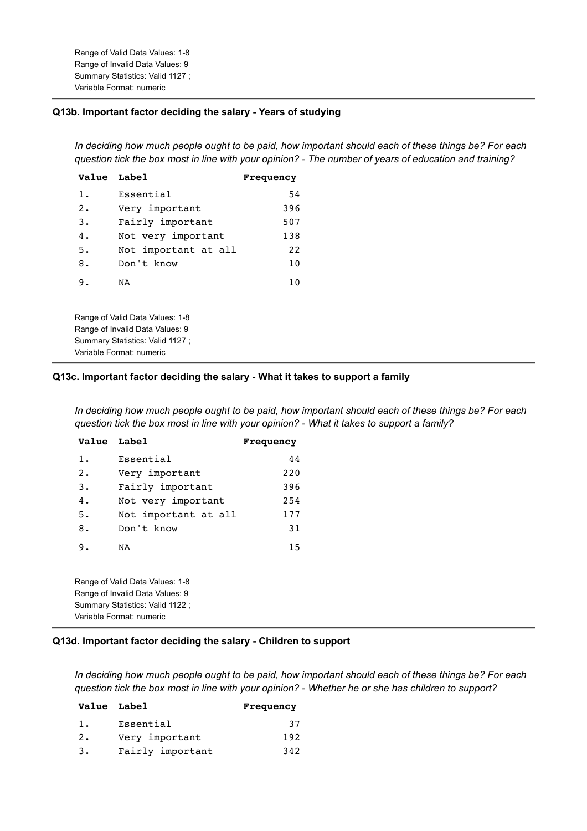Range of Valid Data Values: 1-8 Range of Invalid Data Values: 9 Summary Statistics: Valid 1127 ; Variable Format: numeric

### **Q13b. Important factor deciding the salary - Years of studying**

*In deciding how much people ought to be paid, how important should each of these things be? For each question tick the box most in line with your opinion? - The number of years of education and training?*

| <b>Value Label</b> |                                  | Frequency |
|--------------------|----------------------------------|-----------|
| $1$ .              | Essential                        | 54        |
| 2.                 | Very important                   | 396       |
| $3$ .              | Fairly important                 | 507       |
| 4.                 | Not very important               | 138       |
| 5.                 | Not important at all             | 22        |
| 8.                 | Don't know                       | 10        |
| 9.                 | NA                               | 10        |
|                    | Range of Valid Data Values: 1-8  |           |
|                    | Range of Invalid Data Values: 9  |           |
|                    | Summary Statistics: Valid 1127 ; |           |
|                    | Variable Format: numeric         |           |

### **Q13c. Important factor deciding the salary - What it takes to support a family**

*In deciding how much people ought to be paid, how important should each of these things be? For each question tick the box most in line with your opinion? - What it takes to support a family?*

| <b>Value</b> Label       |                                 | Frequency |
|--------------------------|---------------------------------|-----------|
| $1$ .                    | Essential                       | 44        |
| 2.                       | Very important                  | 220       |
| $3$ .                    | Fairly important                | 396       |
| 4.                       | Not very important              | 254       |
| 5.                       | Not important at all            | 177       |
| 8.                       | Don't know                      | 31        |
| 9.                       | NA                              | 15        |
|                          | Range of Valid Data Values: 1-8 |           |
|                          | Range of Invalid Data Values: 9 |           |
|                          | Summary Statistics: Valid 1122; |           |
| Variable Format: numeric |                                 |           |

### **Q13d. Important factor deciding the salary - Children to support**

*In deciding how much people ought to be paid, how important should each of these things be? For each question tick the box most in line with your opinion? - Whether he or she has children to support?*

|    | Value Label      | Frequency |
|----|------------------|-----------|
| 1. | Essential        | 37        |
| 2. | Very important   | 192       |
| 3. | Fairly important | 342       |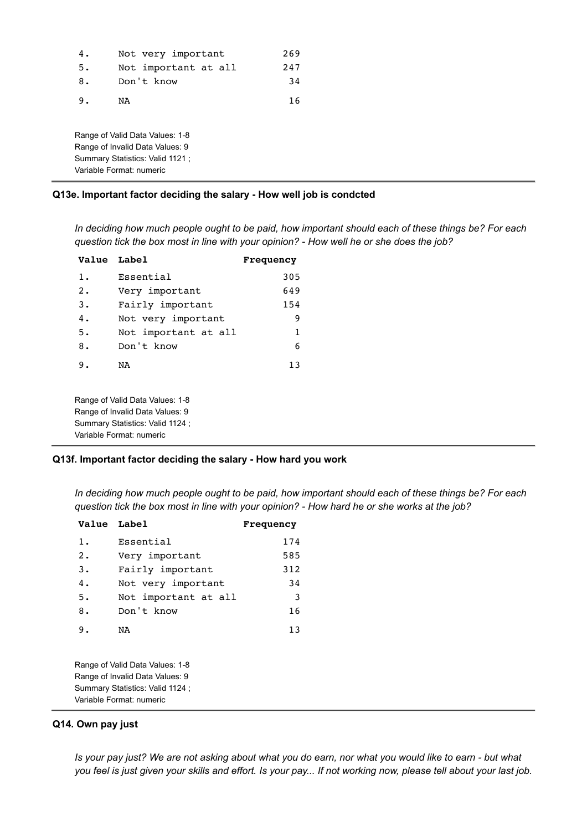| 4. | Not very important   | 269 |
|----|----------------------|-----|
| 5. | Not important at all | 247 |
| 8. | Don't know           | 34  |
| 9. | NA                   | 16  |

Range of Valid Data Values: 1-8 Range of Invalid Data Values: 9 Summary Statistics: Valid 1121 ; Variable Format: numeric

# **Q13e. Important factor deciding the salary - How well job is condcted**

*In deciding how much people ought to be paid, how important should each of these things be? For each question tick the box most in line with your opinion? - How well he or she does the job?*

| Value Label      |                      | <b>Frequency</b> |
|------------------|----------------------|------------------|
| 1.               | Essential            | 305              |
| $\overline{2}$ . | Very important       | 649              |
| 3.               | Fairly important     | 154              |
| 4.               | Not very important   | 9                |
| 5.               | Not important at all | 1                |
| 8.               | Don't know           | 6                |
| 9.               | NA                   | 1.3              |

Range of Valid Data Values: 1-8 Range of Invalid Data Values: 9 Summary Statistics: Valid 1124 ; Variable Format: numeric

#### **Q13f. Important factor deciding the salary - How hard you work**

*In deciding how much people ought to be paid, how important should each of these things be? For each question tick the box most in line with your opinion? - How hard he or she works at the job?*

| Value Label |                      | Frequency |
|-------------|----------------------|-----------|
| $1$ .       | Essential            | 174       |
| 2.          | Very important       | 585       |
| 3.          | Fairly important     | 312       |
| 4.          | Not very important   | 34        |
| 5.          | Not important at all | -3        |
| 8.          | Don't know           | 16        |
| 9.          | NA                   | 13        |

Range of Valid Data Values: 1-8 Range of Invalid Data Values: 9 Summary Statistics: Valid 1124 ; Variable Format: numeric

#### **Q14. Own pay just**

*Is your pay just? We are not asking about what you do earn, nor what you would like to earn - but what you feel is just given your skills and effort. Is your pay... If not working now, please tell about your last job.*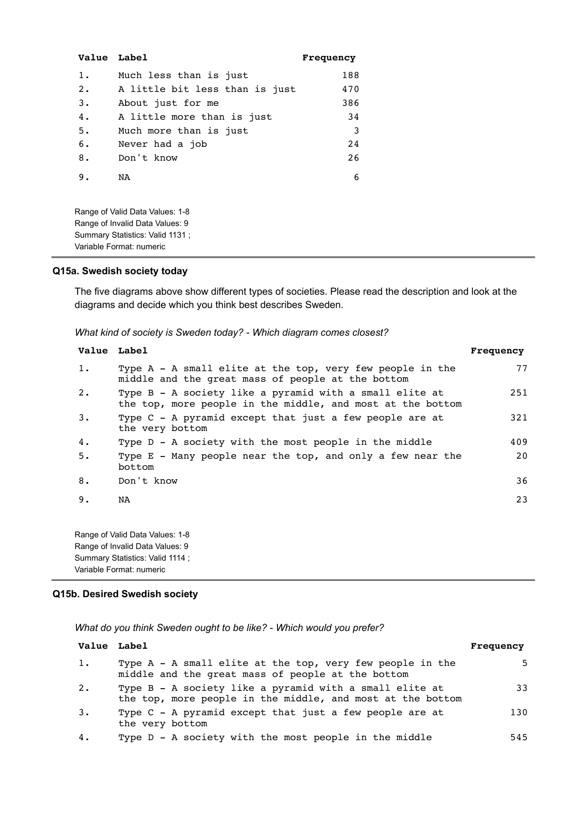| <b>Value</b> Label |                                                                                                                                   | Frequency |
|--------------------|-----------------------------------------------------------------------------------------------------------------------------------|-----------|
| $1$ .              | Much less than is just                                                                                                            | 188       |
| 2.                 | A little bit less than is just                                                                                                    | 470       |
| 3.                 | About just for me                                                                                                                 | 386       |
| 4.                 | A little more than is just                                                                                                        | 34        |
| 5.                 | Much more than is just                                                                                                            | 3         |
| 6.                 | Never had a job                                                                                                                   | 24        |
| 8.                 | Don't know                                                                                                                        | 26        |
| 9.                 | NA                                                                                                                                | 6         |
|                    | Range of Valid Data Values: 1-8<br>Range of Invalid Data Values: 9<br>Summary Statistics: Valid 1131;<br>Variable Format: numeric |           |

#### **Q15a. Swedish society today**

The five diagrams above show different types of societies. Please read the description and look at the diagrams and decide which you think best describes Sweden.

*What kind of society is Sweden today? - Which diagram comes closest?*

|           | Value Label                                                                                                           | Frequency |
|-----------|-----------------------------------------------------------------------------------------------------------------------|-----------|
| $1$ .     | Type A - A small elite at the top, very few people in the<br>middle and the great mass of people at the bottom        | 77        |
| $2 \cdot$ | Type B - A society like a pyramid with a small elite at<br>the top, more people in the middle, and most at the bottom | 251       |
| 3.        | Type C - A pyramid except that just a few people are at<br>the very bottom                                            | 321       |
| 4.        | Type D - A society with the most people in the middle                                                                 | 409       |
| 5.        | Type E - Many people near the top, and only a few near the<br>bottom                                                  | 20        |
| 8.        | Don't know                                                                                                            | 36        |
| 9.        | NA                                                                                                                    | 23        |
|           | Range of Valid Data Values: 1-8                                                                                       |           |

Range of Invalid Data Values: 9 Summary Statistics: Valid 1114 ; Variable Format: numeric

### **Q15b. Desired Swedish society**

*What do you think Sweden ought to be like? - Which would you prefer?*

| <b>Value</b> Label |                                                                                                                       | Frequency |
|--------------------|-----------------------------------------------------------------------------------------------------------------------|-----------|
| 1.                 | Type A - A small elite at the top, very few people in the<br>middle and the great mass of people at the bottom        | 5.        |
| 2.                 | Type B - A society like a pyramid with a small elite at<br>the top, more people in the middle, and most at the bottom | 33        |
| 3.                 | Type C - A pyramid except that just a few people are at<br>the very bottom                                            | 130       |
| 4.                 | Type D - A society with the most people in the middle                                                                 | 545       |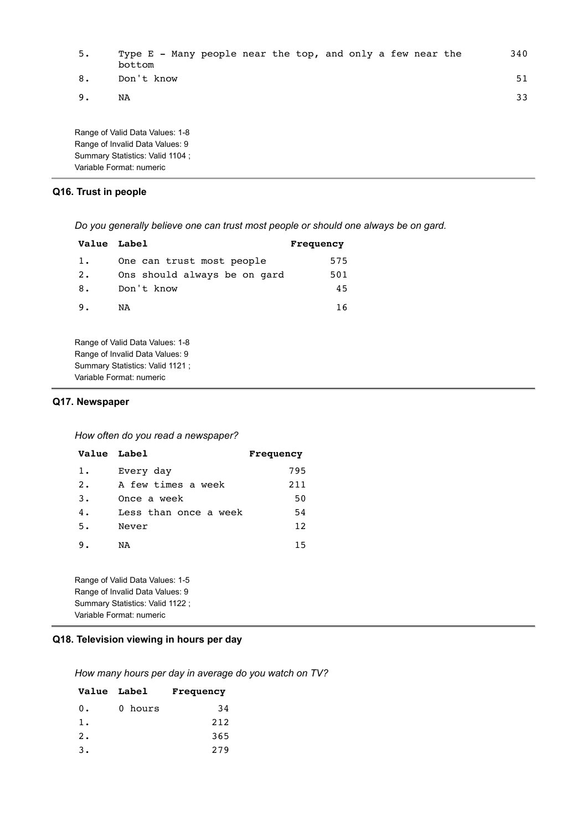| 5. | Type E - Many people near the top, and only a few near the<br>bottom |  | 340 |
|----|----------------------------------------------------------------------|--|-----|
| 8. | Don't know                                                           |  | 51  |
| 9. | NA                                                                   |  | 33  |
|    | Range of Valid Data Values: 1-8                                      |  |     |

Range of Invalid Data Values: 9 Summary Statistics: Valid 1104 ; Variable Format: numeric

# **Q16. Trust in people**

*Do you generally believe one can trust most people or should one always be on gard.*

| Value Label |                              | Frequency |
|-------------|------------------------------|-----------|
| 1.          | One can trust most people    | 575       |
| 2.          | Ons should always be on gard | 501       |
| 8.          | Don't know                   | 45        |
| 9.          | NA                           | 16        |

Range of Valid Data Values: 1-8 Range of Invalid Data Values: 9 Summary Statistics: Valid 1121 ; Variable Format: numeric

#### **Q17. Newspaper**

*How often do you read a newspaper?*

| Value Label |                       | Frequency |
|-------------|-----------------------|-----------|
| 1.          | Every day             | 795       |
| 2.          | A few times a week    | 211       |
| 3.          | Once a week           | 50        |
| 4.          | Less than once a week | 54        |
| 5.          | Never                 | 12        |
| 9.          | NA                    | 15        |
|             |                       |           |

Range of Valid Data Values: 1-5 Range of Invalid Data Values: 9 Summary Statistics: Valid 1122 ; Variable Format: numeric

# **Q18. Television viewing in hours per day**

*How many hours per day in average do you watch on TV?*

|       | <b>Value</b> Label | Frequency |
|-------|--------------------|-----------|
| $0$ . | 0 hours            | 34        |
| 1.    |                    | 212       |
| $2$ . |                    | 365       |
| 3.    |                    | 279       |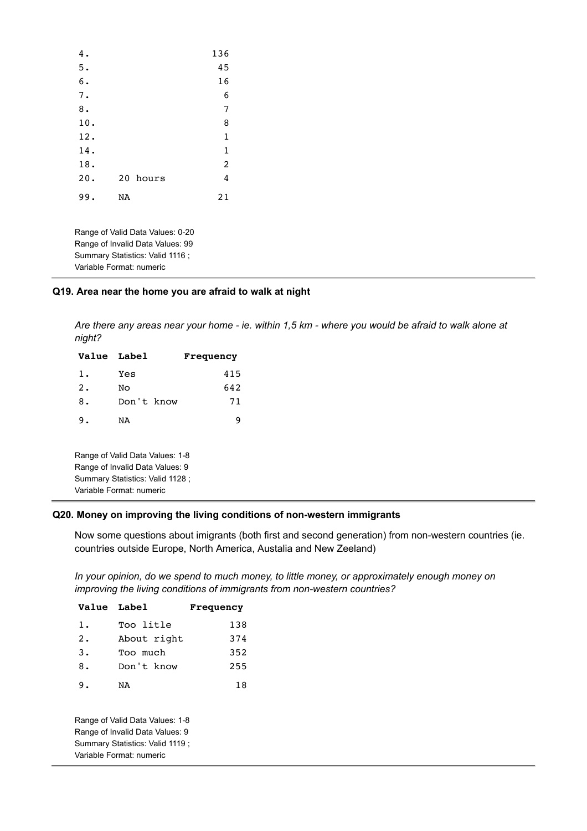| 4.  |    |          | 136            |
|-----|----|----------|----------------|
| 5.  |    |          | 45             |
| 6.  |    |          | 16             |
| 7.  |    |          | 6              |
| 8.  |    |          | 7              |
| 10. |    |          | 8              |
| 12. |    |          | $\mathbf{1}$   |
| 14. |    |          | $\mathbf{1}$   |
| 18. |    |          | $\overline{c}$ |
| 20. |    | 20 hours | 4              |
| 99. | NA |          | 21             |

Range of Valid Data Values: 0-20 Range of Invalid Data Values: 99 Summary Statistics: Valid 1116 ; Variable Format: numeric

### **Q19. Area near the home you are afraid to walk at night**

*Are there any areas near your home - ie. within 1,5 km - where you would be afraid to walk alone at night?*

| Value Label |                                                                                                                                    | Frequency |
|-------------|------------------------------------------------------------------------------------------------------------------------------------|-----------|
| $1$ .       | Yes                                                                                                                                | 415       |
| 2.          | Nο                                                                                                                                 | 642       |
| 8.          | Don't know                                                                                                                         | 71        |
| 9.          | NA                                                                                                                                 | 9         |
|             | Range of Valid Data Values: 1-8<br>Range of Invalid Data Values: 9<br>Summary Statistics: Valid 1128 ;<br>Variable Format: numeric |           |

### **Q20. Money on improving the living conditions of non-western immigrants**

Now some questions about imigrants (both first and second generation) from non-western countries (ie. countries outside Europe, North America, Austalia and New Zeeland)

*In your opinion, do we spend to much money, to little money, or approximately enough money on improving the living conditions of immigrants from non-western countries?*

| <b>Value Label</b> |                                 | Frequency |
|--------------------|---------------------------------|-----------|
| $1$ .              | Too litle                       | 138       |
| 2.                 | About right                     | 374       |
| 3.                 | Too much                        | 352       |
| 8.                 | Don't know                      | 255       |
| 9.                 | NA                              | 18        |
|                    | Range of Valid Data Values: 1-8 |           |

Range of Invalid Data Values: 9 Summary Statistics: Valid 1119 ; Variable Format: numeric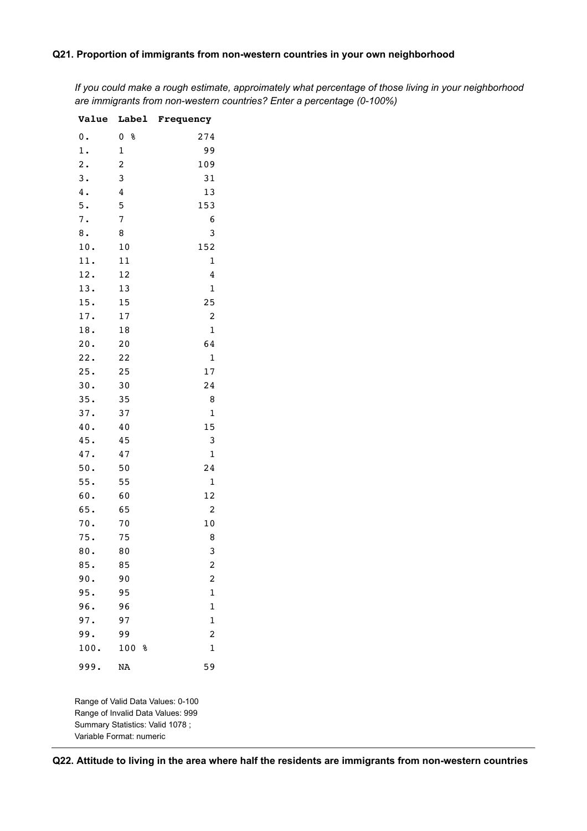### **Q21. Proportion of immigrants from non-western countries in your own neighborhood**

*If you could make a rough estimate, approimately what percentage of those living in your neighborhood are immigrants from non-western countries? Enter a percentage (0-100%)*

| <b>Value</b>   | <b>Label</b>            | Frequency               |
|----------------|-------------------------|-------------------------|
| 0.             | 0<br>g                  | 274                     |
| $1$ .          | $\mathbf 1$             | 99                      |
| $\mathbf{2}$ . | $\overline{\mathbf{c}}$ | 109                     |
| 3.             | 3                       | 31                      |
| 4.             | $\overline{4}$          | 13                      |
| 5.             | 5                       | 153                     |
| 7.             | 7                       | 6                       |
| 8.             | 8                       | 3                       |
| 10.            | 10                      | 152                     |
| 11.            | 11                      | $\mathbf 1$             |
| 12.            | 12                      | 4                       |
| 13.            | 13                      | $\mathbf 1$             |
| 15.            | 15                      | 25                      |
| 17.            | 17                      | 2                       |
| 18.            | 18                      | $\mathbf 1$             |
| 20.            | 20                      | 64                      |
| 22.            | 22                      | $\mathbf{1}$            |
| 25.            | 25                      | 17                      |
| 30.            | 30                      | 24                      |
| 35.            | 35                      | 8                       |
| 37.            | 37                      | $\mathbf 1$             |
| 40.            | 40                      | 15                      |
| 45.            | 45                      | 3                       |
| 47.            | 47                      | $\mathbf 1$             |
| 50.            | 50                      | 24                      |
| 55.            | 55                      | $\mathbf 1$             |
| 60.            | 60                      | 12                      |
| 65.            | 65                      | 2                       |
| 70.            | 70                      | 10                      |
| 75.            | 75                      | 8                       |
| 80.            | 80                      | 3                       |
| 85.            | 85                      | $\overline{\mathbf{c}}$ |
| 90.            | 90                      | $\overline{\mathbf{c}}$ |
| 95.            | 95                      | $\mathbf{1}$            |
| 96.            | 96                      | $\mathbf 1$             |
| 97.            | 97                      | $\mathbf 1$             |
| 99.            | 99                      | $\overline{\mathbf{c}}$ |
| 100.           | 100<br>୫                | $\mathbf 1$             |
| 999.           | <b>NA</b>               | 59                      |

Range of Valid Data Values: 0-100 Range of Invalid Data Values: 999 Summary Statistics: Valid 1078 ; Variable Format: numeric

**Q22. Attitude to living in the area where half the residents are immigrants from non-western countries**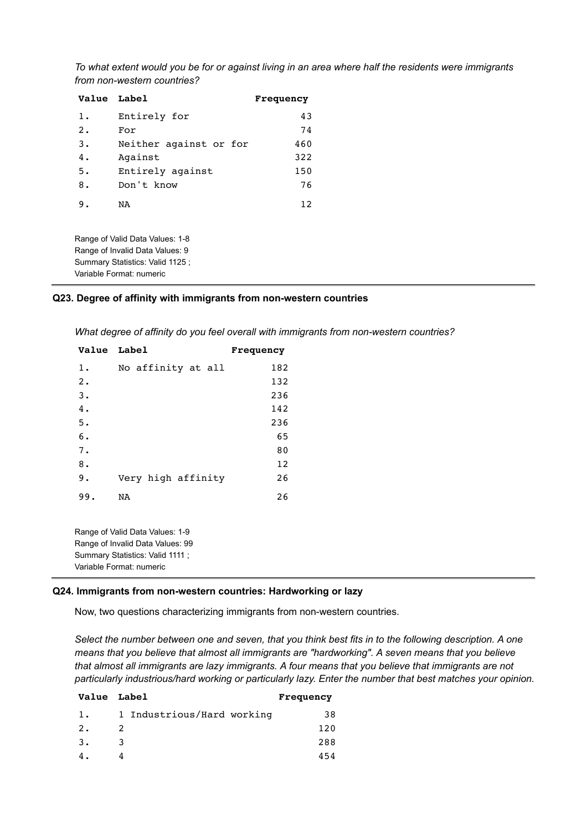*To what extent would you be for or against living in an area where half the residents were immigrants from non-western countries?*

| Value Label |                        | Frequency |
|-------------|------------------------|-----------|
| 1.          | Entirely for           | 43        |
| 2.          | For                    | 74        |
| 3.          | Neither against or for | 460       |
| 4.          | Against                | 322       |
| 5.          | Entirely against       | 150       |
| 8.          | Don't know             | 76        |
| 9.          | NA                     | 12        |

Range of Valid Data Values: 1-8 Range of Invalid Data Values: 9 Summary Statistics: Valid 1125 ; Variable Format: numeric

#### **Q23. Degree of affinity with immigrants from non-western countries**

*What degree of affinity do you feel overall with immigrants from non-western countries?*

| <b>Value Label</b> |                    | Frequency |
|--------------------|--------------------|-----------|
| $1$ .              | No affinity at all | 182       |
| $2$ .              |                    | 132       |
| 3.                 |                    | 236       |
| 4.                 |                    | 142       |
| 5.                 |                    | 236       |
| 6.                 |                    | 65        |
| 7.                 |                    | 80        |
| 8.                 |                    | 12        |
| 9.                 | Very high affinity | 26        |
| 99.                | NA                 | 26        |

Range of Valid Data Values: 1-9 Range of Invalid Data Values: 99 Summary Statistics: Valid 1111 ; Variable Format: numeric

### **Q24. Immigrants from non-western countries: Hardworking or lazy**

Now, two questions characterizing immigrants from non-western countries.

*Select the number between one and seven, that you think best fits in to the following description. A one means that you believe that almost all immigrants are "hardworking". A seven means that you believe that almost all immigrants are lazy immigrants. A four means that you believe that immigrants are not particularly industrious/hard working or particularly lazy. Enter the number that best matches your opinion.*

|                            | Frequency   |
|----------------------------|-------------|
| 1 Industrious/Hard working | 38          |
| 2                          | 120         |
| 3                          | 288         |
|                            | 454         |
|                            | Value Label |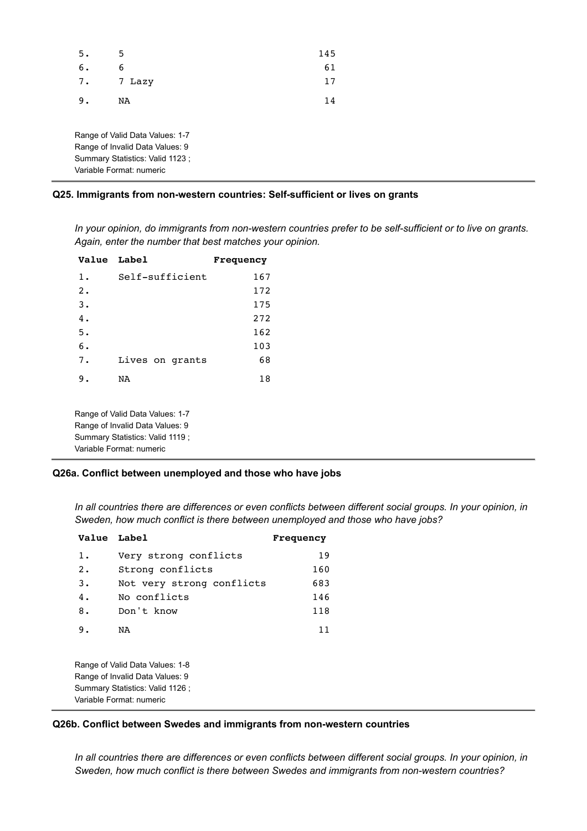| 5. | 5      | 145 |
|----|--------|-----|
| 6. | 6      | 61  |
| 7. | 7 Lazy | 17  |
| 9. | NA     | 14  |
|    |        |     |

Range of Valid Data Values: 1-7 Range of Invalid Data Values: 9 Summary Statistics: Valid 1123 ; Variable Format: numeric

### **Q25. Immigrants from non-western countries: Self-sufficient or lives on grants**

*In your opinion, do immigrants from non-western countries prefer to be self-sufficient or to live on grants. Again, enter the number that best matches your opinion.*

| Value Label |                 | Frequency |
|-------------|-----------------|-----------|
| 1.          | Self-sufficient | 167       |
| 2.          |                 | 172       |
| 3.          |                 | 175       |
| 4.          |                 | 272       |
| 5.          |                 | 162       |
| б.          |                 | 103       |
| 7.          | Lives on grants | 68        |
| 9.          | NA              | 18        |
|             |                 |           |

Range of Valid Data Values: 1-7 Range of Invalid Data Values: 9 Summary Statistics: Valid 1119 ; Variable Format: numeric

#### **Q26a. Conflict between unemployed and those who have jobs**

*In all countries there are differences or even conflicts between different social groups. In your opinion, in Sweden, how much conflict is there between unemployed and those who have jobs?*

| Value Label |                                                                    | Frequency |
|-------------|--------------------------------------------------------------------|-----------|
| 1.          | Very strong conflicts                                              | 19        |
| $2 \cdot$   | Strong conflicts                                                   | 160       |
| 3.          | Not very strong conflicts                                          | 683       |
| 4.          | No conflicts                                                       | 146       |
| 8.          | Don't know                                                         | 118       |
| 9.          | NA                                                                 | 11        |
|             | Range of Valid Data Values: 1-8<br>Range of Invalid Data Values: 9 |           |

Summary Statistics: Valid 1126 ; Variable Format: numeric

#### **Q26b. Conflict between Swedes and immigrants from non-western countries**

*In all countries there are differences or even conflicts between different social groups. In your opinion, in Sweden, how much conflict is there between Swedes and immigrants from non-western countries?*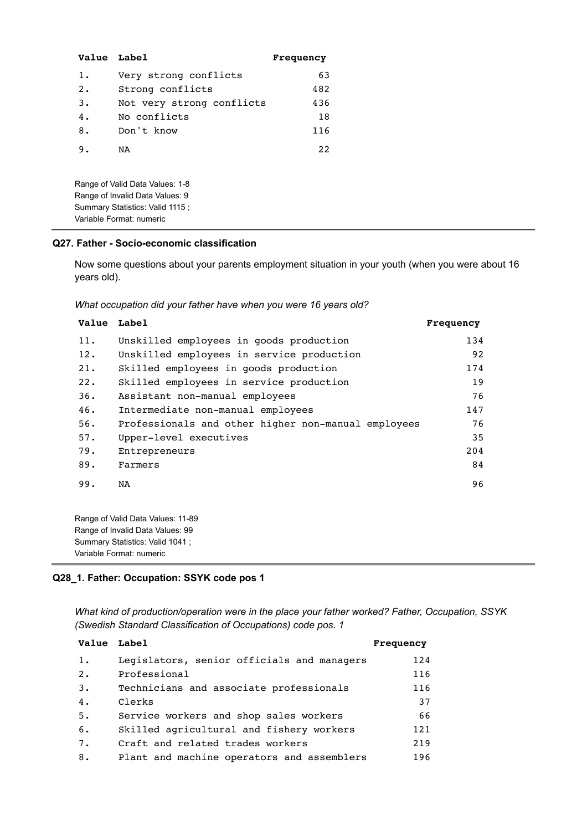| <b>Value Label</b> |                                                                                                       | Frequency |
|--------------------|-------------------------------------------------------------------------------------------------------|-----------|
| $1$ .              | Very strong conflicts                                                                                 | 63        |
| 2.                 | Strong conflicts                                                                                      | 482       |
| 3.                 | Not very strong conflicts                                                                             | 436       |
| 4.                 | No conflicts                                                                                          | 18        |
| 8.                 | Don't know                                                                                            | 116       |
| 9.                 | NA                                                                                                    | 22        |
|                    | Range of Valid Data Values: 1-8<br>Range of Invalid Data Values: 9<br>Summary Statistics: Valid 1115; |           |
|                    | Variable Format: numeric                                                                              |           |

### **Q27. Father - Socio-economic classification**

Now some questions about your parents employment situation in your youth (when you were about 16 years old).

*What occupation did your father have when you were 16 years old?*

| Value Label |                                                     | Frequency |
|-------------|-----------------------------------------------------|-----------|
| 11.         | Unskilled employees in goods production             | 134       |
| 12.         | Unskilled employees in service production           | 92        |
| 21.         | Skilled employees in goods production               | 174       |
| 22.         | Skilled employees in service production             | 19        |
| 36.         | Assistant non-manual employees                      | 76        |
| 46.         | Intermediate non-manual employees                   | 147       |
| 56.         | Professionals and other higher non-manual employees | 76        |
| 57.         | Upper-level executives                              | 35        |
| 79.         | Entrepreneurs                                       | 204       |
| 89.         | Farmers                                             | 84        |
| 99.         | NA                                                  | 96        |

Range of Valid Data Values: 11-89 Range of Invalid Data Values: 99 Summary Statistics: Valid 1041 ; Variable Format: numeric

# **Q28\_1. Father: Occupation: SSYK code pos 1**

*What kind of production/operation were in the place your father worked? Father, Occupation, SSYK (Swedish Standard Classification of Occupations) code pos. 1*

| Value Label |                                            | Frequency |
|-------------|--------------------------------------------|-----------|
| $1$ .       | Legislators, senior officials and managers | 124       |
| 2.          | Professional                               | 116       |
| 3.          | Technicians and associate professionals    | 116       |
| 4.          | Clerks                                     | 37        |
| 5.          | Service workers and shop sales workers     | 66        |
| 6.          | Skilled agricultural and fishery workers   | 121       |
| 7.          | Craft and related trades workers           | 219       |
| 8.          | Plant and machine operators and assemblers | 196       |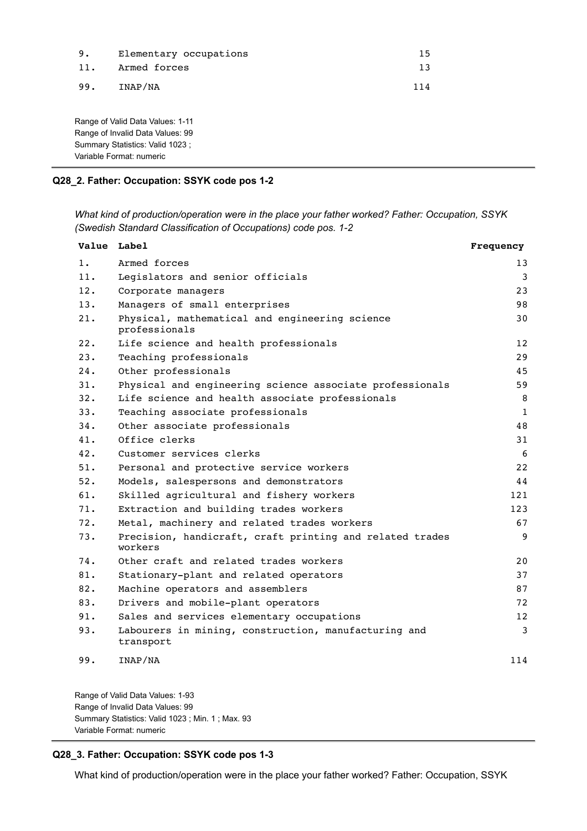| 9.  | Elementary occupations | 15. |
|-----|------------------------|-----|
| 11. | Armed forces           | 13  |
| 99. | INAP/NA                | 114 |

Range of Valid Data Values: 1-11 Range of Invalid Data Values: 99 Summary Statistics: Valid 1023 ; Variable Format: numeric

### **Q28\_2. Father: Occupation: SSYK code pos 1-2**

*What kind of production/operation were in the place your father worked? Father: Occupation, SSYK (Swedish Standard Classification of Occupations) code pos. 1-2*

| Value Label |                                                                     | Frequency    |
|-------------|---------------------------------------------------------------------|--------------|
| $1$ .       | Armed forces                                                        | 13           |
| 11.         | Legislators and senior officials                                    | 3            |
| 12.         | Corporate managers                                                  | 23           |
| 13.         | Managers of small enterprises                                       | 98           |
| 21.         | Physical, mathematical and engineering science<br>professionals     | 30           |
| 22.         | Life science and health professionals                               | 12           |
| 23.         | Teaching professionals                                              | 29           |
| 24.         | Other professionals                                                 | 45           |
| 31.         | Physical and engineering science associate professionals            | 59           |
| 32.         | Life science and health associate professionals                     | 8            |
| 33.         | Teaching associate professionals                                    | $\mathbf{1}$ |
| 34.         | Other associate professionals                                       | 48           |
| 41.         | Office clerks                                                       | 31           |
| 42.         | Customer services clerks                                            | 6            |
| 51.         | Personal and protective service workers                             | 22           |
| 52.         | Models, salespersons and demonstrators                              | 44           |
| 61.         | Skilled agricultural and fishery workers                            | 121          |
| 71.         | Extraction and building trades workers                              | 123          |
| 72.         | Metal, machinery and related trades workers                         | 67           |
| 73.         | Precision, handicraft, craft printing and related trades<br>workers | 9            |
| 74.         | Other craft and related trades workers                              | 20           |
| 81.         | Stationary-plant and related operators                              | 37           |
| 82.         | Machine operators and assemblers                                    | 87           |
| 83.         | Drivers and mobile-plant operators                                  | 72           |
| 91.         | Sales and services elementary occupations                           | 12           |
| 93.         | Labourers in mining, construction, manufacturing and<br>transport   | 3            |
| 99.         | INAP/NA                                                             | 114          |

Range of Valid Data Values: 1-93 Range of Invalid Data Values: 99 Summary Statistics: Valid 1023 ; Min. 1 ; Max. 93 Variable Format: numeric

### **Q28\_3. Father: Occupation: SSYK code pos 1-3**

What kind of production/operation were in the place your father worked? Father: Occupation, SSYK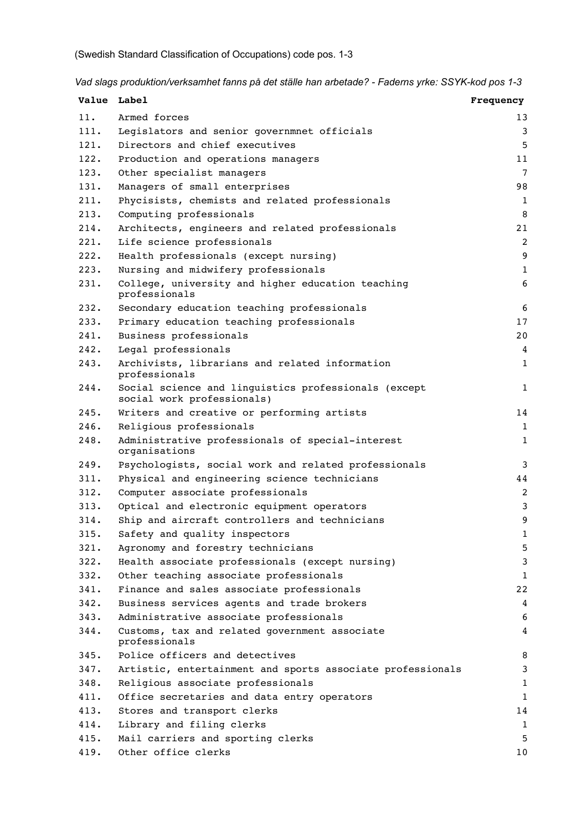*Vad slags produktion/verksamhet fanns på det ställe han arbetade? - Faderns yrke: SSYK-kod pos 1-3*

| Value Label |                                                                                    | Frequency      |
|-------------|------------------------------------------------------------------------------------|----------------|
| 11.         | Armed forces                                                                       | 13             |
| 111.        | Legislators and senior governmnet officials                                        | 3              |
| 121.        | Directors and chief executives                                                     | 5              |
| 122.        | Production and operations managers                                                 | 11             |
| 123.        | Other specialist managers                                                          | $\overline{7}$ |
| 131.        | Managers of small enterprises                                                      | 98             |
| 211.        | Phycisists, chemists and related professionals                                     | 1              |
| 213.        | Computing professionals                                                            | 8              |
| 214.        | Architects, engineers and related professionals                                    | 21             |
| 221.        | Life science professionals                                                         | $\overline{c}$ |
| 222.        | Health professionals (except nursing)                                              | 9              |
| 223.        | Nursing and midwifery professionals                                                | $\mathbf{1}$   |
| 231.        | College, university and higher education teaching<br>professionals                 | 6              |
| 232.        | Secondary education teaching professionals                                         | 6              |
| 233.        | Primary education teaching professionals                                           | 17             |
| 241.        | Business professionals                                                             | 20             |
| 242.        | Legal professionals                                                                | 4              |
| 243.        | Archivists, librarians and related information<br>professionals                    | 1              |
| 244.        | Social science and linguistics professionals (except<br>social work professionals) | $1\,$          |
| 245.        | Writers and creative or performing artists                                         | 14             |
| 246.        | Religious professionals                                                            | $\mathbf{1}$   |
| 248.        | Administrative professionals of special-interest<br>organisations                  | 1              |
| 249.        | Psychologists, social work and related professionals                               | 3              |
| 311.        | Physical and engineering science technicians                                       | 44             |
| 312.        | Computer associate professionals                                                   | $\overline{c}$ |
| 313.        | Optical and electronic equipment operators                                         | 3              |
| 314.        | Ship and aircraft controllers and technicians                                      | 9              |
| 315.        | Safety and quality inspectors                                                      | 1              |
| 321.        | Agronomy and forestry technicians                                                  | 5              |
| 322.        | Health associate professionals (except nursing)                                    | 3              |
| 332.        | Other teaching associate professionals                                             | $\mathbf 1$    |
| 341.        | Finance and sales associate professionals                                          | 22             |
| 342.        | Business services agents and trade brokers                                         | 4              |
| 343.        | Administrative associate professionals                                             | 6              |
| 344.        | Customs, tax and related government associate<br>professionals                     | 4              |
| 345.        | Police officers and detectives                                                     | 8              |
| 347.        | Artistic, entertainment and sports associate professionals                         | 3              |
| 348.        | Religious associate professionals                                                  | 1              |
| 411.        | Office secretaries and data entry operators                                        | $\mathbf 1$    |
| 413.        | Stores and transport clerks                                                        | 14             |
| 414.        | Library and filing clerks                                                          | $\mathbf{1}$   |
| 415.        | Mail carriers and sporting clerks                                                  | 5              |
| 419.        | Other office clerks                                                                | 10             |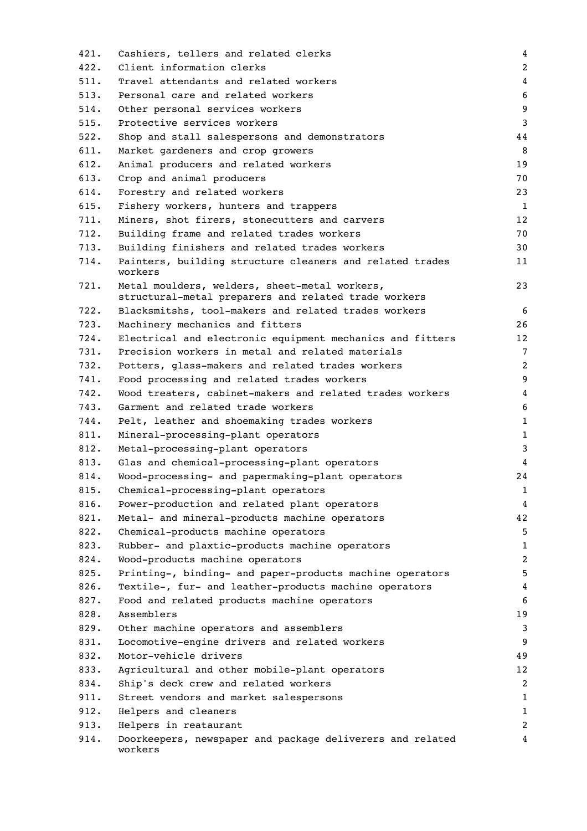| 421. | Cashiers, tellers and related clerks                                                                  | 4            |
|------|-------------------------------------------------------------------------------------------------------|--------------|
| 422. | Client information clerks                                                                             | 2            |
| 511. | Travel attendants and related workers                                                                 | 4            |
| 513. | Personal care and related workers                                                                     | 6            |
| 514. | Other personal services workers                                                                       | 9            |
| 515. | Protective services workers                                                                           | 3            |
| 522. | Shop and stall salespersons and demonstrators                                                         | 44           |
| 611. | Market gardeners and crop growers                                                                     | 8            |
| 612. | Animal producers and related workers                                                                  | 19           |
| 613. | Crop and animal producers                                                                             | 70           |
| 614. | Forestry and related workers                                                                          | 23           |
| 615. | Fishery workers, hunters and trappers                                                                 | 1            |
| 711. | Miners, shot firers, stonecutters and carvers                                                         | 12           |
| 712. | Building frame and related trades workers                                                             | 70           |
| 713. | Building finishers and related trades workers                                                         | 30           |
| 714. | Painters, building structure cleaners and related trades<br>workers                                   | 11           |
| 721. | Metal moulders, welders, sheet-metal workers,<br>structural-metal preparers and related trade workers | 23           |
| 722. | Blacksmitshs, tool-makers and related trades workers                                                  | 6            |
| 723. | Machinery mechanics and fitters                                                                       | 26           |
| 724. | Electrical and electronic equipment mechanics and fitters                                             | 12           |
| 731. | Precision workers in metal and related materials                                                      | 7            |
| 732. | Potters, glass-makers and related trades workers                                                      | 2            |
| 741. | Food processing and related trades workers                                                            | 9            |
| 742. | Wood treaters, cabinet-makers and related trades workers                                              | 4            |
| 743. | Garment and related trade workers                                                                     | 6            |
| 744. | Pelt, leather and shoemaking trades workers                                                           | $\mathbf{1}$ |
| 811. | Mineral-processing-plant operators                                                                    | $\mathbf{1}$ |
| 812. | Metal-processing-plant operators                                                                      | 3            |
| 813. | Glas and chemical-processing-plant operators                                                          | 4            |
| 814. | Wood-processing- and papermaking-plant operators                                                      | 24           |
| 815. | Chemical-processing-plant operators                                                                   | $\mathbf{1}$ |
| 816. | Power-production and related plant operators                                                          | 4            |
| 821. | Metal- and mineral-products machine operators                                                         | 42           |
| 822. | Chemical-products machine operators                                                                   | 5            |
| 823. | Rubber- and plaxtic-products machine operators                                                        | $\mathbf{1}$ |
| 824. | Wood-products machine operators                                                                       | 2            |
| 825. | Printing-, binding- and paper-products machine operators                                              | 5            |
| 826. | Textile-, fur- and leather-products machine operators                                                 | 4            |
| 827. | Food and related products machine operators                                                           | 6            |
| 828. | Assemblers                                                                                            | 19           |
| 829. | Other machine operators and assemblers                                                                | 3            |
| 831. | Locomotive-engine drivers and related workers                                                         | 9            |
| 832. | Motor-vehicle drivers                                                                                 | 49           |
| 833. | Agricultural and other mobile-plant operators                                                         | 12           |
| 834. | Ship's deck crew and related workers                                                                  | 2            |
| 911. | Street vendors and market salespersons                                                                | 1            |
| 912. | Helpers and cleaners                                                                                  | $\mathbf{1}$ |
| 913. | Helpers in reataurant                                                                                 | 2            |
| 914. | Doorkeepers, newspaper and package deliverers and related<br>workers                                  | 4            |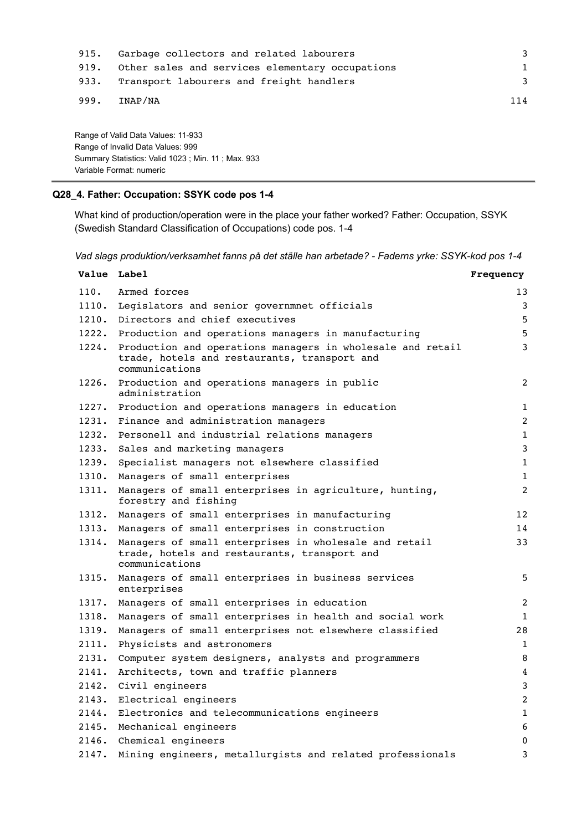| 915. | Garbage collectors and related labourers        | 3   |
|------|-------------------------------------------------|-----|
| 919. | Other sales and services elementary occupations |     |
| 933. | Transport labourers and freight handlers        | 3   |
| 999. | INAP/NA                                         | 114 |

Range of Valid Data Values: 11-933 Range of Invalid Data Values: 999 Summary Statistics: Valid 1023 ; Min. 11 ; Max. 933 Variable Format: numeric

# **Q28\_4. Father: Occupation: SSYK code pos 1-4**

What kind of production/operation were in the place your father worked? Father: Occupation, SSYK (Swedish Standard Classification of Occupations) code pos. 1-4

*Vad slags produktion/verksamhet fanns på det ställe han arbetade? - Faderns yrke: SSYK-kod pos 1-4*

| Value Label |                                                                                                                              | Frequency      |
|-------------|------------------------------------------------------------------------------------------------------------------------------|----------------|
| 110.        | Armed forces                                                                                                                 | 13             |
| 1110.       | Legislators and senior governmnet officials                                                                                  | 3              |
| 1210.       | Directors and chief executives                                                                                               | 5              |
| 1222.       | Production and operations managers in manufacturing                                                                          | 5              |
| 1224.       | Production and operations managers in wholesale and retail<br>trade, hotels and restaurants, transport and<br>communications | 3              |
| 1226.       | Production and operations managers in public<br>administration                                                               | 2              |
|             | 1227. Production and operations managers in education                                                                        | $\mathbf{1}$   |
| 1231.       | Finance and administration managers                                                                                          | $\overline{2}$ |
| 1232.       | Personell and industrial relations managers                                                                                  | $\mathbf{1}$   |
| 1233.       | Sales and marketing managers                                                                                                 | 3              |
| 1239.       | Specialist managers not elsewhere classified                                                                                 | $\mathbf 1$    |
| 1310.       | Managers of small enterprises                                                                                                | $\mathbf{1}$   |
| 1311.       | Managers of small enterprises in agriculture, hunting,<br>forestry and fishing                                               | 2              |
| 1312.       | Managers of small enterprises in manufacturing                                                                               | 12             |
| 1313.       | Managers of small enterprises in construction                                                                                | 14             |
| 1314.       | Managers of small enterprises in wholesale and retail<br>trade, hotels and restaurants, transport and<br>communications      | 33             |
| 1315.       | Managers of small enterprises in business services<br>enterprises                                                            | 5              |
| 1317.       | Managers of small enterprises in education                                                                                   | 2              |
| 1318.       | Managers of small enterprises in health and social work                                                                      | $\mathbf{1}$   |
| 1319.       | Managers of small enterprises not elsewhere classified                                                                       | 28             |
| 2111.       | Physicists and astronomers                                                                                                   | $\mathbf{1}$   |
| 2131.       | Computer system designers, analysts and programmers                                                                          | 8              |
| 2141.       | Architects, town and traffic planners                                                                                        | 4              |
| 2142.       | Civil engineers                                                                                                              | 3              |
| 2143.       | Electrical engineers                                                                                                         | 2              |
| 2144.       | Electronics and telecommunications engineers                                                                                 | $\mathbf{1}$   |
| 2145.       | Mechanical engineers                                                                                                         | 6              |
| 2146.       | Chemical engineers                                                                                                           | $\mathbf{0}$   |
| 2147.       | Mining engineers, metallurgists and related professionals                                                                    | 3              |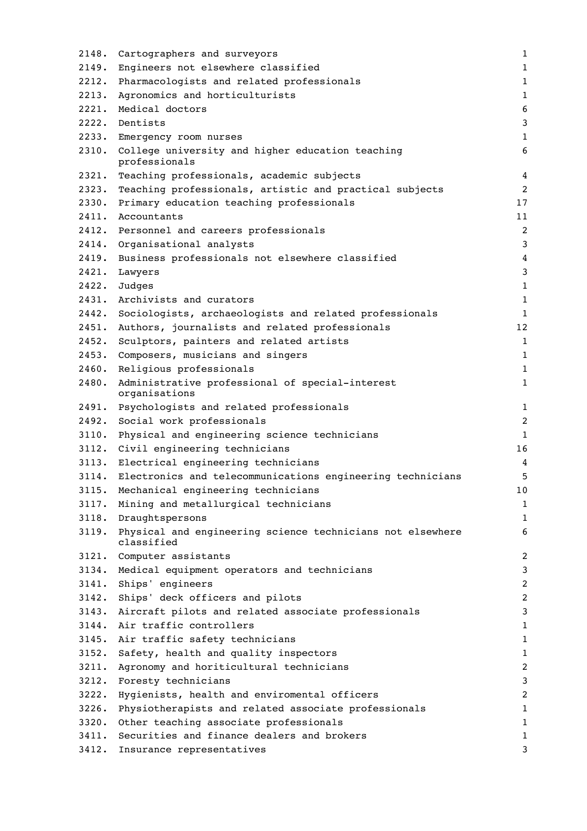| 2148. | Cartographers and surveyors                                                    | $\mathbf 1$             |
|-------|--------------------------------------------------------------------------------|-------------------------|
| 2149. | Engineers not elsewhere classified                                             | 1                       |
| 2212. | Pharmacologists and related professionals                                      | $\mathbf{1}$            |
| 2213. | Agronomics and horticulturists                                                 | $\mathbf{1}$            |
| 2221. | Medical doctors                                                                | 6                       |
| 2222. | Dentists                                                                       | 3                       |
| 2233. | Emergency room nurses                                                          | $\mathbf{1}$            |
| 2310. | College university and higher education teaching<br>professionals              | 6                       |
| 2321. | Teaching professionals, academic subjects                                      | 4                       |
| 2323. | Teaching professionals, artistic and practical subjects                        | $\overline{2}$          |
| 2330. | Primary education teaching professionals                                       | 17                      |
| 2411. | Accountants                                                                    | 11                      |
|       | 2412. Personnel and careers professionals                                      | $\overline{c}$          |
|       | 2414. Organisational analysts                                                  | 3                       |
| 2419. | Business professionals not elsewhere classified                                | $\overline{4}$          |
| 2421. | Lawyers                                                                        | 3                       |
| 2422. | Judges                                                                         | $\mathbf{1}$            |
| 2431. | Archivists and curators                                                        | $\mathbf{1}$            |
| 2442. | Sociologists, archaeologists and related professionals                         | $\mathbf{1}$            |
| 2451. | Authors, journalists and related professionals                                 | 12                      |
| 2452. | Sculptors, painters and related artists                                        | $\mathbf{1}$            |
| 2453. | Composers, musicians and singers                                               | $\mathbf{1}$            |
| 2460. | Religious professionals                                                        | 1                       |
| 2480. | Administrative professional of special-interest<br>organisations               | $\mathbf{1}$            |
| 2491. | Psychologists and related professionals                                        | 1                       |
| 2492. | Social work professionals                                                      | $\overline{c}$          |
| 3110. | Physical and engineering science technicians                                   | $\mathbf{1}$            |
|       | 3112. Civil engineering technicians                                            | 16                      |
|       | 3113. Electrical engineering technicians                                       | 4                       |
|       | 3114. Electronics and telecommunications engineering technicians               | 5                       |
|       | 3115. Mechanical engineering technicians                                       | 10                      |
| 3117. | Mining and metallurgical technicians                                           | $\mathbf 1$             |
| 3118. | Draughtspersons                                                                | $\mathbf 1$             |
|       | 3119. Physical and engineering science technicians not elsewhere<br>classified | 6                       |
|       | 3121. Computer assistants                                                      | 2                       |
| 3134. | Medical equipment operators and technicians                                    | 3                       |
|       | 3141. Ships' engineers                                                         | $\overline{\mathbf{c}}$ |
|       | 3142. Ships' deck officers and pilots                                          | $\overline{c}$          |
|       | 3143. Aircraft pilots and related associate professionals                      | 3                       |
|       | 3144. Air traffic controllers                                                  | 1                       |
|       | 3145. Air traffic safety technicians                                           | $\mathbf{1}$            |
|       | 3152. Safety, health and quality inspectors                                    | $\mathbf 1$             |
|       | 3211. Agronomy and horiticultural technicians                                  | $\overline{c}$          |
|       | 3212. Foresty technicians                                                      | 3                       |
| 3222. | Hygienists, health and enviromental officers                                   | 2                       |
| 3226. | Physiotherapists and related associate professionals                           | 1                       |
| 3320. | Other teaching associate professionals                                         | $\mathbf{1}$            |
|       | 3411. Securities and finance dealers and brokers                               | 1                       |
| 3412. | Insurance representatives                                                      | 3                       |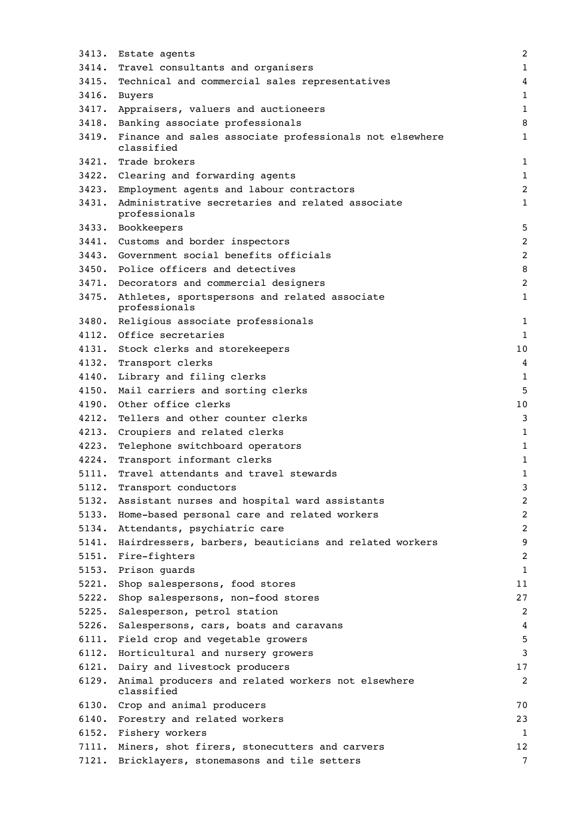| 3413. | Estate agents                                                               | $\overline{2}$ |
|-------|-----------------------------------------------------------------------------|----------------|
| 3414. | Travel consultants and organisers                                           | $\mathbf{1}$   |
| 3415. | Technical and commercial sales representatives                              | 4              |
|       | 3416. Buyers                                                                | $\mathbf{1}$   |
|       | 3417. Appraisers, valuers and auctioneers                                   | $\mathbf{1}$   |
|       | 3418. Banking associate professionals                                       | 8              |
|       | 3419. Finance and sales associate professionals not elsewhere<br>classified | $\mathbf{1}$   |
|       | 3421. Trade brokers                                                         | 1              |
|       | 3422. Clearing and forwarding agents                                        | $\mathbf{1}$   |
|       | 3423. Employment agents and labour contractors                              | $\overline{a}$ |
| 3431. | Administrative secretaries and related associate<br>professionals           | 1              |
|       | 3433. Bookkeepers                                                           | 5              |
|       | 3441. Customs and border inspectors                                         | 2              |
|       | 3443. Government social benefits officials                                  | $\overline{2}$ |
|       | 3450. Police officers and detectives                                        | 8              |
|       | 3471. Decorators and commercial designers                                   | $\overline{c}$ |
| 3475. | Athletes, sportspersons and related associate<br>professionals              | $\mathbf{1}$   |
|       | 3480. Religious associate professionals                                     | $\mathbf{1}$   |
|       | 4112. Office secretaries                                                    | $\mathbf{1}$   |
|       | 4131. Stock clerks and storekeepers                                         | 10             |
| 4132. | Transport clerks                                                            | 4              |
| 4140. | Library and filing clerks                                                   | $\mathbf{1}$   |
| 4150. | Mail carriers and sorting clerks                                            | 5              |
| 4190. | Other office clerks                                                         | 10             |
| 4212. | Tellers and other counter clerks                                            | 3              |
| 4213. | Croupiers and related clerks                                                | 1              |
| 4223. | Telephone switchboard operators                                             | $\mathbf{1}$   |
| 4224. | Transport informant clerks                                                  | $\mathbf{1}$   |
| 5111. | Travel attendants and travel stewards                                       | 1              |
| 5112. | Transport conductors                                                        | 3              |
| 5132. | Assistant nurses and hospital ward assistants                               | $\overline{c}$ |
| 5133. | Home-based personal care and related workers                                | 2              |
| 5134. | Attendants, psychiatric care                                                | $\overline{a}$ |
| 5141. | Hairdressers, barbers, beauticians and related workers                      | 9              |
| 5151. | Fire-fighters                                                               | 2              |
| 5153. | Prison guards                                                               | $\mathbf{1}$   |
| 5221. | Shop salespersons, food stores                                              | 11             |
| 5222. | Shop salespersons, non-food stores                                          | 27             |
| 5225. | Salesperson, petrol station                                                 | 2              |
| 5226. | Salespersons, cars, boats and caravans                                      | 4              |
| 6111. | Field crop and vegetable growers                                            | 5              |
| 6112. | Horticultural and nursery growers                                           | 3              |
| 6121. | Dairy and livestock producers                                               | 17             |
| 6129. | Animal producers and related workers not elsewhere<br>classified            | 2              |
|       | 6130. Crop and animal producers                                             | 70             |
| 6140. | Forestry and related workers                                                | 23             |
| 6152. | Fishery workers                                                             | 1              |
| 7111. | Miners, shot firers, stonecutters and carvers                               | 12             |
| 7121. | Bricklayers, stonemasons and tile setters                                   | 7              |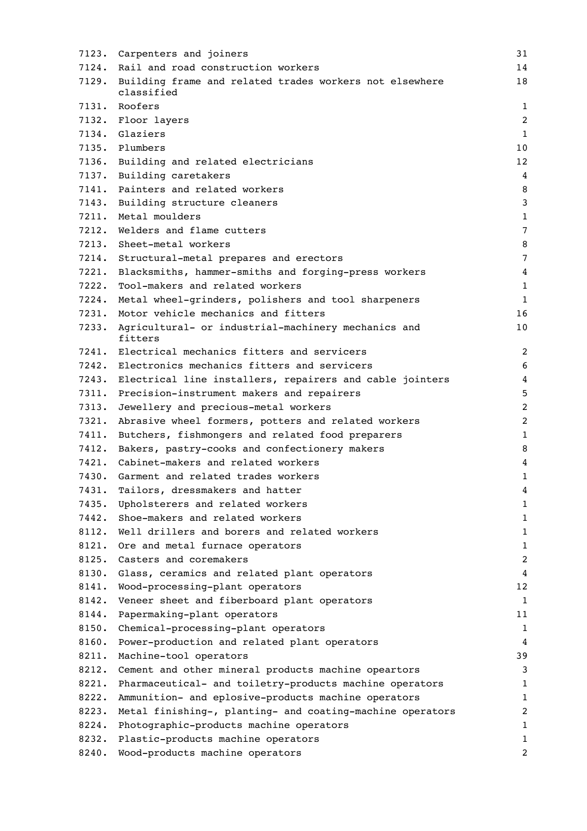| 7123. | Carpenters and joiners                                                | 31             |
|-------|-----------------------------------------------------------------------|----------------|
| 7124. | Rail and road construction workers                                    | 14             |
| 7129. | Building frame and related trades workers not elsewhere<br>classified | 18             |
|       | 7131. Roofers                                                         | 1              |
|       | 7132. Floor layers                                                    | $\overline{2}$ |
|       | 7134. Glaziers                                                        | 1              |
|       | 7135. Plumbers                                                        | 10             |
|       | 7136. Building and related electricians                               | 12             |
|       | 7137. Building caretakers                                             | 4              |
|       | 7141. Painters and related workers                                    | 8              |
|       | 7143. Building structure cleaners                                     | 3              |
|       | 7211. Metal moulders                                                  | $\mathbf{1}$   |
| 7212. | Welders and flame cutters                                             | 7              |
| 7213. | Sheet-metal workers                                                   | 8              |
|       | 7214. Structural-metal prepares and erectors                          | 7              |
|       | 7221. Blacksmiths, hammer-smiths and forging-press workers            | 4              |
| 7222. | Tool-makers and related workers                                       | $\mathbf{1}$   |
|       | 7224. Metal wheel-grinders, polishers and tool sharpeners             | $\mathbf 1$    |
|       | 7231. Motor vehicle mechanics and fitters                             | 16             |
| 7233. | Agricultural- or industrial-machinery mechanics and<br>fitters        | 10             |
|       | 7241. Electrical mechanics fitters and servicers                      | $\overline{c}$ |
|       | 7242. Electronics mechanics fitters and servicers                     | 6              |
|       | 7243. Electrical line installers, repairers and cable jointers        | 4              |
|       | 7311. Precision-instrument makers and repairers                       | 5              |
| 7313. | Jewellery and precious-metal workers                                  | $\overline{c}$ |
| 7321. | Abrasive wheel formers, potters and related workers                   | $\overline{c}$ |
| 7411. | Butchers, fishmongers and related food preparers                      | $\mathbf{1}$   |
| 7412. | Bakers, pastry-cooks and confectionery makers                         | 8              |
|       | 7421. Cabinet-makers and related workers                              | 4              |
|       | 7430. Garment and related trades workers                              | $\mathbf{1}$   |
| 7431. | Tailors, dressmakers and hatter                                       | 4              |
|       | 7435. Upholsterers and related workers                                | $\mathbf 1$    |
| 7442. | Shoe-makers and related workers                                       | $\mathbf 1$    |
| 8112. | Well drillers and borers and related workers                          | $\mathbf 1$    |
| 8121. | Ore and metal furnace operators                                       | $\mathbf 1$    |
| 8125. | Casters and coremakers                                                | $\overline{c}$ |
| 8130. | Glass, ceramics and related plant operators                           | 4              |
| 8141. | Wood-processing-plant operators                                       | 12             |
| 8142. | Veneer sheet and fiberboard plant operators                           | 1              |
| 8144. | Papermaking-plant operators                                           | 11             |
| 8150. | Chemical-processing-plant operators                                   | $\mathbf 1$    |
| 8160. | Power-production and related plant operators                          | 4              |
| 8211. | Machine-tool operators                                                | 39             |
| 8212. | Cement and other mineral products machine opeartors                   | 3              |
| 8221. | Pharmaceutical- and toiletry-products machine operators               | 1              |
| 8222. | Ammunition- and eplosive-products machine operators                   | $\mathbf 1$    |
| 8223. | Metal finishing-, planting- and coating-machine operators             | $\overline{c}$ |
| 8224. | Photographic-products machine operators                               | 1              |
| 8232. | Plastic-products machine operators                                    | 1              |
| 8240. | Wood-products machine operators                                       | $\overline{c}$ |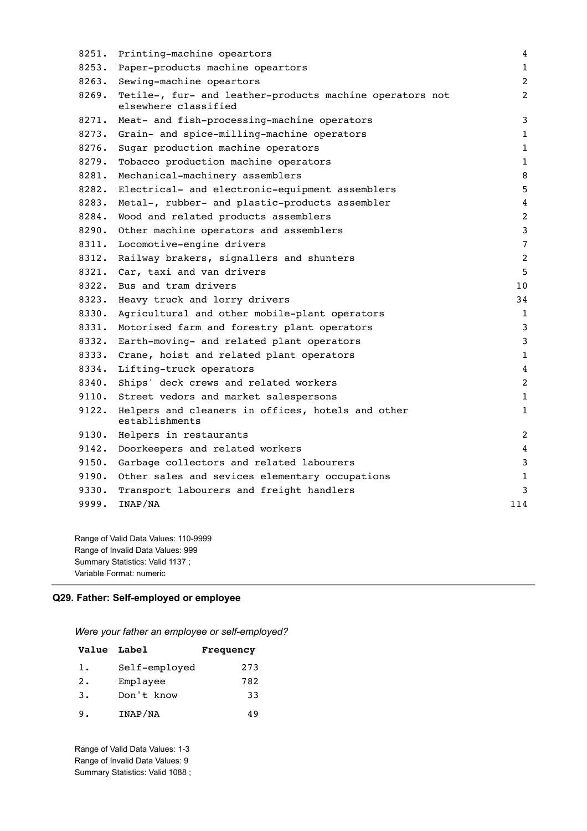| 8251. | Printing-machine opeartors                                                       | 4              |
|-------|----------------------------------------------------------------------------------|----------------|
| 8253. | Paper-products machine opeartors                                                 | $\mathbf{1}$   |
| 8263. | Sewing-machine opeartors                                                         | $\overline{2}$ |
| 8269. | Tetile-, fur- and leather-products machine operators not<br>elsewhere classified | 2              |
| 8271. | Meat- and fish-processing-machine operators                                      | 3              |
| 8273. | Grain- and spice-milling-machine operators                                       | 1              |
| 8276. | Sugar production machine operators                                               | $\mathbf{1}$   |
| 8279. | Tobacco production machine operators                                             | $\mathbf{1}$   |
| 8281. | Mechanical-machinery assemblers                                                  | 8              |
| 8282. | Electrical- and electronic-equipment assemblers                                  | 5              |
| 8283. | Metal-, rubber- and plastic-products assembler                                   | 4              |
| 8284. | Wood and related products assemblers                                             | $\overline{2}$ |
| 8290. | Other machine operators and assemblers                                           | 3              |
| 8311. | Locomotive-engine drivers                                                        | 7              |
| 8312. | Railway brakers, signallers and shunters                                         | 2              |
| 8321. | Car, taxi and van drivers                                                        | 5              |
| 8322. | Bus and tram drivers                                                             | 10             |
| 8323. | Heavy truck and lorry drivers                                                    | 34             |
| 8330. | Agricultural and other mobile-plant operators                                    | $\mathbf{1}$   |
| 8331. | Motorised farm and forestry plant operators                                      | 3              |
| 8332. | Earth-moving- and related plant operators                                        | 3              |
| 8333. | Crane, hoist and related plant operators                                         | $\mathbf{1}$   |
| 8334. | Lifting-truck operators                                                          | 4              |
| 8340. | Ships' deck crews and related workers                                            | $\overline{2}$ |
| 9110. | Street vedors and market salespersons                                            | $\mathbf{1}$   |
| 9122. | Helpers and cleaners in offices, hotels and other<br>establishments              | $\mathbf{1}$   |
| 9130. | Helpers in restaurants                                                           | 2              |
| 9142. | Doorkeepers and related workers                                                  | 4              |
| 9150. | Garbage collectors and related labourers                                         | 3              |
| 9190. | Other sales and sevices elementary occupations                                   | 1              |
| 9330. | Transport labourers and freight handlers                                         | 3              |
| 9999. | INAP/NA                                                                          | 114            |
|       |                                                                                  |                |

Range of Valid Data Values: 110-9999 Range of Invalid Data Values: 999 Summary Statistics: Valid 1137 ; Variable Format: numeric

### **Q29. Father: Self-employed or employee**

*Were your father an employee or self-employed?*

| Value Label    |               | Frequency |
|----------------|---------------|-----------|
| 1.             | Self-employed | 273       |
| 2.             | Emplayee      | 782       |
| $\mathbf{3}$ . | Don't know    | 33        |
| 9.             | INAP/NA       | 49        |

Range of Valid Data Values: 1-3 Range of Invalid Data Values: 9 Summary Statistics: Valid 1088 ;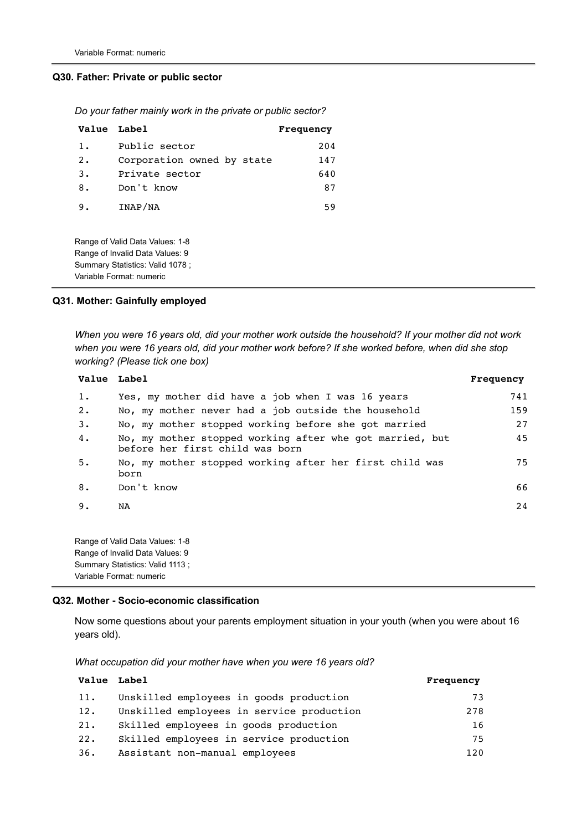#### **Q30. Father: Private or public sector**

|  |  |  |  |  |  |  | Do your father mainly work in the private or public sector? |
|--|--|--|--|--|--|--|-------------------------------------------------------------|
|--|--|--|--|--|--|--|-------------------------------------------------------------|

| Value Label |                            | Frequency |
|-------------|----------------------------|-----------|
| 1.          | Public sector              | 204       |
| 2.          | Corporation owned by state | 147       |
| 3.          | Private sector             | 640       |
| 8.          | Don't know                 | 87        |
| 9.          | INAP/NA                    | 59        |
|             |                            |           |

Range of Valid Data Values: 1-8 Range of Invalid Data Values: 9 Summary Statistics: Valid 1078 ; Variable Format: numeric

#### **Q31. Mother: Gainfully employed**

*When you were 16 years old, did your mother work outside the household? If your mother did not work when you were 16 years old, did your mother work before? If she worked before, when did she stop working? (Please tick one box)*

| Value Label |                                                                                             | Frequency |
|-------------|---------------------------------------------------------------------------------------------|-----------|
| $1$ .       | Yes, my mother did have a job when I was 16 years                                           | 741       |
| $2 \cdot$   | No, my mother never had a job outside the household                                         | 159       |
| 3.          | No, my mother stopped working before she got married                                        | 27        |
| 4.          | No, my mother stopped working after whe got married, but<br>before her first child was born | 45        |
| 5.          | No, my mother stopped working after her first child was<br>born                             | 75        |
| 8.          | Don't know                                                                                  | 66        |
| 9.          | NA                                                                                          | 24        |
|             | Range of Valid Data Values: 1-8<br>Range of Invalid Data Values: 9                          |           |
|             | Summary Statistics: Valid 1113 :                                                            |           |

#### **Q32. Mother - Socio-economic classification**

Variable Format: numeric

Now some questions about your parents employment situation in your youth (when you were about 16 years old).

*What occupation did your mother have when you were 16 years old?*

| <b>Value</b> Label |                                           | Frequency |
|--------------------|-------------------------------------------|-----------|
| 11.                | Unskilled employees in goods production   | 73        |
| 12.                | Unskilled employees in service production | 278       |
| 21.                | Skilled employees in goods production     | 16        |
| 22.                | Skilled employees in service production   | 75        |
| 36.                | Assistant non-manual employees            | 120       |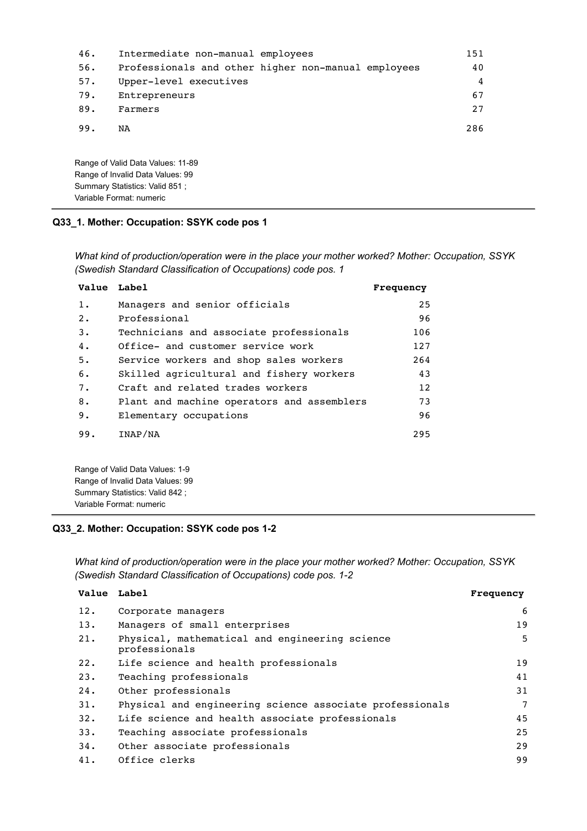| 46. | Intermediate non-manual employees |                                                     | 151 |
|-----|-----------------------------------|-----------------------------------------------------|-----|
| 56. |                                   | Professionals and other higher non-manual employees | 40  |
| 57. | Upper-level executives            |                                                     | 4   |
| 79. | Entrepreneurs                     |                                                     | 67  |
| 89. | Farmers                           |                                                     | 27  |
| 99. | NA                                |                                                     | 286 |
|     | Range of Valid Data Values: 11-89 |                                                     |     |

### **Q33\_1. Mother: Occupation: SSYK code pos 1**

Range of Invalid Data Values: 99 Summary Statistics: Valid 851 ; Variable Format: numeric

*What kind of production/operation were in the place your mother worked? Mother: Occupation, SSYK (Swedish Standard Classification of Occupations) code pos. 1*

| Value Label |                                            | Frequency |
|-------------|--------------------------------------------|-----------|
| $1$ .       | Managers and senior officials              | 25        |
| 2.          | Professional                               | 96        |
| 3.          | Technicians and associate professionals    | 106       |
| 4.          | Office- and customer service work          | 127       |
| 5.          | Service workers and shop sales workers     | 264       |
| 6.          | Skilled agricultural and fishery workers   | 43        |
| 7.          | Craft and related trades workers           | 12        |
| 8.          | Plant and machine operators and assemblers | 73        |
| 9.          | Elementary occupations                     | 96        |
| 99.         | INAP/NA                                    | 295       |

Range of Valid Data Values: 1-9 Range of Invalid Data Values: 99 Summary Statistics: Valid 842 ; Variable Format: numeric

### **Q33\_2. Mother: Occupation: SSYK code pos 1-2**

*What kind of production/operation were in the place your mother worked? Mother: Occupation, SSYK (Swedish Standard Classification of Occupations) code pos. 1-2*

| Value Label |                                                                 | Frequency |
|-------------|-----------------------------------------------------------------|-----------|
| 12.         | Corporate managers                                              | 6         |
| 13.         | Managers of small enterprises                                   | 19        |
| 21.         | Physical, mathematical and engineering science<br>professionals | 5         |
| 22.         | Life science and health professionals                           | 19        |
| 23.         | Teaching professionals                                          | 41        |
| 24.         | Other professionals                                             | 31        |
| 31.         | Physical and engineering science associate professionals        | 7         |
| 32.         | Life science and health associate professionals                 | 45        |
| 33.         | Teaching associate professionals                                | 25        |
| 34.         | Other associate professionals                                   | 29        |
| 41.         | Office clerks                                                   | 99        |
|             |                                                                 |           |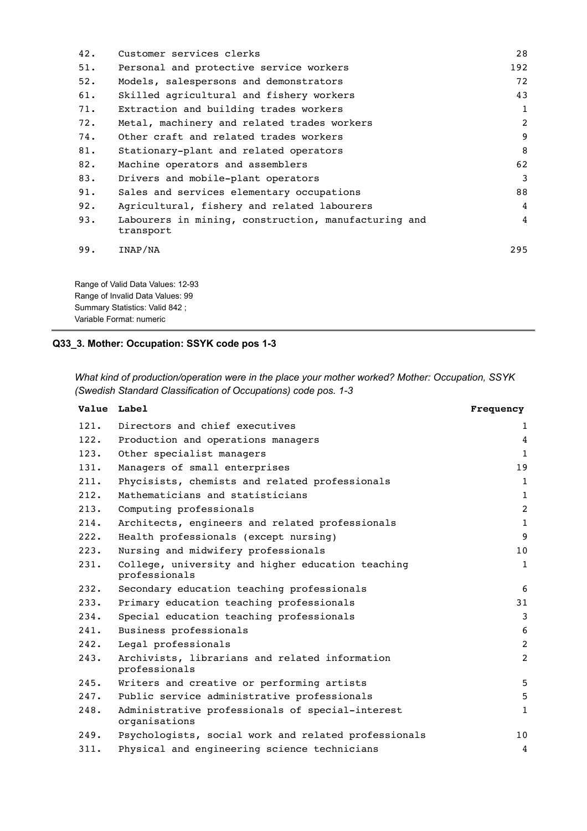| Customer services clerks                                          | 28           |
|-------------------------------------------------------------------|--------------|
| Personal and protective service workers                           | 192          |
| Models, salespersons and demonstrators                            | 72           |
| Skilled agricultural and fishery workers                          | 43           |
| Extraction and building trades workers                            | $\mathbf{1}$ |
| Metal, machinery and related trades workers                       | 2            |
| Other craft and related trades workers                            | 9            |
| Stationary-plant and related operators                            | 8            |
| Machine operators and assemblers                                  | 62           |
| Drivers and mobile-plant operators                                | 3            |
| Sales and services elementary occupations                         | 88           |
| Agricultural, fishery and related labourers                       | 4            |
| Labourers in mining, construction, manufacturing and<br>transport | 4            |
| INAP/NA                                                           | 295          |
|                                                                   |              |

Range of Valid Data Values: 12-93 Range of Invalid Data Values: 99 Summary Statistics: Valid 842 ; Variable Format: numeric

## **Q33\_3. Mother: Occupation: SSYK code pos 1-3**

*What kind of production/operation were in the place your mother worked? Mother: Occupation, SSYK (Swedish Standard Classification of Occupations) code pos. 1-3*

| Value Label |                                                                    | Frequency      |
|-------------|--------------------------------------------------------------------|----------------|
| 121.        | Directors and chief executives                                     | 1              |
| 122.        | Production and operations managers                                 | $\overline{4}$ |
| 123.        | Other specialist managers                                          | $1\,$          |
| 131.        | Managers of small enterprises                                      | 19             |
| 211.        | Phycisists, chemists and related professionals                     | $\mathbf 1$    |
| 212.        | Mathematicians and statisticians                                   | $\mathbf{1}$   |
| 213.        | Computing professionals                                            | $\overline{2}$ |
| 214.        | Architects, engineers and related professionals                    | $\mathbf 1$    |
| 222.        | Health professionals (except nursing)                              | 9              |
| 223.        | Nursing and midwifery professionals                                | 10             |
| 231.        | College, university and higher education teaching<br>professionals | $\mathbf{1}$   |
| 232.        | Secondary education teaching professionals                         | 6              |
| 233.        | Primary education teaching professionals                           | 31             |
| 234.        | Special education teaching professionals                           | $\overline{3}$ |
| 241.        | Business professionals                                             | 6              |
| 242.        | Legal professionals                                                | $\overline{2}$ |
| 243.        | Archivists, librarians and related information<br>professionals    | $\overline{2}$ |
| 245.        | Writers and creative or performing artists                         | 5              |
| 247.        | Public service administrative professionals                        | 5              |
| 248.        | Administrative professionals of special-interest<br>organisations  | $\mathbf{1}$   |
| 249.        | Psychologists, social work and related professionals               | 10             |
| 311.        | Physical and engineering science technicians                       | 4              |
|             |                                                                    |                |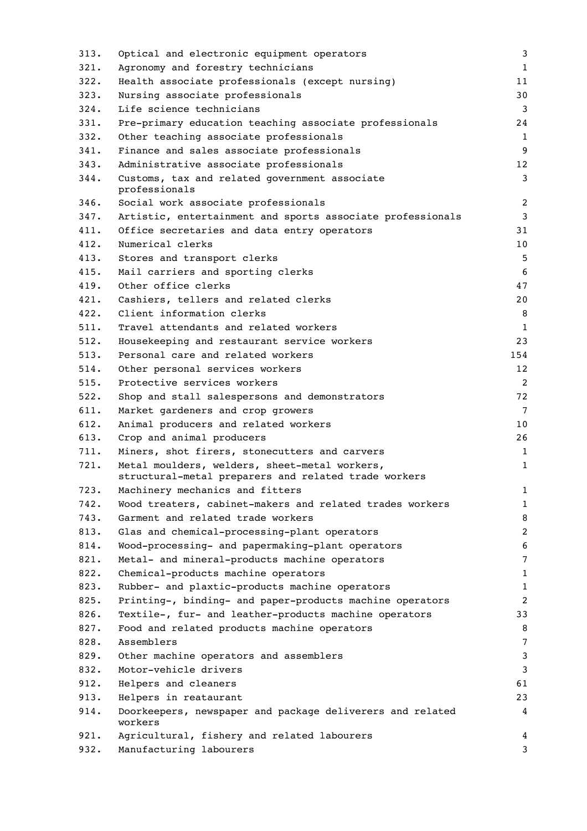| 313. | Optical and electronic equipment operators                                                            | 3              |
|------|-------------------------------------------------------------------------------------------------------|----------------|
| 321. | Agronomy and forestry technicians                                                                     | $\mathbf{1}$   |
| 322. | Health associate professionals (except nursing)                                                       | 11             |
| 323. | Nursing associate professionals                                                                       | 30             |
| 324. | Life science technicians                                                                              | 3              |
| 331. | Pre-primary education teaching associate professionals                                                | 24             |
| 332. | Other teaching associate professionals                                                                | 1              |
| 341. | Finance and sales associate professionals                                                             | 9              |
| 343. | Administrative associate professionals                                                                | 12             |
| 344. | Customs, tax and related government associate<br>professionals                                        | 3              |
| 346. | Social work associate professionals                                                                   | $\overline{c}$ |
| 347. | Artistic, entertainment and sports associate professionals                                            | 3              |
| 411. | Office secretaries and data entry operators                                                           | 31             |
| 412. | Numerical clerks                                                                                      | 10             |
| 413. | Stores and transport clerks                                                                           | 5              |
| 415. | Mail carriers and sporting clerks                                                                     | 6              |
| 419. | Other office clerks                                                                                   | 47             |
| 421. | Cashiers, tellers and related clerks                                                                  | 20             |
| 422. | Client information clerks                                                                             | 8              |
| 511. | Travel attendants and related workers                                                                 | 1              |
| 512. | Housekeeping and restaurant service workers                                                           | 23             |
| 513. | Personal care and related workers                                                                     | 154            |
| 514. | Other personal services workers                                                                       | 12             |
| 515. | Protective services workers                                                                           | 2              |
| 522. | Shop and stall salespersons and demonstrators                                                         | 72             |
| 611. | Market gardeners and crop growers                                                                     | $\overline{7}$ |
| 612. | Animal producers and related workers                                                                  | 10             |
| 613. | Crop and animal producers                                                                             | 26             |
| 711. | Miners, shot firers, stonecutters and carvers                                                         | $\mathbf{1}$   |
| 721. | Metal moulders, welders, sheet-metal workers,<br>structural-metal preparers and related trade workers | 1              |
| 723. | Machinery mechanics and fitters                                                                       | $\mathbf{1}$   |
| 742. | Wood treaters, cabinet-makers and related trades workers                                              | 1              |
| 743. | Garment and related trade workers                                                                     | 8              |
| 813. | Glas and chemical-processing-plant operators                                                          | $\overline{c}$ |
| 814. | Wood-processing- and papermaking-plant operators                                                      | 6              |
| 821. | Metal- and mineral-products machine operators                                                         | 7              |
| 822. | Chemical-products machine operators                                                                   | $\mathbf{1}$   |
| 823. | Rubber- and plaxtic-products machine operators                                                        | $\mathbf{1}$   |
| 825. | Printing-, binding- and paper-products machine operators                                              | 2              |
| 826. | Textile-, fur- and leather-products machine operators                                                 | 33             |
| 827. | Food and related products machine operators                                                           | 8              |
| 828. | Assemblers                                                                                            | 7              |
| 829. | Other machine operators and assemblers                                                                | 3              |
| 832. | Motor-vehicle drivers                                                                                 | 3              |
| 912. | Helpers and cleaners                                                                                  | 61             |
| 913. | Helpers in reataurant                                                                                 | 23             |
| 914. | Doorkeepers, newspaper and package deliverers and related                                             | 4              |
|      | workers                                                                                               |                |
| 921. | Agricultural, fishery and related labourers                                                           | 4              |
| 932. | Manufacturing labourers                                                                               | 3              |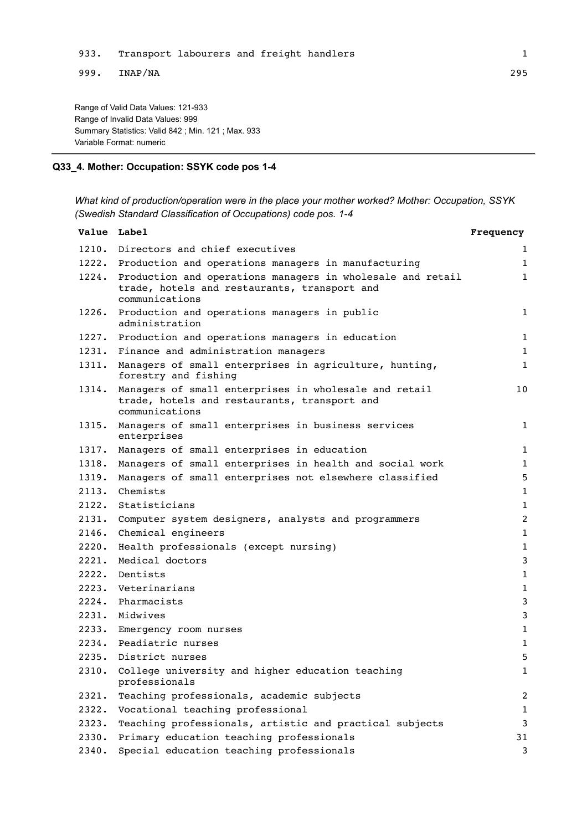999. INAP/NA 295

Range of Valid Data Values: 121-933 Range of Invalid Data Values: 999 Summary Statistics: Valid 842 ; Min. 121 ; Max. 933 Variable Format: numeric

### **Q33\_4. Mother: Occupation: SSYK code pos 1-4**

*What kind of production/operation were in the place your mother worked? Mother: Occupation, SSYK (Swedish Standard Classification of Occupations) code pos. 1-4*

| Value Label |                                                                                                                                    | Frequency      |
|-------------|------------------------------------------------------------------------------------------------------------------------------------|----------------|
|             | 1210. Directors and chief executives                                                                                               | $\mathbf{1}$   |
|             | 1222. Production and operations managers in manufacturing                                                                          | $\mathbf{1}$   |
|             | 1224. Production and operations managers in wholesale and retail<br>trade, hotels and restaurants, transport and<br>communications | $\mathbf{1}$   |
| 1226.       | Production and operations managers in public<br>administration                                                                     | $\mathbf{1}$   |
|             | 1227. Production and operations managers in education                                                                              | $\mathbf{1}$   |
|             | 1231. Finance and administration managers                                                                                          | $\mathbf{1}$   |
| 1311.       | Managers of small enterprises in agriculture, hunting,<br>forestry and fishing                                                     | $\mathbf{1}$   |
| 1314.       | Managers of small enterprises in wholesale and retail<br>trade, hotels and restaurants, transport and<br>communications            | 10             |
| 1315.       | Managers of small enterprises in business services<br>enterprises                                                                  | $\mathbf{1}$   |
| 1317.       | Managers of small enterprises in education                                                                                         | $\mathbf{1}$   |
| 1318.       | Managers of small enterprises in health and social work                                                                            | $\mathbf{1}$   |
| 1319.       | Managers of small enterprises not elsewhere classified                                                                             | 5              |
| 2113.       | Chemists                                                                                                                           | 1              |
| 2122.       | Statisticians                                                                                                                      | $\mathbf{1}$   |
| 2131.       | Computer system designers, analysts and programmers                                                                                | 2              |
| 2146.       | Chemical engineers                                                                                                                 | $\mathbf{1}$   |
| 2220.       | Health professionals (except nursing)                                                                                              | $\mathbf{1}$   |
| 2221.       | Medical doctors                                                                                                                    | 3              |
| 2222.       | Dentists                                                                                                                           | $\mathbf{1}$   |
| 2223.       | Veterinarians                                                                                                                      | $\mathbf{1}$   |
| 2224.       | Pharmacists                                                                                                                        | 3              |
| 2231.       | Midwives                                                                                                                           | 3              |
|             | 2233. Emergency room nurses                                                                                                        | $\mathbf{1}$   |
|             | 2234. Peadiatric nurses                                                                                                            | $\mathbf{1}$   |
|             | 2235. District nurses                                                                                                              | 5              |
|             | 2310. College university and higher education teaching<br>professionals                                                            | $\mathbf{1}$   |
| 2321.       | Teaching professionals, academic subjects                                                                                          | $\overline{c}$ |
| 2322.       | Vocational teaching professional                                                                                                   | $\mathbf{1}$   |
| 2323.       | Teaching professionals, artistic and practical subjects                                                                            | 3              |
| 2330.       | Primary education teaching professionals                                                                                           | 31             |
| 2340.       | Special education teaching professionals                                                                                           | 3              |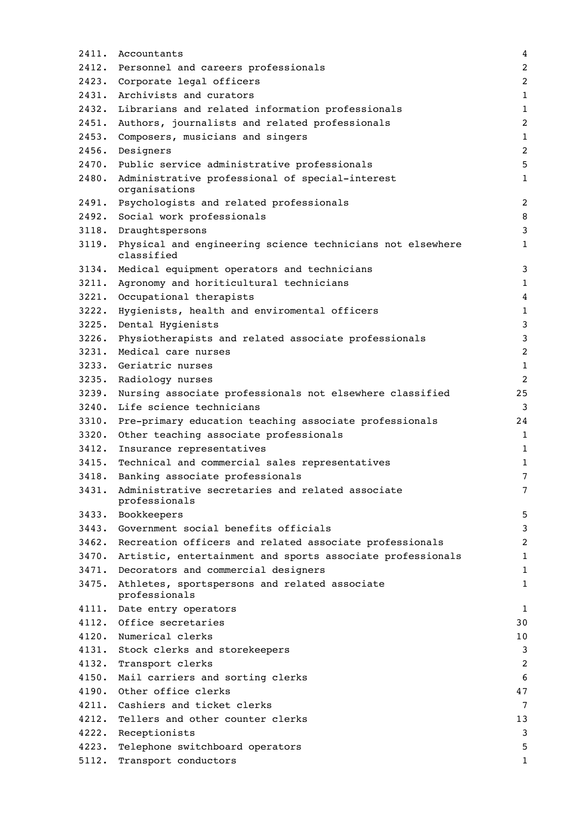| 2411. | Accountants                                                              | $\overline{4}$ |
|-------|--------------------------------------------------------------------------|----------------|
| 2412. | Personnel and careers professionals                                      | $\overline{c}$ |
|       | 2423. Corporate legal officers                                           | $\overline{c}$ |
|       | 2431. Archivists and curators                                            | $\mathbf{1}$   |
| 2432. | Librarians and related information professionals                         | $\mathbf 1$    |
| 2451. | Authors, journalists and related professionals                           | $\overline{c}$ |
| 2453. | Composers, musicians and singers                                         | $\mathbf{1}$   |
| 2456. | Designers                                                                | $\overline{c}$ |
| 2470. | Public service administrative professionals                              | 5              |
| 2480. | Administrative professional of special-interest<br>organisations         | $\mathbf{1}$   |
| 2491. | Psychologists and related professionals                                  | $\overline{c}$ |
| 2492. | Social work professionals                                                | 8              |
| 3118. | Draughtspersons                                                          | 3              |
| 3119. | Physical and engineering science technicians not elsewhere<br>classified | 1              |
| 3134. | Medical equipment operators and technicians                              | 3              |
|       | 3211. Agronomy and horiticultural technicians                            | $\mathbf 1$    |
| 3221. | Occupational therapists                                                  | $\overline{4}$ |
| 3222. | Hygienists, health and enviromental officers                             | $\mathbf 1$    |
| 3225. | Dental Hygienists                                                        | 3              |
| 3226. | Physiotherapists and related associate professionals                     | 3              |
| 3231. | Medical care nurses                                                      | $\overline{c}$ |
|       | 3233. Geriatric nurses                                                   | $\mathbf{1}$   |
|       | 3235. Radiology nurses                                                   | $\overline{2}$ |
| 3239. | Nursing associate professionals not elsewhere classified                 | 25             |
| 3240. | Life science technicians                                                 | 3              |
| 3310. | Pre-primary education teaching associate professionals                   | 24             |
| 3320. | Other teaching associate professionals                                   | 1              |
| 3412. | Insurance representatives                                                | $\mathbf 1$    |
| 3415. | Technical and commercial sales representatives                           | $\mathbf 1$    |
| 3418. | Banking associate professionals                                          | 7              |
| 3431. | Administrative secretaries and related associate<br>professionals        | 7              |
|       | 3433. Bookkeepers                                                        | 5              |
|       | 3443. Government social benefits officials                               | 3              |
|       | 3462. Recreation officers and related associate professionals            | 2              |
|       | 3470. Artistic, entertainment and sports associate professionals         | $\mathbf 1$    |
|       | 3471. Decorators and commercial designers                                | 1              |
| 3475. | Athletes, sportspersons and related associate<br>professionals           | $\mathbf 1$    |
|       | 4111. Date entry operators                                               | 1              |
|       | 4112. Office secretaries                                                 | 30             |
|       | 4120. Numerical clerks                                                   | 10             |
|       | 4131. Stock clerks and storekeepers                                      | 3              |
| 4132. | Transport clerks                                                         | 2              |
|       | 4150. Mail carriers and sorting clerks                                   | 6              |
|       | 4190. Other office clerks                                                | 47             |
|       | 4211. Cashiers and ticket clerks                                         | $\overline{7}$ |
| 4212. | Tellers and other counter clerks                                         | 13             |
| 4222. | Receptionists                                                            | 3              |
| 4223. | Telephone switchboard operators                                          | 5              |
| 5112. | Transport conductors                                                     | 1              |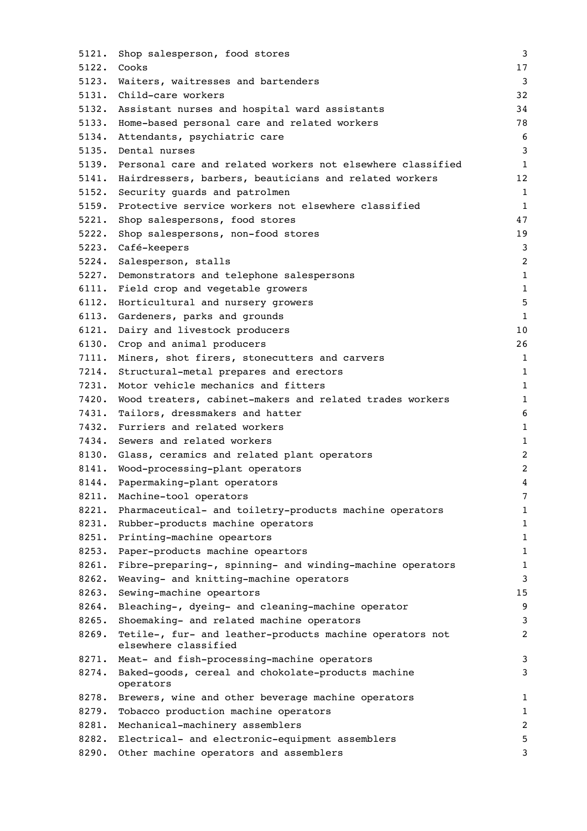| 5121. | Shop salesperson, food stores                                                    | 3              |
|-------|----------------------------------------------------------------------------------|----------------|
| 5122. | Cooks                                                                            | 17             |
| 5123. | Waiters, waitresses and bartenders                                               | 3              |
| 5131. | Child-care workers                                                               | 32             |
| 5132. | Assistant nurses and hospital ward assistants                                    | 34             |
| 5133. | Home-based personal care and related workers                                     | 78             |
| 5134. | Attendants, psychiatric care                                                     | 6              |
| 5135. | Dental nurses                                                                    | 3              |
| 5139. | Personal care and related workers not elsewhere classified                       | $\mathbf{1}$   |
| 5141. | Hairdressers, barbers, beauticians and related workers                           | 12             |
| 5152. | Security quards and patrolmen                                                    | $\mathbf{1}$   |
| 5159. | Protective service workers not elsewhere classified                              | 1              |
| 5221. | Shop salespersons, food stores                                                   | 47             |
| 5222. | Shop salespersons, non-food stores                                               | 19             |
|       | 5223. Café-keepers                                                               | 3              |
| 5224. | Salesperson, stalls                                                              | $\overline{c}$ |
| 5227. | Demonstrators and telephone salespersons                                         | 1              |
| 6111. | Field crop and vegetable growers                                                 | $\mathbf 1$    |
| 6112. | Horticultural and nursery growers                                                | 5              |
| 6113. | Gardeners, parks and grounds                                                     | $1\,$          |
| 6121. | Dairy and livestock producers                                                    | 10             |
| 6130. | Crop and animal producers                                                        | 26             |
| 7111. | Miners, shot firers, stonecutters and carvers                                    | 1              |
| 7214. | Structural-metal prepares and erectors                                           | 1              |
| 7231. | Motor vehicle mechanics and fitters                                              | $1\,$          |
| 7420. | Wood treaters, cabinet-makers and related trades workers                         | 1              |
| 7431. | Tailors, dressmakers and hatter                                                  | 6              |
| 7432. | Furriers and related workers                                                     | $\mathbf 1$    |
| 7434. | Sewers and related workers                                                       | 1              |
| 8130. | Glass, ceramics and related plant operators                                      | $\overline{c}$ |
| 8141. | Wood-processing-plant operators                                                  | $\overline{c}$ |
| 8144. | Papermaking-plant operators                                                      | 4              |
| 8211. | Machine-tool operators                                                           | 7              |
| 8221. | Pharmaceutical- and toiletry-products machine operators                          | $\mathbf 1$    |
| 8231. | Rubber-products machine operators                                                | $\mathbf 1$    |
| 8251. | Printing-machine opeartors                                                       | $\mathbf 1$    |
| 8253. | Paper-products machine opeartors                                                 | 1              |
| 8261. | Fibre-preparing-, spinning- and winding-machine operators                        | $\mathbf 1$    |
| 8262. | Weaving- and knitting-machine operators                                          | 3              |
| 8263. | Sewing-machine opeartors                                                         | 15             |
| 8264. | Bleaching-, dyeing- and cleaning-machine operator                                | 9              |
| 8265. | Shoemaking- and related machine operators                                        | 3              |
| 8269. | Tetile-, fur- and leather-products machine operators not<br>elsewhere classified | 2              |
| 8271. | Meat- and fish-processing-machine operators                                      | 3              |
| 8274. | Baked-goods, cereal and chokolate-products machine<br>operators                  | 3              |
| 8278. | Brewers, wine and other beverage machine operators                               | 1              |
| 8279. | Tobacco production machine operators                                             | $\mathbf 1$    |
| 8281. | Mechanical-machinery assemblers                                                  | $\overline{c}$ |
| 8282. | Electrical- and electronic-equipment assemblers                                  | 5              |
| 8290. | Other machine operators and assemblers                                           | 3              |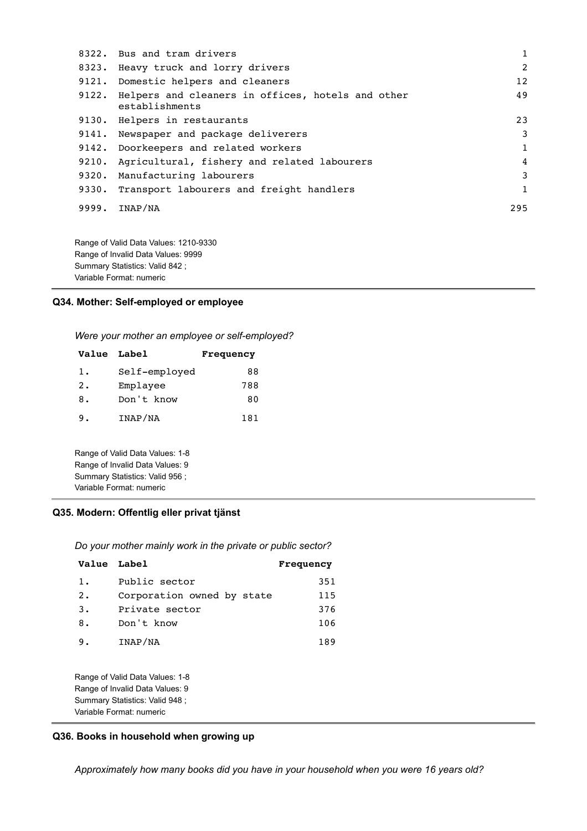|       | 8322. Bus and tram drivers                                          | $\mathbf{1}$  |
|-------|---------------------------------------------------------------------|---------------|
|       | 8323. Heavy truck and lorry drivers                                 | $\mathcal{L}$ |
|       | 9121. Domestic helpers and cleaners                                 | 12            |
| 9122. | Helpers and cleaners in offices, hotels and other<br>establishments | 49            |
|       | 9130. Helpers in restaurants                                        | 23            |
|       | 9141. Newspaper and package deliverers                              | 3             |
|       | 9142. Doorkeepers and related workers                               | $\mathbf{1}$  |
| 9210. | Agricultural, fishery and related labourers                         | 4             |
| 9320. | Manufacturing labourers                                             | 3             |
|       | 9330. Transport labourers and freight handlers                      | $\mathbf{1}$  |
| 9999. | INAP/NA                                                             | 295           |
|       |                                                                     |               |

Range of Valid Data Values: 1210-9330 Range of Invalid Data Values: 9999 Summary Statistics: Valid 842 ; Variable Format: numeric

### **Q34. Mother: Self-employed or employee**

*Were your mother an employee or self-employed?*

| <b>Value Label</b> |                                                                                                                                   | Frequency |
|--------------------|-----------------------------------------------------------------------------------------------------------------------------------|-----------|
| 1.                 | Self-employed                                                                                                                     | 88        |
| 2.                 | Emplayee                                                                                                                          | 788       |
| 8.                 | Don't know                                                                                                                        | 80        |
| 9.                 | INAP/NA                                                                                                                           | 181       |
|                    | Range of Valid Data Values: 1-8<br>Range of Invalid Data Values: 9<br>Summary Statistics: Valid 956 ;<br>Variable Format: numeric |           |

### **Q35. Modern: Offentlig eller privat tjänst**

*Do your mother mainly work in the private or public sector?*

| Value Label |                            | Frequency |
|-------------|----------------------------|-----------|
| 1.          | Public sector              | 351       |
| $2 \cdot$   | Corporation owned by state | 115       |
| 3.          | Private sector             | 376       |
| 8.          | Don't know                 | 106       |
| 9.          | INAP/NA                    | 189       |

Range of Valid Data Values: 1-8 Range of Invalid Data Values: 9 Summary Statistics: Valid 948 ; Variable Format: numeric

### **Q36. Books in household when growing up**

*Approximately how many books did you have in your household when you were 16 years old?*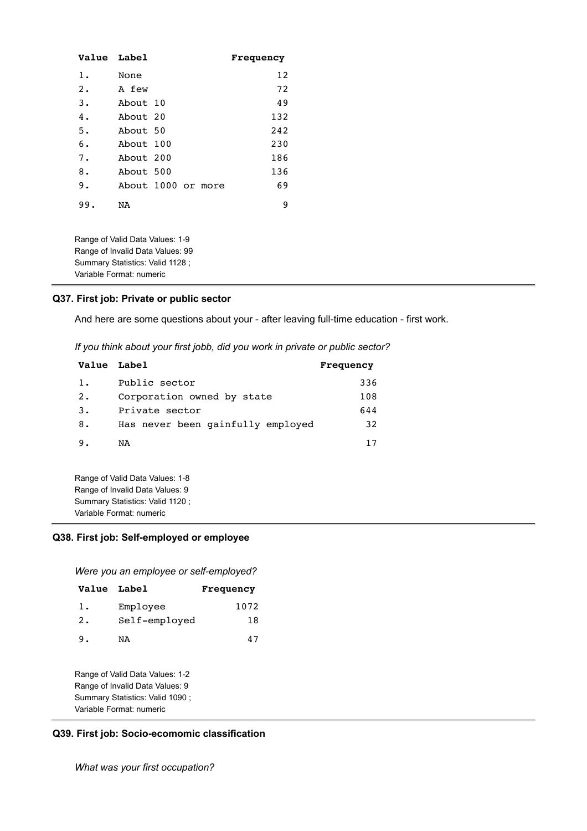| Value Label |                    |  | Frequency |
|-------------|--------------------|--|-----------|
| $1$ .       | None               |  | 12        |
| $2$ .       | A few              |  | 72        |
| 3.          | About 10           |  | 49        |
| 4.          | About 20           |  | 132       |
| 5.          | About 50           |  | 242       |
| 6.          | About 100          |  | 230       |
| 7.          | About 200          |  | 186       |
| 8.          | About 500          |  | 136       |
| 9.          | About 1000 or more |  | 69        |
| 99.         | NA                 |  | 9         |

Range of Valid Data Values: 1-9 Range of Invalid Data Values: 99 Summary Statistics: Valid 1128 ; Variable Format: numeric

#### **Q37. First job: Private or public sector**

And here are some questions about your - after leaving full-time education - first work.

*If you think about your first jobb, did you work in private or public sector?*

| Value Label |                                   | Frequency |
|-------------|-----------------------------------|-----------|
| 1.          | Public sector                     | 336       |
| 2.          | Corporation owned by state        | 108       |
| 3.          | Private sector                    | 644       |
| 8.          | Has never been gainfully employed | 32        |
| -9.         | NA                                | 17        |

Range of Valid Data Values: 1-8 Range of Invalid Data Values: 9 Summary Statistics: Valid 1120 ; Variable Format: numeric

### **Q38. First job: Self-employed or employee**

*Were you an employee or self-employed?*

| Value Label |               | Frequency |
|-------------|---------------|-----------|
| 1.          | Employee      | 1072      |
| 2.          | Self-employed | 18        |
| 9.          | ΝA            |           |

Range of Valid Data Values: 1-2 Range of Invalid Data Values: 9 Summary Statistics: Valid 1090 ; Variable Format: numeric

#### **Q39. First job: Socio-ecomomic classification**

*What was your first occupation?*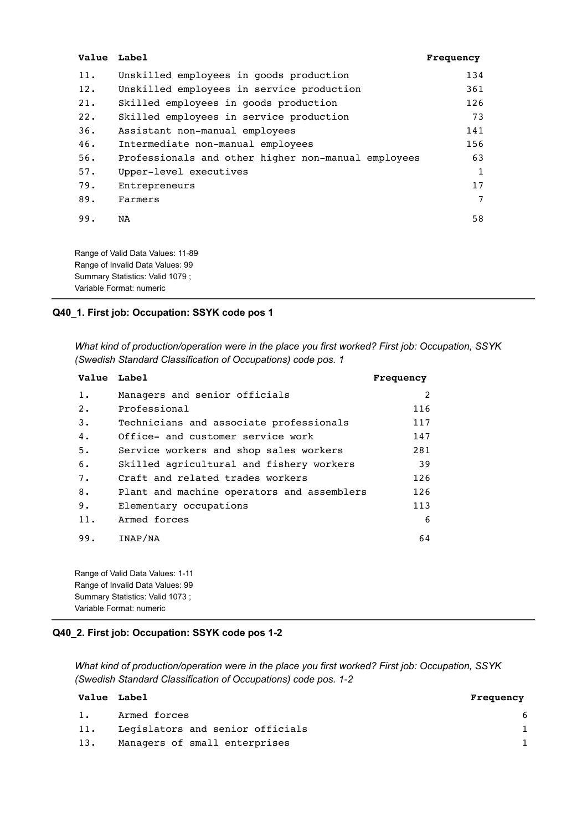| Value Label |                                                                       | Frequency |
|-------------|-----------------------------------------------------------------------|-----------|
| 11.         | Unskilled employees in goods production                               | 134       |
| 12.         | Unskilled employees in service production                             | 361       |
| 21.         | Skilled employees in goods production                                 | 126       |
| 22.         | Skilled employees in service production                               | 73        |
| 36.         | Assistant non-manual employees                                        | 141       |
| 46.         | Intermediate non-manual employees                                     | 156       |
| 56.         | Professionals and other higher non-manual employees                   | 63        |
| 57.         | Upper-level executives                                                | 1         |
| 79.         | Entrepreneurs                                                         | 17        |
| 89.         | Farmers                                                               | 7         |
| 99.         | <b>NA</b>                                                             | 58        |
|             | Range of Valid Data Values: 11-89<br>Range of Invalid Data Values: 99 |           |

**Q40\_1. First job: Occupation: SSYK code pos 1**

Summary Statistics: Valid 1079 ; Variable Format: numeric

*What kind of production/operation were in the place you first worked? First job: Occupation, SSYK (Swedish Standard Classification of Occupations) code pos. 1*

| Value Label |                                            | Frequency |
|-------------|--------------------------------------------|-----------|
| 1.          | Managers and senior officials              | 2         |
| 2.          | Professional                               | 116       |
| 3.          | Technicians and associate professionals    | 117       |
| 4.          | Office- and customer service work          | 147       |
| 5.          | Service workers and shop sales workers     | 281       |
| 6.          | Skilled agricultural and fishery workers   | 39        |
| 7.          | Craft and related trades workers           | 126       |
| 8.          | Plant and machine operators and assemblers | 126       |
| 9.          | Elementary occupations                     | 113       |
| 11.         | Armed forces                               | 6         |
| 99.         | INAP/NA                                    | 64        |

Range of Valid Data Values: 1-11 Range of Invalid Data Values: 99 Summary Statistics: Valid 1073 ; Variable Format: numeric

### **Q40\_2. First job: Occupation: SSYK code pos 1-2**

*What kind of production/operation were in the place you first worked? First job: Occupation, SSYK (Swedish Standard Classification of Occupations) code pos. 1-2*

| Value Label |                                  | Frequency |
|-------------|----------------------------------|-----------|
| 1.          | Armed forces                     | 6         |
| 11.         | Legislators and senior officials |           |
| 13.         | Managers of small enterprises    |           |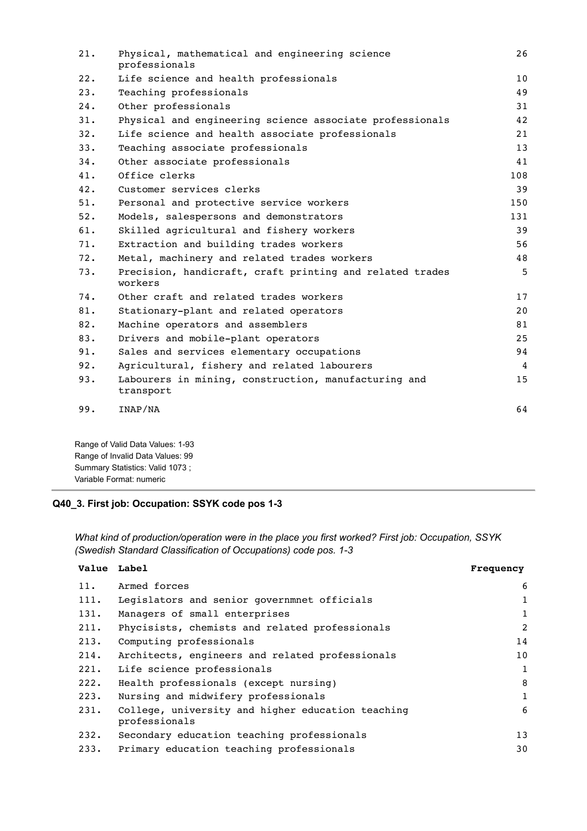| 21. | Physical, mathematical and engineering science<br>professionals     | 26  |
|-----|---------------------------------------------------------------------|-----|
| 22. | Life science and health professionals                               | 10  |
| 23. | Teaching professionals                                              | 49  |
| 24. | Other professionals                                                 | 31  |
| 31. | Physical and engineering science associate professionals            | 42  |
| 32. | Life science and health associate professionals                     | 21  |
| 33. | Teaching associate professionals                                    | 13  |
| 34. | Other associate professionals                                       | 41  |
| 41. | Office clerks                                                       | 108 |
| 42. | Customer services clerks                                            | 39  |
| 51. | Personal and protective service workers                             | 150 |
| 52. | Models, salespersons and demonstrators                              | 131 |
| 61. | Skilled agricultural and fishery workers                            | 39  |
| 71. | Extraction and building trades workers                              | 56  |
| 72. | Metal, machinery and related trades workers                         | 48  |
| 73. | Precision, handicraft, craft printing and related trades<br>workers | 5   |
| 74. | Other craft and related trades workers                              | 17  |
| 81. | Stationary-plant and related operators                              | 20  |
| 82. | Machine operators and assemblers                                    | 81  |
| 83. | Drivers and mobile-plant operators                                  | 25  |
| 91. | Sales and services elementary occupations                           | 94  |
| 92. | Agricultural, fishery and related labourers                         | 4   |
| 93. | Labourers in mining, construction, manufacturing and<br>transport   | 15  |
| 99. | INAP/NA                                                             | 64  |
|     | Dange of Volid Data Voluge: 1.02                                    |     |

Range of Valid Data Values: 1-93 Range of Invalid Data Values: 99 Summary Statistics: Valid 1073 ; Variable Format: numeric

# **Q40\_3. First job: Occupation: SSYK code pos 1-3**

*What kind of production/operation were in the place you first worked? First job: Occupation, SSYK (Swedish Standard Classification of Occupations) code pos. 1-3*

| Value Label |                                                                    | Frequency    |
|-------------|--------------------------------------------------------------------|--------------|
| 11.         | Armed forces                                                       | 6            |
| 111.        | Legislators and senior governmnet officials                        | 1            |
| 131.        | Managers of small enterprises                                      | $\mathbf{1}$ |
| 211.        | Phycisists, chemists and related professionals                     | 2            |
| 213.        | Computing professionals                                            | 14           |
| 214.        | Architects, engineers and related professionals                    | 10           |
| 221.        | Life science professionals                                         | $\mathbf{1}$ |
| 222.        | Health professionals (except nursing)                              | 8            |
| 223.        | Nursing and midwifery professionals                                | $\mathbf{1}$ |
| 231.        | College, university and higher education teaching<br>professionals | 6            |
| 232.        | Secondary education teaching professionals                         | 13           |
| 233.        | Primary education teaching professionals                           | 30           |
|             |                                                                    |              |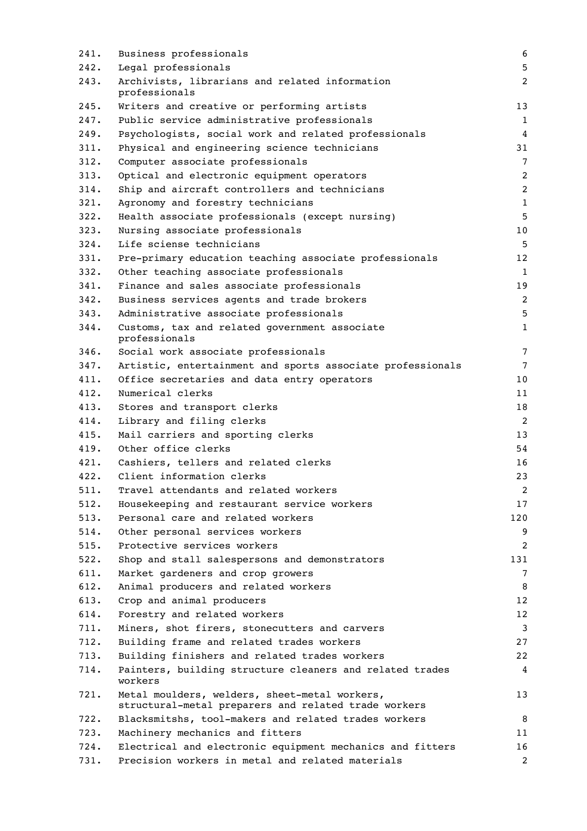| 241. | Business professionals                                                                                | 6               |
|------|-------------------------------------------------------------------------------------------------------|-----------------|
| 242. | Legal professionals                                                                                   | 5               |
| 243. | Archivists, librarians and related information<br>professionals                                       | 2               |
| 245. | Writers and creative or performing artists                                                            | 13              |
| 247. | Public service administrative professionals                                                           | 1               |
| 249. | Psychologists, social work and related professionals                                                  | 4               |
| 311. | Physical and engineering science technicians                                                          | 31              |
| 312. | Computer associate professionals                                                                      | $7\phantom{.0}$ |
| 313. | Optical and electronic equipment operators                                                            | $\overline{2}$  |
| 314. | Ship and aircraft controllers and technicians                                                         | $\overline{2}$  |
| 321. | Agronomy and forestry technicians                                                                     | $\mathbf{1}$    |
| 322. | Health associate professionals (except nursing)                                                       | 5               |
| 323. | Nursing associate professionals                                                                       | 10              |
| 324. | Life sciense technicians                                                                              | 5               |
| 331. | Pre-primary education teaching associate professionals                                                | 12              |
| 332. | Other teaching associate professionals                                                                | 1               |
| 341. | Finance and sales associate professionals                                                             | 19              |
| 342. | Business services agents and trade brokers                                                            | 2               |
| 343. | Administrative associate professionals                                                                | 5               |
| 344. | Customs, tax and related government associate<br>professionals                                        | $\mathbf{1}$    |
| 346. | Social work associate professionals                                                                   | 7               |
| 347. | Artistic, entertainment and sports associate professionals                                            | 7               |
| 411. | Office secretaries and data entry operators                                                           | 10              |
| 412. | Numerical clerks                                                                                      | 11              |
| 413. | Stores and transport clerks                                                                           | 18              |
| 414. | Library and filing clerks                                                                             | 2               |
| 415. | Mail carriers and sporting clerks                                                                     | 13              |
| 419. | Other office clerks                                                                                   | 54              |
| 421. | Cashiers, tellers and related clerks                                                                  | 16              |
| 422. | Client information clerks                                                                             | 23              |
| 511. | Travel attendants and related workers                                                                 | 2               |
| 512. | Housekeeping and restaurant service workers                                                           | 17              |
| 513. | Personal care and related workers                                                                     | 120             |
| 514. | Other personal services workers                                                                       | 9               |
| 515. | Protective services workers                                                                           | 2               |
| 522. | Shop and stall salespersons and demonstrators                                                         | 131             |
| 611. | Market gardeners and crop growers                                                                     | $7\phantom{.0}$ |
| 612. | Animal producers and related workers                                                                  | 8               |
| 613. | Crop and animal producers                                                                             | 12 <sub>2</sub> |
| 614. | Forestry and related workers                                                                          | 12              |
| 711. | Miners, shot firers, stonecutters and carvers                                                         | 3               |
| 712. | Building frame and related trades workers                                                             | 27              |
| 713. | Building finishers and related trades workers                                                         | 22              |
| 714. | Painters, building structure cleaners and related trades<br>workers                                   | 4               |
| 721. | Metal moulders, welders, sheet-metal workers,<br>structural-metal preparers and related trade workers | 13              |
| 722. | Blacksmitshs, tool-makers and related trades workers                                                  | 8               |
| 723. | Machinery mechanics and fitters                                                                       | 11              |
| 724. | Electrical and electronic equipment mechanics and fitters                                             | 16              |
| 731. | Precision workers in metal and related materials                                                      | 2               |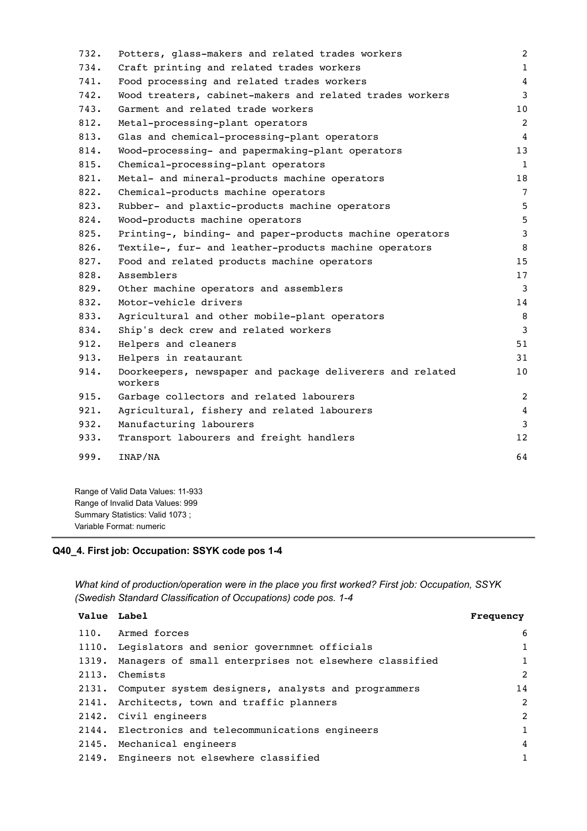```
732. Potters, glass-makers and related trades workers 2
734. Craft printing and related trades workers 1
741. Food processing and related trades workers 4
742. Wood treaters, cabinet-makers and related trades workers 3
743. Garment and related trade workers and the state of 10812. Metal-processing-plant operators 2
813. Glas and chemical-processing-plant operators 4
814. Wood-processing- and papermaking-plant operators 13
815. Chemical-processing-plant operators 1
821. Metal- and mineral-products machine operators 18
822. Chemical-products machine operators 7
823. Rubber- and plaxtic-products machine operators 35
824. Wood-products machine operators 5
825. Printing-, binding- and paper-products machine operators 3
826. Textile-, fur- and leather-products machine operators 8
827. Food and related products machine operators 15
828. Assemblers 17
829. Other machine operators and assemblers 3
832. Motor-vehicle drivers and the set of the set of the set of the set of the set of the set of the set of the set of the set of the set of the set of the set of the set of the set of the set of the set of the set of the 
833. Agricultural and other mobile-plant operators 8
834. Ship's deck crew and related workers 3
912. Helpers and cleaners 51913. Helpers in reataurant 31
914. Doorkeepers, newspaper and package deliverers and related
    workers
                                                   10
915. Garbage collectors and related labourers 2
921. Agricultural, fishery and related labourers 4
932. Manufacturing labourers 3
933. Transport labourers and freight handlers and 12999. INAP/NA 64
```
Range of Valid Data Values: 11-933 Range of Invalid Data Values: 999 Summary Statistics: Valid 1073 ; Variable Format: numeric

#### **Q40\_4. First job: Occupation: SSYK code pos 1-4**

*What kind of production/operation were in the place you first worked? First job: Occupation, SSYK (Swedish Standard Classification of Occupations) code pos. 1-4*

| Value Label |                                                              | Frequency      |
|-------------|--------------------------------------------------------------|----------------|
| 110.        | Armed forces                                                 | 6              |
|             | 1110. Legislators and senior governmnet officials            | $\mathbf{1}$   |
|             | 1319. Managers of small enterprises not elsewhere classified | $\mathbf{1}$   |
|             | 2113. Chemists                                               | $\overline{2}$ |
|             | 2131. Computer system designers, analysts and programmers    | 14             |
|             | 2141. Architects, town and traffic planners                  | 2              |
|             | 2142. Civil engineers                                        | 2              |
|             | 2144. Electronics and telecommunications engineers           | $\mathbf{1}$   |
|             | 2145. Mechanical engineers                                   | $\overline{4}$ |
|             | 2149. Engineers not elsewhere classified                     | $\mathbf{1}$   |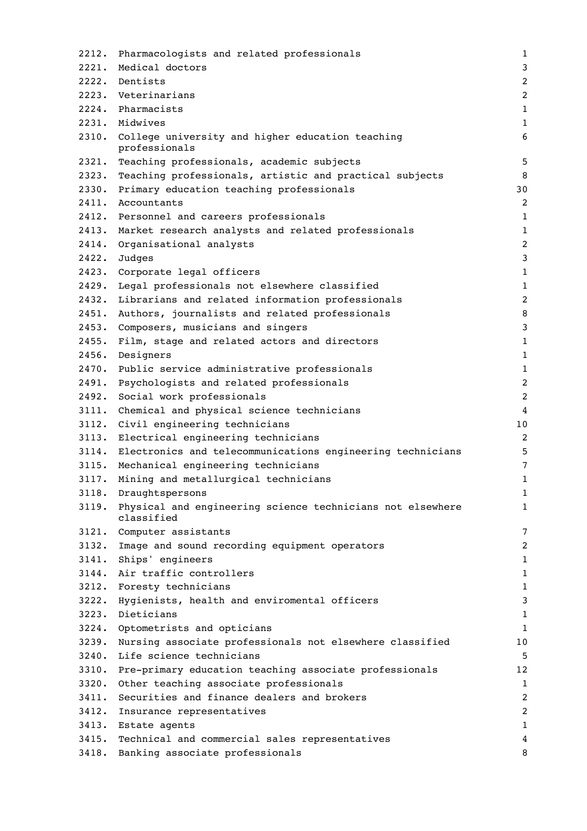| 2212. | Pharmacologists and related professionals                                | 1              |
|-------|--------------------------------------------------------------------------|----------------|
| 2221. | Medical doctors                                                          | 3              |
|       | 2222. Dentists                                                           | $\overline{2}$ |
|       | 2223. Veterinarians                                                      | $\overline{c}$ |
|       | 2224. Pharmacists                                                        | $1\,$          |
|       | 2231. Midwives                                                           | $\mathbf 1$    |
| 2310. | College university and higher education teaching<br>professionals        | 6              |
| 2321. | Teaching professionals, academic subjects                                | 5              |
| 2323. | Teaching professionals, artistic and practical subjects                  | 8              |
| 2330. | Primary education teaching professionals                                 | 30             |
| 2411. | Accountants                                                              | $\overline{c}$ |
|       | 2412. Personnel and careers professionals                                | 1              |
| 2413. | Market research analysts and related professionals                       | $1\,$          |
| 2414. | Organisational analysts                                                  | $\overline{c}$ |
| 2422. | Judges                                                                   | $\mathbf{3}$   |
|       | 2423. Corporate legal officers                                           | $\mathbf{1}$   |
| 2429. | Legal professionals not elsewhere classified                             | $\mathbf{1}$   |
| 2432. | Librarians and related information professionals                         | $\overline{c}$ |
| 2451. | Authors, journalists and related professionals                           | 8              |
| 2453. | Composers, musicians and singers                                         | 3              |
| 2455. | Film, stage and related actors and directors                             | $1\,$          |
| 2456. | Designers                                                                | $\mathbf{1}$   |
| 2470. | Public service administrative professionals                              | $\mathbf{1}$   |
| 2491. | Psychologists and related professionals                                  | $\overline{c}$ |
| 2492. | Social work professionals                                                | $\overline{c}$ |
| 3111. | Chemical and physical science technicians                                | 4              |
|       | 3112. Civil engineering technicians                                      | 10             |
| 3113. | Electrical engineering technicians                                       | $\overline{c}$ |
| 3114. | Electronics and telecommunications engineering technicians               | 5              |
|       | 3115. Mechanical engineering technicians                                 | 7              |
| 3117. | Mining and metallurgical technicians                                     | $\mathbf 1$    |
| 3118. | Draughtspersons                                                          | 1              |
| 3119. | Physical and engineering science technicians not elsewhere<br>classified | 1              |
| 3121. | Computer assistants                                                      | 7              |
| 3132. | Image and sound recording equipment operators                            | 2              |
| 3141. | Ships' engineers                                                         | 1              |
|       | 3144. Air traffic controllers                                            | $1\,$          |
| 3212. | Foresty technicians                                                      | 1              |
| 3222. | Hygienists, health and enviromental officers                             | 3              |
| 3223. | Dieticians                                                               | $\mathbf{1}$   |
|       | 3224. Optometrists and opticians                                         | $\mathbf{1}$   |
| 3239. | Nursing associate professionals not elsewhere classified                 | 10             |
| 3240. | Life science technicians                                                 | 5              |
| 3310. | Pre-primary education teaching associate professionals                   | 12             |
| 3320. | Other teaching associate professionals                                   | $\mathbf{1}$   |
| 3411. | Securities and finance dealers and brokers                               | $\overline{c}$ |
| 3412. | Insurance representatives                                                | $\overline{c}$ |
|       | 3413. Estate agents                                                      | 1              |
| 3415. | Technical and commercial sales representatives                           | 4              |
| 3418. | Banking associate professionals                                          | 8              |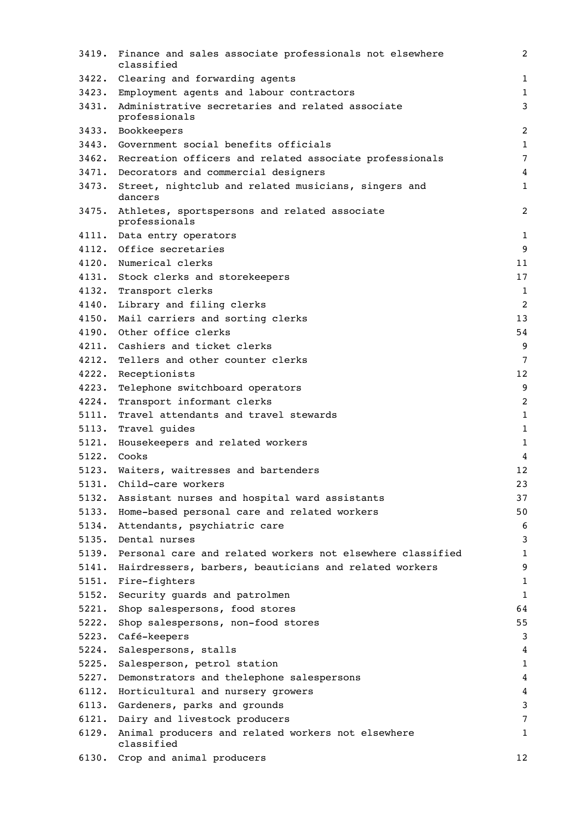| 3419. | Finance and sales associate professionals not elsewhere<br>classified | 2               |
|-------|-----------------------------------------------------------------------|-----------------|
|       | 3422. Clearing and forwarding agents                                  | $\mathbf{1}$    |
|       | 3423. Employment agents and labour contractors                        | $\mathbf{1}$    |
| 3431. | Administrative secretaries and related associate<br>professionals     | 3               |
|       | 3433. Bookkeepers                                                     | $\overline{2}$  |
|       | 3443. Government social benefits officials                            | $\mathbf{1}$    |
|       | 3462. Recreation officers and related associate professionals         | $\overline{7}$  |
|       | 3471. Decorators and commercial designers                             | 4               |
| 3473. | Street, nightclub and related musicians, singers and<br>dancers       | $\mathbf 1$     |
|       | 3475. Athletes, sportspersons and related associate<br>professionals  | $\overline{c}$  |
|       | 4111. Data entry operators                                            | $\mathbf{1}$    |
|       | 4112. Office secretaries                                              | 9               |
|       | 4120. Numerical clerks                                                | 11              |
|       | 4131. Stock clerks and storekeepers                                   | 17              |
|       | 4132. Transport clerks                                                | 1               |
|       | 4140. Library and filing clerks                                       | 2               |
|       | 4150. Mail carriers and sorting clerks                                | 13              |
|       | 4190. Other office clerks                                             | 54              |
|       | 4211. Cashiers and ticket clerks                                      | 9               |
| 4212. | Tellers and other counter clerks                                      | $7\phantom{.0}$ |
| 4222. | Receptionists                                                         | 12              |
| 4223. | Telephone switchboard operators                                       | 9               |
| 4224. | Transport informant clerks                                            | $\overline{c}$  |
| 5111. | Travel attendants and travel stewards                                 | $\mathbf 1$     |
| 5113. | Travel guides                                                         | $\mathbf{1}$    |
| 5121. | Housekeepers and related workers                                      | $\mathbf{1}$    |
|       | 5122. Cooks                                                           | 4               |
|       | 5123. Waiters, waitresses and bartenders                              | 12              |
| 5131. | Child-care workers                                                    | 23              |
| 5132. | Assistant nurses and hospital ward assistants                         | 37              |
| 5133. | Home-based personal care and related workers                          | 50              |
| 5134. | Attendants, psychiatric care                                          | 6               |
| 5135. | Dental nurses                                                         | 3               |
| 5139. | Personal care and related workers not elsewhere classified            | 1               |
| 5141. | Hairdressers, barbers, beauticians and related workers                | 9               |
| 5151. | Fire-fighters                                                         | 1               |
| 5152. | Security guards and patrolmen                                         | 1               |
| 5221. | Shop salespersons, food stores                                        | 64              |
| 5222. | Shop salespersons, non-food stores                                    | 55              |
| 5223. | Café-keepers                                                          | 3               |
| 5224. | Salespersons, stalls                                                  | 4               |
| 5225. | Salesperson, petrol station                                           | 1               |
| 5227. | Demonstrators and thelephone salespersons                             | 4               |
| 6112. | Horticultural and nursery growers                                     | 4               |
| 6113. | Gardeners, parks and grounds                                          | 3               |
| 6121. | Dairy and livestock producers                                         | 7               |
| 6129. | Animal producers and related workers not elsewhere<br>classified      | 1               |
|       | 6130. Crop and animal producers                                       | 12              |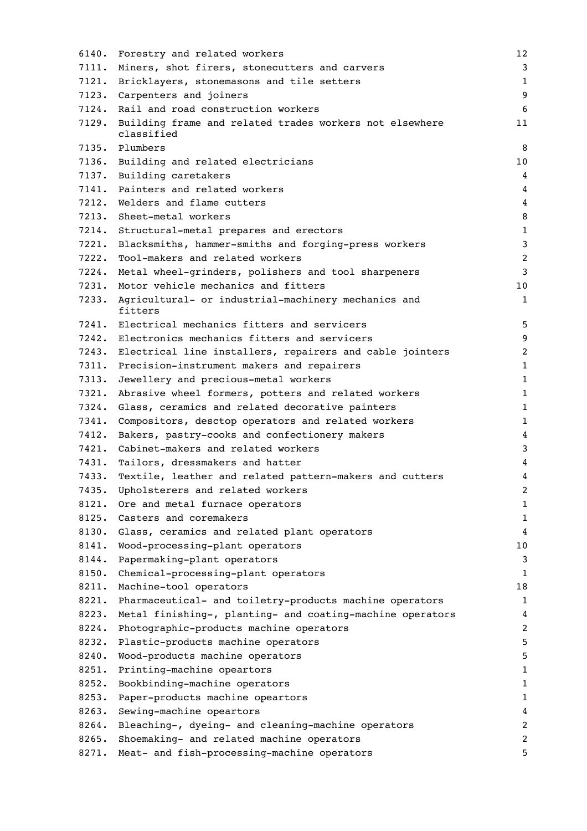| 6140. | Forestry and related workers                                          | 12                      |
|-------|-----------------------------------------------------------------------|-------------------------|
| 7111. | Miners, shot firers, stonecutters and carvers                         | 3                       |
| 7121. | Bricklayers, stonemasons and tile setters                             | $\mathbf{1}$            |
|       | 7123. Carpenters and joiners                                          | 9                       |
|       | 7124. Rail and road construction workers                              | 6                       |
| 7129. | Building frame and related trades workers not elsewhere<br>classified | 11                      |
|       | 7135. Plumbers                                                        | 8                       |
|       | 7136. Building and related electricians                               | 10                      |
|       | 7137. Building caretakers                                             | 4                       |
| 7141. | Painters and related workers                                          | 4                       |
| 7212. | Welders and flame cutters                                             | 4                       |
|       | 7213. Sheet-metal workers                                             | 8                       |
| 7214. | Structural-metal prepares and erectors                                | $\mathbf{1}$            |
| 7221. | Blacksmiths, hammer-smiths and forging-press workers                  | 3                       |
| 7222. | Tool-makers and related workers                                       | $\overline{c}$          |
| 7224. | Metal wheel-grinders, polishers and tool sharpeners                   | 3                       |
| 7231. | Motor vehicle mechanics and fitters                                   | 10                      |
| 7233. | Agricultural- or industrial-machinery mechanics and<br>fitters        | 1                       |
|       | 7241. Electrical mechanics fitters and servicers                      | 5                       |
|       | 7242. Electronics mechanics fitters and servicers                     | 9                       |
| 7243. | Electrical line installers, repairers and cable jointers              | 2                       |
| 7311. | Precision-instrument makers and repairers                             | $\mathbf 1$             |
| 7313. | Jewellery and precious-metal workers                                  | 1                       |
| 7321. | Abrasive wheel formers, potters and related workers                   | 1                       |
| 7324. | Glass, ceramics and related decorative painters                       | $\mathbf 1$             |
| 7341. | Compositors, desctop operators and related workers                    | $\mathbf 1$             |
| 7412. | Bakers, pastry-cooks and confectionery makers                         | 4                       |
| 7421. | Cabinet-makers and related workers                                    | 3                       |
| 7431. | Tailors, dressmakers and hatter                                       | 4                       |
| 7433. | Textile, leather and related pattern-makers and cutters               | 4                       |
| 7435. | Upholsterers and related workers                                      | $\overline{\mathbf{c}}$ |
| 8121. | Ore and metal furnace operators                                       | 1                       |
| 8125. | Casters and coremakers                                                | 1                       |
| 8130. | Glass, ceramics and related plant operators                           | 4                       |
| 8141. | Wood-processing-plant operators                                       | 10                      |
| 8144. | Papermaking-plant operators                                           | 3                       |
| 8150. | Chemical-processing-plant operators                                   | $\mathbf{1}$            |
| 8211. | Machine-tool operators                                                | 18                      |
| 8221. | Pharmaceutical- and toiletry-products machine operators               | $\mathbf{1}$            |
| 8223. | Metal finishing-, planting- and coating-machine operators             | 4                       |
| 8224. | Photographic-products machine operators                               | 2                       |
| 8232. | Plastic-products machine operators                                    | 5                       |
| 8240. | Wood-products machine operators                                       | 5                       |
| 8251. | Printing-machine opeartors                                            | $\mathbf 1$             |
| 8252. | Bookbinding-machine operators                                         | 1                       |
| 8253. | Paper-products machine opeartors                                      | 1                       |
| 8263. | Sewing-machine opeartors                                              | 4                       |
| 8264. | Bleaching-, dyeing- and cleaning-machine operators                    | 2                       |
| 8265. | Shoemaking- and related machine operators                             | $\overline{c}$          |
| 8271. | Meat- and fish-processing-machine operators                           | 5                       |
|       |                                                                       |                         |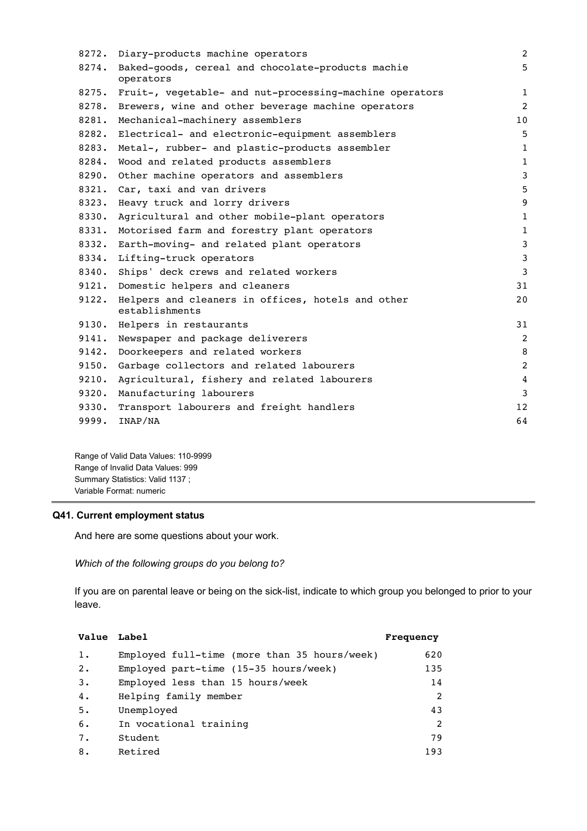| 8272. | Diary-products machine operators                                    | $\overline{c}$ |
|-------|---------------------------------------------------------------------|----------------|
| 8274. | Baked-goods, cereal and chocolate-products machie<br>operators      | 5              |
|       | 8275. Fruit-, vegetable- and nut-processing-machine operators       | $\mathbf{1}$   |
| 8278. | Brewers, wine and other beverage machine operators                  | 2              |
| 8281. | Mechanical-machinery assemblers                                     | 10             |
| 8282. | Electrical- and electronic-equipment assemblers                     | 5              |
| 8283. | Metal-, rubber- and plastic-products assembler                      | $\mathbf{1}$   |
| 8284. | Wood and related products assemblers                                | $\mathbf{1}$   |
| 8290. | Other machine operators and assemblers                              | 3              |
| 8321. | Car, taxi and van drivers                                           | 5              |
| 8323. | Heavy truck and lorry drivers                                       | 9              |
| 8330. | Agricultural and other mobile-plant operators                       | $\mathbf{1}$   |
| 8331. | Motorised farm and forestry plant operators                         | $1\,$          |
| 8332. | Earth-moving- and related plant operators                           | $\mathbf{3}$   |
| 8334. | Lifting-truck operators                                             | $\mathbf{3}$   |
| 8340. | Ships' deck crews and related workers                               | $\overline{3}$ |
| 9121. | Domestic helpers and cleaners                                       | 31             |
| 9122. | Helpers and cleaners in offices, hotels and other<br>establishments | 20             |
|       | 9130. Helpers in restaurants                                        | 31             |
| 9141. | Newspaper and package deliverers                                    | $\overline{2}$ |
| 9142. | Doorkeepers and related workers                                     | 8              |
| 9150. | Garbage collectors and related labourers                            | $\overline{2}$ |
| 9210. | Agricultural, fishery and related labourers                         | 4              |
| 9320. | Manufacturing labourers                                             | $\mathbf{3}$   |
| 9330. | Transport labourers and freight handlers                            | 12             |
| 9999. | INAP/NA                                                             | 64             |
|       |                                                                     |                |

Range of Valid Data Values: 110-9999 Range of Invalid Data Values: 999 Summary Statistics: Valid 1137 ; Variable Format: numeric

## **Q41. Current employment status**

And here are some questions about your work.

*Which of the following groups do you belong to?*

If you are on parental leave or being on the sick-list, indicate to which group you belonged to prior to your leave.

| Value Label |                                                        | Frequency     |
|-------------|--------------------------------------------------------|---------------|
| 1.          | Employed full-time (more than 35 hours/week)           | 620           |
| 2.          | Employed part-time $(15-35 \text{ hours}/\text{week})$ | 135           |
| 3.          | Employed less than 15 hours/week                       | 14            |
| 4.          | Helping family member                                  | $\mathcal{L}$ |
| 5.          | Unemployed                                             | 43            |
| 6.          | In vocational training                                 | $\mathcal{L}$ |
| 7.          | Student                                                | 79            |
| 8.          | Retired                                                | 193           |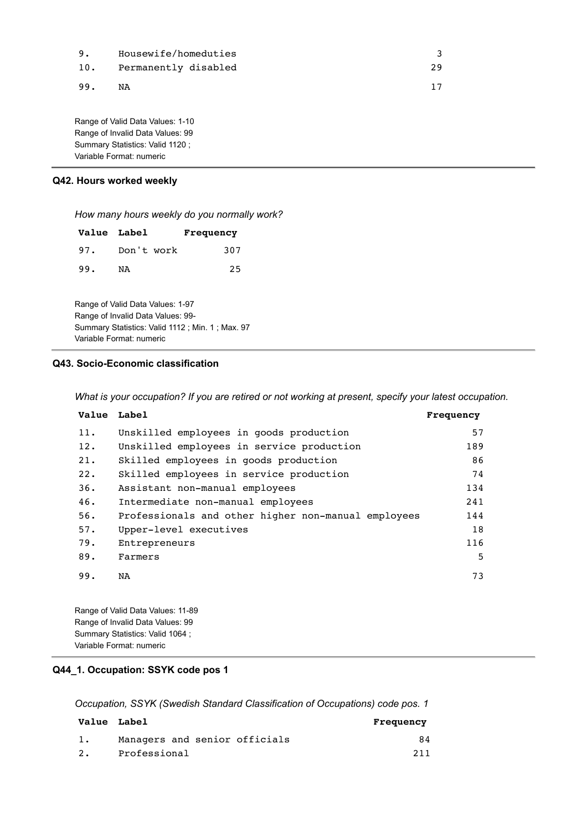| 9.  | Housewife/homeduties     |    |
|-----|--------------------------|----|
|     | 10. Permanently disabled | 29 |
| 99. | NA                       |    |

Range of Valid Data Values: 1-10 Range of Invalid Data Values: 99 Summary Statistics: Valid 1120 ; Variable Format: numeric

### **Q42. Hours worked weekly**

*How many hours weekly do you normally work?*

|     | <b>Value Label</b> | Frequency |
|-----|--------------------|-----------|
| 97. | Don't work         | 307       |
| 99. | NA                 | 25        |

Range of Valid Data Values: 1-97 Range of Invalid Data Values: 99- Summary Statistics: Valid 1112 ; Min. 1 ; Max. 97 Variable Format: numeric

#### **Q43. Socio-Economic classification**

*What is your occupation? If you are retired or not working at present, specify your latest occupation.*

| Value Label |                                                     | Frequency |
|-------------|-----------------------------------------------------|-----------|
| 11.         | Unskilled employees in goods production             | 57        |
| 12.         | Unskilled employees in service production           | 189       |
| 21.         | Skilled employees in goods production               | 86        |
| 22.         | Skilled employees in service production             | 74        |
| 36.         | Assistant non-manual employees                      | 134       |
| 46.         | Intermediate non-manual employees                   | 241       |
| 56.         | Professionals and other higher non-manual employees | 144       |
| 57.         | Upper-level executives                              | 18        |
| 79.         | Entrepreneurs                                       | 116       |
| 89.         | Farmers                                             | 5         |
| 99.         | NA                                                  | 73        |

Range of Valid Data Values: 11-89 Range of Invalid Data Values: 99 Summary Statistics: Valid 1064 ; Variable Format: numeric

### **Q44\_1. Occupation: SSYK code pos 1**

*Occupation, SSYK (Swedish Standard Classification of Occupations) code pos. 1*

| <b>Value</b> Label |                               | Frequency |
|--------------------|-------------------------------|-----------|
|                    | Managers and senior officials | 84        |
| 2.                 | Professional                  | 211       |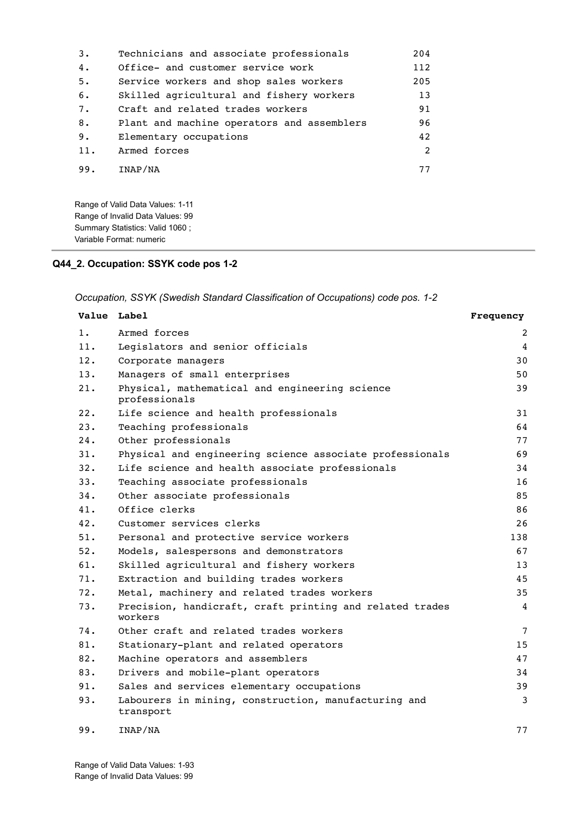| 3.  | Technicians and associate professionals    | 204 |
|-----|--------------------------------------------|-----|
| 4.  | Office- and customer service work          | 112 |
| 5.  | Service workers and shop sales workers     | 205 |
| 6.  | Skilled agricultural and fishery workers   | 13  |
| 7.  | Craft and related trades workers           | 91  |
| 8.  | Plant and machine operators and assemblers | 96  |
| 9.  | Elementary occupations                     | 42  |
| 11. | Armed forces                               | 2   |
| 99. | INAP/NA                                    | 77  |

Range of Valid Data Values: 1-11 Range of Invalid Data Values: 99 Summary Statistics: Valid 1060 ; Variable Format: numeric

### **Q44\_2. Occupation: SSYK code pos 1-2**

*Occupation, SSYK (Swedish Standard Classification of Occupations) code pos. 1-2*

| Value Label |                                                                     | Frequency      |
|-------------|---------------------------------------------------------------------|----------------|
| 1.          | Armed forces                                                        | 2              |
| 11.         | Legislators and senior officials                                    | 4              |
| 12.         | Corporate managers                                                  | 30             |
| 13.         | Managers of small enterprises                                       | 50             |
| 21.         | Physical, mathematical and engineering science<br>professionals     | 39             |
| 22.         | Life science and health professionals                               | 31             |
| 23.         | Teaching professionals                                              | 64             |
| 24.         | Other professionals                                                 | 77             |
| 31.         | Physical and engineering science associate professionals            | 69             |
| 32.         | Life science and health associate professionals                     | 34             |
| 33.         | Teaching associate professionals                                    | 16             |
| 34.         | Other associate professionals                                       | 85             |
| 41.         | Office clerks                                                       | 86             |
| 42.         | Customer services clerks                                            | 26             |
| 51.         | Personal and protective service workers                             | 138            |
| 52.         | Models, salespersons and demonstrators                              | 67             |
| 61.         | Skilled agricultural and fishery workers                            | 13             |
| 71.         | Extraction and building trades workers                              | 45             |
| 72.         | Metal, machinery and related trades workers                         | 35             |
| 73.         | Precision, handicraft, craft printing and related trades<br>workers | 4              |
| 74.         | Other craft and related trades workers                              | $\overline{7}$ |
| 81.         | Stationary-plant and related operators                              | 15             |
| 82.         | Machine operators and assemblers                                    | 47             |
| 83.         | Drivers and mobile-plant operators                                  | 34             |
| 91.         | Sales and services elementary occupations                           | 39             |
| 93.         | Labourers in mining, construction, manufacturing and<br>transport   | 3              |
| 99.         | INAP/NA                                                             | 77             |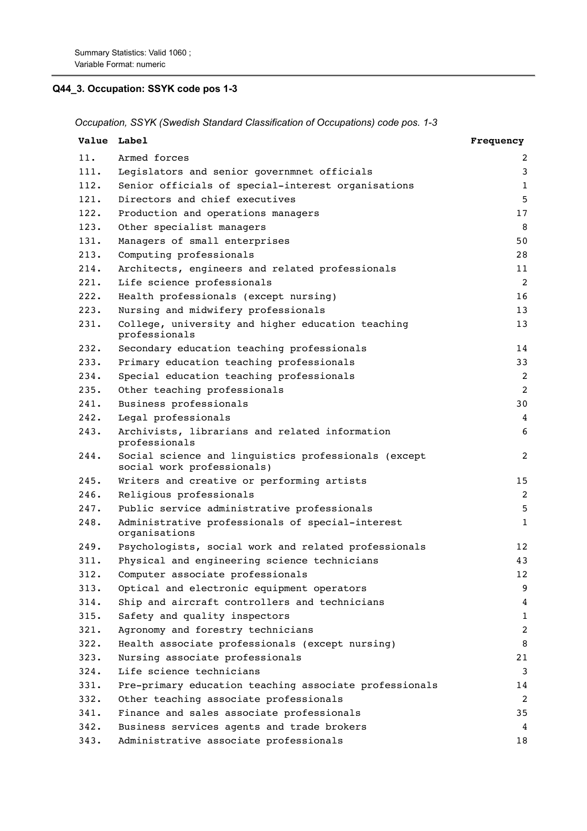# **Q44\_3. Occupation: SSYK code pos 1-3**

*Occupation, SSYK (Swedish Standard Classification of Occupations) code pos. 1-3*

|      | <b>Value</b> Label                                                                 | Frequency      |
|------|------------------------------------------------------------------------------------|----------------|
| 11.  | Armed forces                                                                       | 2              |
| 111. | Legislators and senior governmnet officials                                        | 3              |
| 112. | Senior officials of special-interest organisations                                 | $\mathbf{1}$   |
| 121. | Directors and chief executives                                                     | 5              |
| 122. | Production and operations managers                                                 | 17             |
| 123. | Other specialist managers                                                          | 8              |
| 131. | Managers of small enterprises                                                      | 50             |
| 213. | Computing professionals                                                            | 28             |
| 214. | Architects, engineers and related professionals                                    | 11             |
| 221. | Life science professionals                                                         | 2              |
| 222. | Health professionals (except nursing)                                              | 16             |
| 223. | Nursing and midwifery professionals                                                | 13             |
| 231. | College, university and higher education teaching<br>professionals                 | 13             |
| 232. | Secondary education teaching professionals                                         | 14             |
| 233. | Primary education teaching professionals                                           | 33             |
| 234. | Special education teaching professionals                                           | $\overline{2}$ |
| 235. | Other teaching professionals                                                       | 2              |
| 241. | Business professionals                                                             | 30             |
| 242. | Legal professionals                                                                | 4              |
| 243. | Archivists, librarians and related information<br>professionals                    | 6              |
| 244. | Social science and linguistics professionals (except<br>social work professionals) | 2              |
| 245. | Writers and creative or performing artists                                         | 15             |
| 246. | Religious professionals                                                            | 2              |
| 247. | Public service administrative professionals                                        | 5              |
| 248. | Administrative professionals of special-interest<br>organisations                  | $1\,$          |
| 249. | Psychologists, social work and related professionals                               | 12             |
| 311. | Physical and engineering science technicians                                       | 43             |
| 312. | Computer associate professionals                                                   | 12             |
| 313. | Optical and electronic equipment operators                                         | 9              |
| 314. | Ship and aircraft controllers and technicians                                      | 4              |
| 315. | Safety and quality inspectors                                                      | $\mathbf{1}$   |
| 321. | Agronomy and forestry technicians                                                  | 2              |
| 322. | Health associate professionals (except nursing)                                    | 8              |
| 323. | Nursing associate professionals                                                    | 21             |
| 324. | Life science technicians                                                           | 3              |
| 331. | Pre-primary education teaching associate professionals                             | 14             |
| 332. | Other teaching associate professionals                                             | 2              |
| 341. | Finance and sales associate professionals                                          | 35             |
| 342. | Business services agents and trade brokers                                         | 4              |
| 343. | Administrative associate professionals                                             | 18             |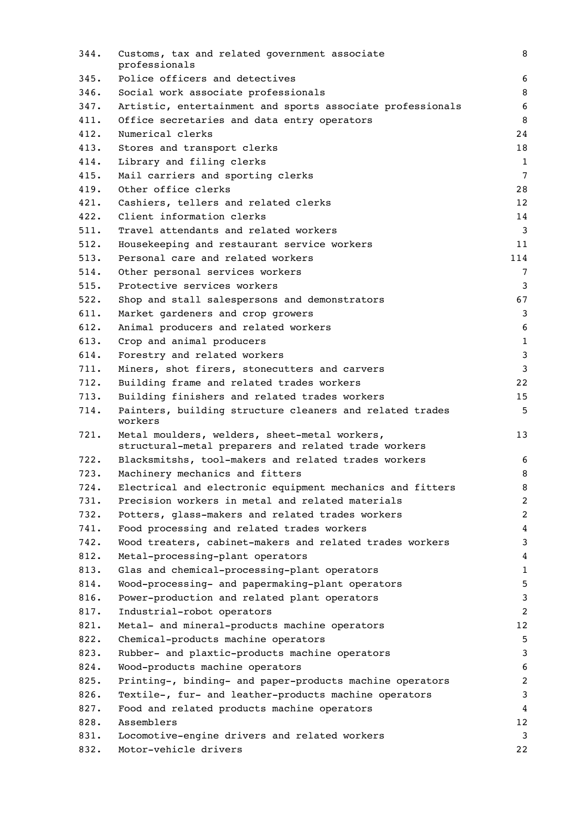| 344. | Customs, tax and related government associate<br>professionals                                        | 8              |
|------|-------------------------------------------------------------------------------------------------------|----------------|
| 345. | Police officers and detectives                                                                        | 6              |
| 346. | Social work associate professionals                                                                   | 8              |
| 347. | Artistic, entertainment and sports associate professionals                                            | 6              |
| 411. | Office secretaries and data entry operators                                                           | 8              |
| 412. | Numerical clerks                                                                                      | 24             |
| 413. | Stores and transport clerks                                                                           | 18             |
| 414. | Library and filing clerks                                                                             | $\mathbf{1}$   |
| 415. | Mail carriers and sporting clerks                                                                     | $\overline{7}$ |
| 419. | Other office clerks                                                                                   | 28             |
| 421. | Cashiers, tellers and related clerks                                                                  | 12             |
| 422. | Client information clerks                                                                             | 14             |
| 511. | Travel attendants and related workers                                                                 | $\overline{3}$ |
| 512. | Housekeeping and restaurant service workers                                                           | 11             |
| 513. | Personal care and related workers                                                                     | 114            |
| 514. | Other personal services workers                                                                       | 7              |
| 515. | Protective services workers                                                                           | 3              |
| 522. | Shop and stall salespersons and demonstrators                                                         | 67             |
| 611. | Market gardeners and crop growers                                                                     | 3              |
| 612. | Animal producers and related workers                                                                  | 6              |
| 613. |                                                                                                       | $\mathbf{1}$   |
|      | Crop and animal producers                                                                             | 3              |
| 614. | Forestry and related workers                                                                          |                |
| 711. | Miners, shot firers, stonecutters and carvers                                                         | 3              |
| 712. | Building frame and related trades workers                                                             | 22             |
| 713. | Building finishers and related trades workers                                                         | 15             |
| 714. | Painters, building structure cleaners and related trades<br>workers                                   | 5              |
| 721. | Metal moulders, welders, sheet-metal workers,<br>structural-metal preparers and related trade workers | 13             |
| 722. | Blacksmitshs, tool-makers and related trades workers                                                  | 6              |
| 723. | Machinery mechanics and fitters                                                                       | 8              |
| 724. | Electrical and electronic equipment mechanics and fitters                                             | 8              |
| 731. | Precision workers in metal and related materials                                                      | $\overline{c}$ |
| 732. | Potters, glass-makers and related trades workers                                                      | 2              |
| 741. | Food processing and related trades workers                                                            | 4              |
| 742. | Wood treaters, cabinet-makers and related trades workers                                              | 3              |
| 812. | Metal-processing-plant operators                                                                      | 4              |
| 813. | Glas and chemical-processing-plant operators                                                          | 1              |
| 814. | Wood-processing- and papermaking-plant operators                                                      | 5              |
| 816. | Power-production and related plant operators                                                          | 3              |
| 817. | Industrial-robot operators                                                                            | 2              |
| 821. | Metal- and mineral-products machine operators                                                         | 12             |
| 822. | Chemical-products machine operators                                                                   | 5              |
| 823. | Rubber- and plaxtic-products machine operators                                                        | 3              |
| 824. | Wood-products machine operators                                                                       | 6              |
| 825. | Printing-, binding- and paper-products machine operators                                              | 2              |
| 826. | Textile-, fur- and leather-products machine operators                                                 | 3              |
| 827. | Food and related products machine operators                                                           | 4              |
| 828. | Assemblers                                                                                            | 12             |
| 831. | Locomotive-engine drivers and related workers                                                         | 3              |
| 832. | Motor-vehicle drivers                                                                                 | 22             |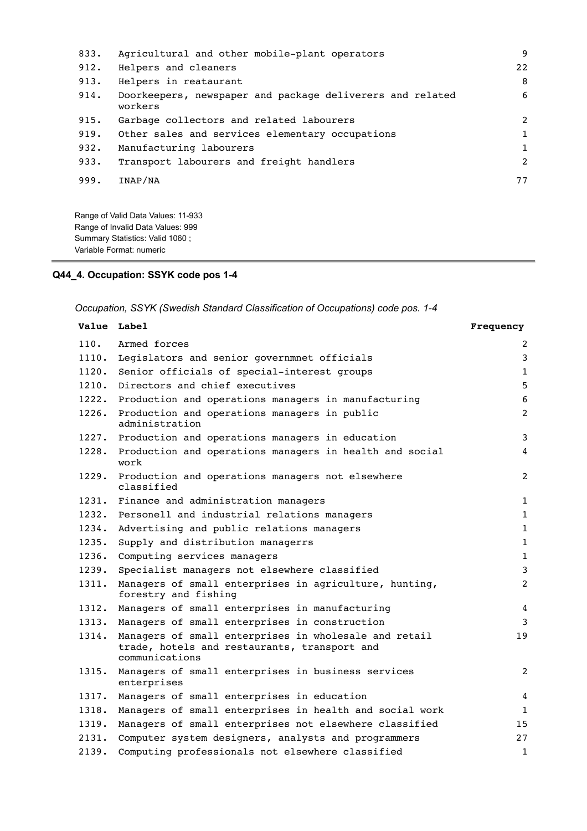| 833. | Agricultural and other mobile-plant operators                        | 9              |
|------|----------------------------------------------------------------------|----------------|
| 912. | Helpers and cleaners                                                 | 22             |
| 913. | Helpers in reataurant                                                | 8              |
| 914. | Doorkeepers, newspaper and package deliverers and related<br>workers | 6              |
| 915. | Garbage collectors and related labourers                             | $\overline{2}$ |
| 919. | Other sales and services elementary occupations                      | 1              |
| 932. | Manufacturing labourers                                              | $\mathbf{1}$   |
| 933. | Transport labourers and freight handlers                             | $\overline{2}$ |
| 999. | INAP/NA                                                              | 77             |

Range of Valid Data Values: 11-933 Range of Invalid Data Values: 999 Summary Statistics: Valid 1060 ; Variable Format: numeric

# **Q44\_4. Occupation: SSYK code pos 1-4**

*Occupation, SSYK (Swedish Standard Classification of Occupations) code pos. 1-4*

| Value Label |                                                                                                                         | Frequency      |
|-------------|-------------------------------------------------------------------------------------------------------------------------|----------------|
| 110.        | Armed forces                                                                                                            | 2              |
| 1110.       | Legislators and senior governmnet officials                                                                             | 3              |
| 1120.       | Senior officials of special-interest groups                                                                             | $\mathbf{1}$   |
| 1210.       | Directors and chief executives                                                                                          | 5              |
| 1222.       | Production and operations managers in manufacturing                                                                     | 6              |
| 1226.       | Production and operations managers in public<br>administration                                                          | 2              |
| 1227.       | Production and operations managers in education                                                                         | 3              |
| 1228.       | Production and operations managers in health and social<br>work                                                         | 4              |
| 1229.       | Production and operations managers not elsewhere<br>classified                                                          | $\overline{2}$ |
| 1231.       | Finance and administration managers                                                                                     | $\mathbf{1}$   |
| 1232.       | Personell and industrial relations managers                                                                             | $\mathbf{1}$   |
| 1234.       | Advertising and public relations managers                                                                               | $\mathbf{1}$   |
| 1235.       | Supply and distribution managerrs                                                                                       | $\mathbf{1}$   |
| 1236.       | Computing services managers                                                                                             | $\mathbf{1}$   |
| 1239.       | Specialist managers not elsewhere classified                                                                            | 3              |
| 1311.       | Managers of small enterprises in agriculture, hunting,<br>forestry and fishing                                          | $\overline{2}$ |
| 1312.       | Managers of small enterprises in manufacturing                                                                          | $\overline{4}$ |
| 1313.       | Managers of small enterprises in construction                                                                           | 3              |
| 1314.       | Managers of small enterprises in wholesale and retail<br>trade, hotels and restaurants, transport and<br>communications | 19             |
| 1315.       | Managers of small enterprises in business services<br>enterprises                                                       | $\overline{2}$ |
| 1317.       | Managers of small enterprises in education                                                                              | 4              |
| 1318.       | Managers of small enterprises in health and social work                                                                 | $\mathbf{1}$   |
| 1319.       | Managers of small enterprises not elsewhere classified                                                                  | 15             |
| 2131.       | Computer system designers, analysts and programmers                                                                     | 27             |
| 2139.       | Computing professionals not elsewhere classified                                                                        | 1              |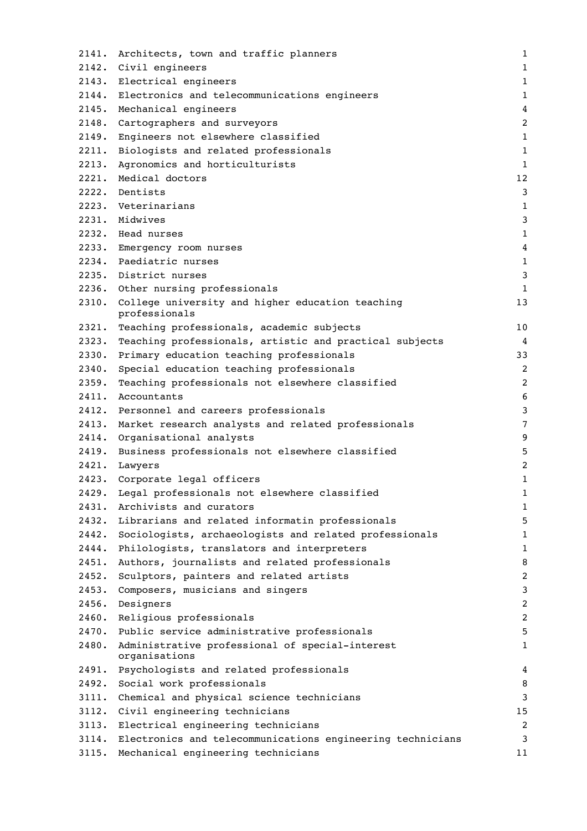| 2141. | Architects, town and traffic planners                            | 1              |
|-------|------------------------------------------------------------------|----------------|
|       | 2142. Civil engineers                                            | $1\,$          |
|       | 2143. Electrical engineers                                       | $1\,$          |
|       | 2144. Electronics and telecommunications engineers               | $\mathbf{1}$   |
|       | 2145. Mechanical engineers                                       | $\overline{4}$ |
| 2148. | Cartographers and surveyors                                      | $\overline{2}$ |
| 2149. | Engineers not elsewhere classified                               | $\mathbf{1}$   |
| 2211. | Biologists and related professionals                             | $\mathbf{1}$   |
| 2213. | Agronomics and horticulturists                                   | $\mathbf{1}$   |
| 2221. | Medical doctors                                                  | 12             |
|       | 2222. Dentists                                                   | 3              |
|       | 2223. Veterinarians                                              | $\mathbf{1}$   |
|       | 2231. Midwives                                                   | $\mathbf{3}$   |
|       | 2232. Head nurses                                                | $1\,$          |
|       | 2233. Emergency room nurses                                      | 4              |
|       | 2234. Paediatric nurses                                          | 1              |
|       | 2235. District nurses                                            | 3              |
|       | 2236. Other nursing professionals                                | $\mathbf{1}$   |
| 2310. | College university and higher education teaching                 | 13             |
|       | professionals                                                    |                |
| 2321. | Teaching professionals, academic subjects                        | 10             |
| 2323. | Teaching professionals, artistic and practical subjects          | $\overline{4}$ |
| 2330. | Primary education teaching professionals                         | 33             |
| 2340. | Special education teaching professionals                         | 2              |
| 2359. | Teaching professionals not elsewhere classified                  | $\overline{c}$ |
| 2411. | Accountants                                                      | 6              |
| 2412. | Personnel and careers professionals                              | 3              |
|       | 2413. Market research analysts and related professionals         | $\overline{7}$ |
|       | 2414. Organisational analysts                                    | 9              |
| 2419. | Business professionals not elsewhere classified                  | 5              |
|       | 2421. Lawyers                                                    | $\overline{c}$ |
|       | 2423. Corporate legal officers                                   | $\mathbf 1$    |
| 2429. | Legal professionals not elsewhere classified                     | 1              |
| 2431. | Archivists and curators                                          | $\mathbf{1}$   |
| 2432. | Librarians and related informatin professionals                  | 5              |
| 2442. | Sociologists, archaeologists and related professionals           | $\mathbf 1$    |
| 2444. | Philologists, translators and interpreters                       | $1\,$          |
| 2451. | Authors, journalists and related professionals                   | 8              |
| 2452. | Sculptors, painters and related artists                          | 2              |
| 2453. | Composers, musicians and singers                                 | 3              |
| 2456. | Designers                                                        | 2              |
| 2460. | Religious professionals                                          | $\overline{c}$ |
| 2470. | Public service administrative professionals                      | 5              |
| 2480. | Administrative professional of special-interest<br>organisations | 1              |
| 2491. | Psychologists and related professionals                          | 4              |
| 2492. | Social work professionals                                        | 8              |
| 3111. | Chemical and physical science technicians                        | 3              |
| 3112. | Civil engineering technicians                                    | 15             |
| 3113. | Electrical engineering technicians                               | 2              |
| 3114. | Electronics and telecommunications engineering technicians       | 3              |
| 3115. | Mechanical engineering technicians                               | 11             |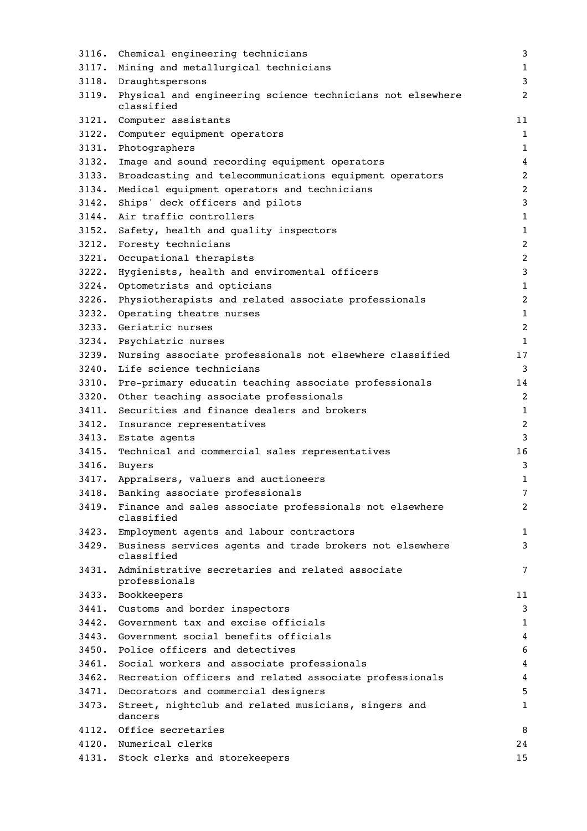| 3116. | Chemical engineering technicians                                             | 3                |
|-------|------------------------------------------------------------------------------|------------------|
| 3117. | Mining and metallurgical technicians                                         | $\mathbf 1$      |
|       | 3118. Draughtspersons                                                        | $\mathbf{3}$     |
| 3119. | Physical and engineering science technicians not elsewhere<br>classified     | 2                |
|       | 3121. Computer assistants                                                    | 11               |
| 3122. | Computer equipment operators                                                 | $1\,$            |
| 3131. | Photographers                                                                | $1\,$            |
| 3132. | Image and sound recording equipment operators                                | $\overline{4}$   |
| 3133. | Broadcasting and telecommunications equipment operators                      | $\overline{c}$   |
| 3134. | Medical equipment operators and technicians                                  | $\overline{2}$   |
| 3142. | Ships' deck officers and pilots                                              | $\mathbf{3}$     |
| 3144. | Air traffic controllers                                                      | $\mathbf{1}$     |
| 3152. | Safety, health and quality inspectors                                        | $1\,$            |
| 3212. | Foresty technicians                                                          | $\overline{2}$   |
| 3221. | Occupational therapists                                                      | $\overline{c}$   |
| 3222. | Hygienists, health and enviromental officers                                 | $\mathbf{3}$     |
| 3224. | Optometrists and opticians                                                   | $1\,$            |
| 3226. | Physiotherapists and related associate professionals                         | $\boldsymbol{2}$ |
| 3232. | Operating theatre nurses                                                     | $1\,$            |
| 3233. | Geriatric nurses                                                             | $\overline{2}$   |
| 3234. | Psychiatric nurses                                                           | $1\,$            |
| 3239. | Nursing associate professionals not elsewhere classified                     | 17               |
| 3240. | Life science technicians                                                     | 3                |
| 3310. | Pre-primary educatin teaching associate professionals                        | 14               |
| 3320. | Other teaching associate professionals                                       | $\overline{2}$   |
| 3411. | Securities and finance dealers and brokers                                   | 1                |
| 3412. | Insurance representatives                                                    | $\overline{2}$   |
|       | 3413. Estate agents                                                          | $\mathbf{3}$     |
| 3415. | Technical and commercial sales representatives                               | 16               |
| 3416. | Buyers                                                                       | 3                |
|       | 3417. Appraisers, valuers and auctioneers                                    | $\mathbf{1}$     |
| 3418. | Banking associate professionals                                              | 7                |
| 3419. | Finance and sales associate professionals not elsewhere<br>classified        | 2                |
|       | 3423. Employment agents and labour contractors                               | $\mathbf 1$      |
|       | 3429. Business services agents and trade brokers not elsewhere<br>classified | 3                |
| 3431. | Administrative secretaries and related associate<br>professionals            | 7                |
| 3433. | Bookkeepers                                                                  | 11               |
|       | 3441. Customs and border inspectors                                          | 3                |
| 3442. | Government tax and excise officials                                          | 1                |
| 3443. | Government social benefits officials                                         | 4                |
| 3450. | Police officers and detectives                                               | 6                |
| 3461. | Social workers and associate professionals                                   | $\overline{4}$   |
| 3462. | Recreation officers and related associate professionals                      | 4                |
| 3471. | Decorators and commercial designers                                          | 5                |
| 3473. | Street, nightclub and related musicians, singers and<br>dancers              | 1                |
| 4112. | Office secretaries                                                           | 8                |
|       | 4120. Numerical clerks                                                       | 24               |
|       | 4131. Stock clerks and storekeepers                                          | 15               |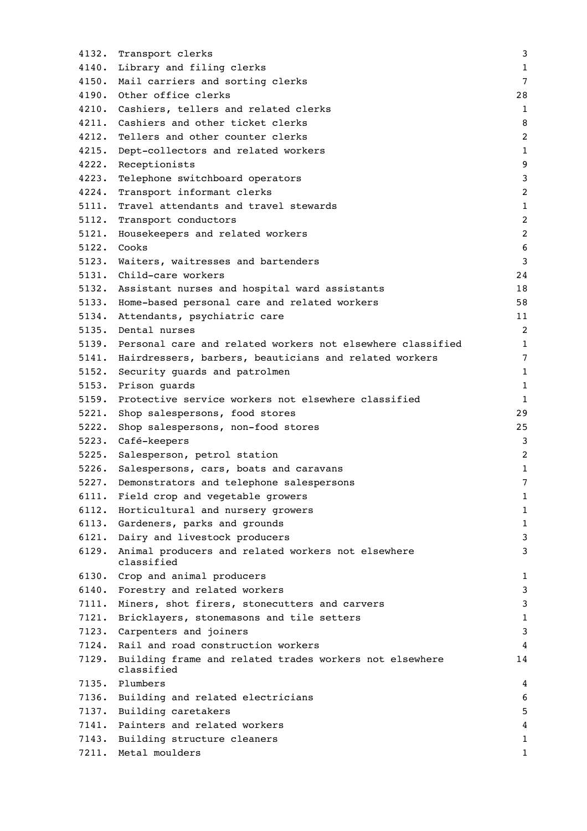| 4132. | Transport clerks                                                      | 3                |
|-------|-----------------------------------------------------------------------|------------------|
|       | 4140. Library and filing clerks                                       | $\mathbf{1}$     |
|       | 4150. Mail carriers and sorting clerks                                | $\overline{7}$   |
|       | 4190. Other office clerks                                             | 28               |
|       | 4210. Cashiers, tellers and related clerks                            | $\mathbf{1}$     |
| 4211. | Cashiers and other ticket clerks                                      | 8                |
| 4212. | Tellers and other counter clerks                                      | $\overline{c}$   |
| 4215. | Dept-collectors and related workers                                   | $1\,$            |
| 4222. | Receptionists                                                         | $\boldsymbol{9}$ |
| 4223. | Telephone switchboard operators                                       | $\mathsf 3$      |
| 4224. | Transport informant clerks                                            | 2                |
| 5111. | Travel attendants and travel stewards                                 | $\mathbf{1}$     |
| 5112. | Transport conductors                                                  | $\overline{c}$   |
| 5121. | Housekeepers and related workers                                      | $\overline{c}$   |
| 5122. | Cooks                                                                 | 6                |
|       | 5123. Waiters, waitresses and bartenders                              | 3                |
|       | 5131. Child-care workers                                              | 24               |
|       | 5132. Assistant nurses and hospital ward assistants                   | 18               |
|       | 5133. Home-based personal care and related workers                    | 58               |
|       | 5134. Attendants, psychiatric care                                    | 11               |
|       | 5135. Dental nurses                                                   | $\overline{c}$   |
|       | 5139. Personal care and related workers not elsewhere classified      | $\mathbf 1$      |
|       | 5141. Hairdressers, barbers, beauticians and related workers          | 7                |
| 5152. | Security guards and patrolmen                                         | $1\,$            |
|       | 5153. Prison guards                                                   | $\mathbf{1}$     |
|       | 5159. Protective service workers not elsewhere classified             | $\mathbf{1}$     |
| 5221. | Shop salespersons, food stores                                        | 29               |
| 5222. | Shop salespersons, non-food stores                                    | 25               |
| 5223. | Café-keepers                                                          | 3                |
| 5225. | Salesperson, petrol station                                           | $\overline{c}$   |
|       | 5226. Salespersons, cars, boats and caravans                          | 1                |
| 5227. | Demonstrators and telephone salespersons                              | 7                |
| 6111. | Field crop and vegetable growers                                      | 1                |
| 6112. | Horticultural and nursery growers                                     | 1                |
| 6113. | Gardeners, parks and grounds                                          | $\mathbf{1}$     |
| 6121. | Dairy and livestock producers                                         | 3                |
| 6129. | Animal producers and related workers not elsewhere                    | 3                |
|       | classified                                                            |                  |
| 6130. | Crop and animal producers                                             | 1                |
| 6140. | Forestry and related workers                                          | 3                |
| 7111. | Miners, shot firers, stonecutters and carvers                         | 3                |
| 7121. | Bricklayers, stonemasons and tile setters                             | $\mathbf 1$      |
| 7123. | Carpenters and joiners                                                | 3                |
| 7124. | Rail and road construction workers                                    | 4                |
| 7129. | Building frame and related trades workers not elsewhere<br>classified | 14               |
|       | 7135. Plumbers                                                        | 4                |
| 7136. | Building and related electricians                                     | 6                |
| 7137. | Building caretakers                                                   | 5                |
| 7141. | Painters and related workers                                          | 4                |
| 7143. | Building structure cleaners                                           | 1                |
| 7211. | Metal moulders                                                        | 1                |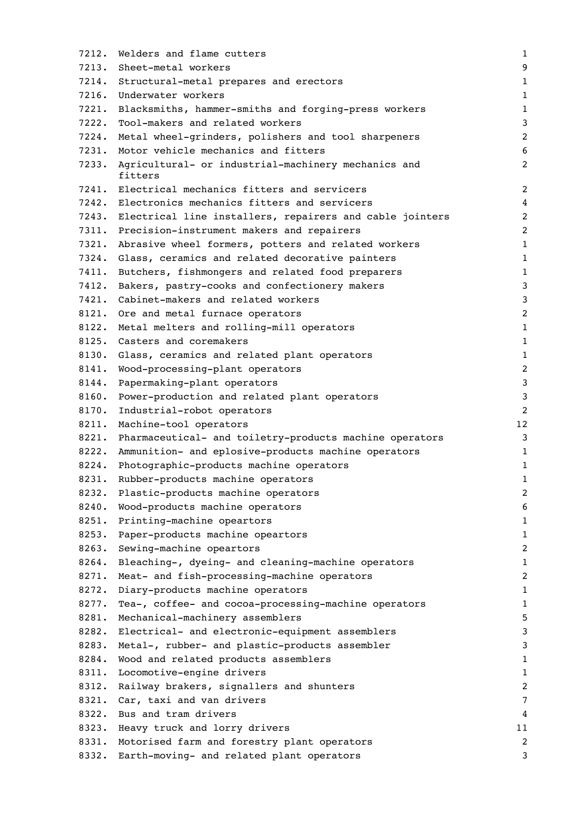| 7212. | Welders and flame cutters                                      | $1\,$            |
|-------|----------------------------------------------------------------|------------------|
| 7213. | Sheet-metal workers                                            | 9                |
|       | 7214. Structural-metal prepares and erectors                   | 1                |
|       | 7216. Underwater workers                                       | $1\,$            |
| 7221. | Blacksmiths, hammer-smiths and forging-press workers           | $\mathbf 1$      |
| 7222. | Tool-makers and related workers                                | 3                |
| 7224. | Metal wheel-grinders, polishers and tool sharpeners            | $\overline{c}$   |
| 7231. | Motor vehicle mechanics and fitters                            | 6                |
| 7233. | Agricultural- or industrial-machinery mechanics and<br>fitters | $\overline{c}$   |
|       | 7241. Electrical mechanics fitters and servicers               | $\overline{2}$   |
|       | 7242. Electronics mechanics fitters and servicers              | $\overline{4}$   |
|       | 7243. Electrical line installers, repairers and cable jointers | $\overline{c}$   |
|       | 7311. Precision-instrument makers and repairers                | $\overline{c}$   |
| 7321. | Abrasive wheel formers, potters and related workers            | $\mathbf 1$      |
| 7324. | Glass, ceramics and related decorative painters                | $\mathbf 1$      |
| 7411. | Butchers, fishmongers and related food preparers               | $\mathbf 1$      |
| 7412. | Bakers, pastry-cooks and confectionery makers                  | 3                |
| 7421. | Cabinet-makers and related workers                             | 3                |
|       | 8121. Ore and metal furnace operators                          | $\overline{c}$   |
| 8122. | Metal melters and rolling-mill operators                       | $\mathbf 1$      |
| 8125. | Casters and coremakers                                         | $\mathbf 1$      |
| 8130. | Glass, ceramics and related plant operators                    | 1                |
| 8141. | Wood-processing-plant operators                                | $\overline{c}$   |
| 8144. | Papermaking-plant operators                                    | 3                |
| 8160. | Power-production and related plant operators                   | 3                |
| 8170. | Industrial-robot operators                                     | $\overline{c}$   |
| 8211. | Machine-tool operators                                         | 12               |
|       | 8221. Pharmaceutical- and toiletry-products machine operators  | 3                |
| 8222. | Ammunition- and eplosive-products machine operators            | $\mathbf 1$      |
| 8224. | Photographic-products machine operators                        | 1                |
| 8231. | Rubber-products machine operators                              | $\mathbf 1$      |
| 8232. | Plastic-products machine operators                             | $\boldsymbol{2}$ |
| 8240. | Wood-products machine operators                                | 6                |
| 8251. | Printing-machine opeartors                                     | 1                |
| 8253. | Paper-products machine opeartors                               | 1                |
| 8263. | Sewing-machine opeartors                                       | $\overline{c}$   |
| 8264. | Bleaching-, dyeing- and cleaning-machine operators             | $\mathbf 1$      |
| 8271. | Meat- and fish-processing-machine operators                    | $\overline{c}$   |
| 8272. | Diary-products machine operators                               | 1                |
| 8277. | Tea-, coffee- and cocoa-processing-machine operators           | 1                |
| 8281. | Mechanical-machinery assemblers                                | 5                |
| 8282. | Electrical- and electronic-equipment assemblers                | 3                |
| 8283. | Metal-, rubber- and plastic-products assembler                 | 3                |
| 8284. | Wood and related products assemblers                           | 1                |
| 8311. | Locomotive-engine drivers                                      | 1                |
| 8312. | Railway brakers, signallers and shunters                       | $\overline{c}$   |
| 8321. | Car, taxi and van drivers                                      | 7                |
| 8322. | Bus and tram drivers                                           | 4                |
| 8323. | Heavy truck and lorry drivers                                  | 11               |
| 8331. | Motorised farm and forestry plant operators                    | $\overline{c}$   |
| 8332. | Earth-moving- and related plant operators                      | 3                |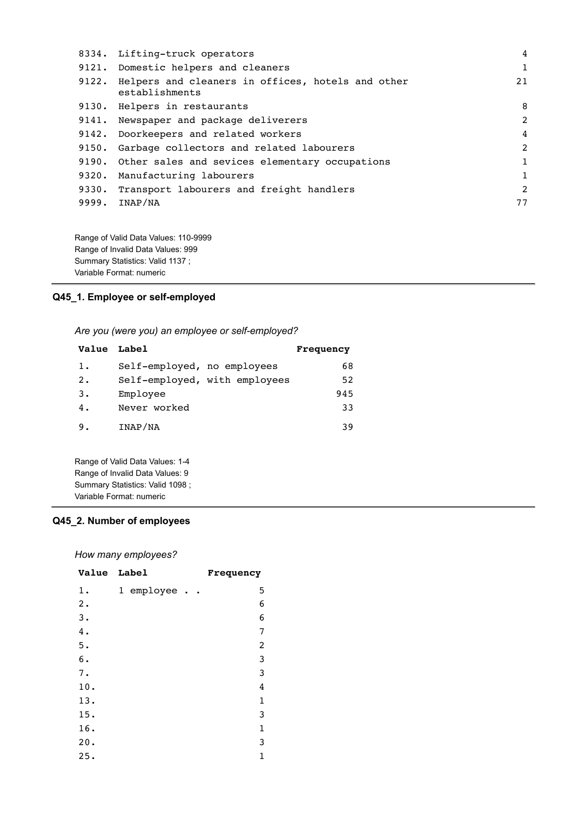| 8334. | Lifting-truck operators                                             | 4              |
|-------|---------------------------------------------------------------------|----------------|
|       | 9121. Domestic helpers and cleaners                                 | 1              |
| 9122. | Helpers and cleaners in offices, hotels and other<br>establishments | 21             |
|       | 9130. Helpers in restaurants                                        | 8              |
|       | 9141. Newspaper and package deliverers                              | 2              |
| 9142. | Doorkeepers and related workers                                     | $\overline{4}$ |
| 9150. | Garbage collectors and related labourers                            | $\overline{2}$ |
| 9190. | Other sales and sevices elementary occupations                      | 1              |
| 9320. | Manufacturing labourers                                             | $\mathbf{1}$   |
| 9330. | Transport labourers and freight handlers                            | 2              |
| 9999. | INAP/NA                                                             | 77             |
|       |                                                                     |                |
|       |                                                                     |                |

Range of Valid Data Values: 110-9999 Range of Invalid Data Values: 999 Summary Statistics: Valid 1137 ; Variable Format: numeric

**Q45\_1. Employee or self-employed**

*Are you (were you) an employee or self-employed?*

| Value Label |                               | Frequency |
|-------------|-------------------------------|-----------|
| $1$ .       | Self-employed, no employees   | 68        |
| 2.          | Self-employed, with employees | 52        |
| 3.          | Employee                      | 945       |
| 4.          | Never worked                  | 33        |
| 9.          | INAP/NA                       | 39        |
|             |                               |           |
|             |                               |           |

Range of Valid Data Values: 1-4 Range of Invalid Data Values: 9 Summary Statistics: Valid 1098 ; Variable Format: numeric

## **Q45\_2. Number of employees**

*How many employees?*

| Value Label |                             | Frequency               |
|-------------|-----------------------------|-------------------------|
| 1.          | 1 employee<br>$\sim$ $\sim$ | 5                       |
| 2.          |                             | 6                       |
| 3.          |                             | 6                       |
| 4.          |                             | 7                       |
| 5.          |                             | $\overline{\mathbf{c}}$ |
| 6.          |                             | 3                       |
| 7.          |                             | 3                       |
| 10.         |                             | 4                       |
| 13.         |                             | $\mathbf 1$             |
| 15.         |                             | 3                       |
| 16.         |                             | $\mathbf 1$             |
| 20.         |                             | 3                       |
| 25.         |                             | 1                       |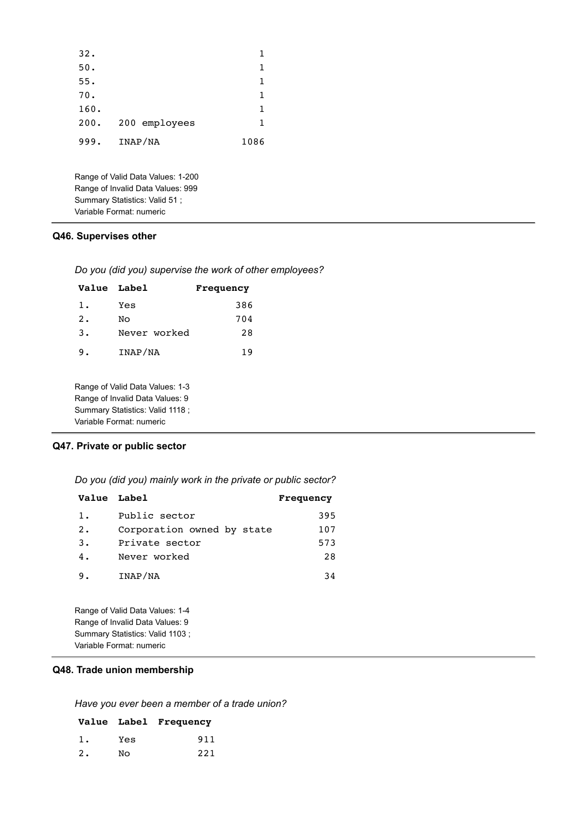| 32.                      |         |                                                                                                         | 1    |
|--------------------------|---------|---------------------------------------------------------------------------------------------------------|------|
| 50.                      |         |                                                                                                         | 1    |
| 55.                      |         |                                                                                                         | 1    |
| 70.                      |         |                                                                                                         | 1    |
| 160.                     |         |                                                                                                         | 1    |
| 200.                     |         | 200 employees                                                                                           | 1    |
| 999.                     | INAP/NA |                                                                                                         | 1086 |
| Variable Format: numeric |         | Range of Valid Data Values: 1-200<br>Range of Invalid Data Values: 999<br>Summary Statistics: Valid 51; |      |
|                          |         |                                                                                                         |      |

### **Q46. Supervises other**

|  | Do you (did you) supervise the work of other employees? |
|--|---------------------------------------------------------|
|--|---------------------------------------------------------|

| Value Label |              | Frequency |  |
|-------------|--------------|-----------|--|
| 1.          | Yes          | 386       |  |
| 2.          | NΟ           | 704       |  |
| 3.          | Never worked | 28        |  |
| 9.          | INAP/NA      | 19        |  |

Range of Valid Data Values: 1-3 Range of Invalid Data Values: 9 Summary Statistics: Valid 1118 ; Variable Format: numeric

# **Q47. Private or public sector**

*Do you (did you) mainly work in the private or public sector?*

| Value Label |                            | Frequency |
|-------------|----------------------------|-----------|
| 1.          | Public sector              | 395       |
| 2.          | Corporation owned by state | 107       |
| 3.          | Private sector             | 573       |
| 4.          | Never worked               | 28        |
| 9.          | INAP/NA                    | 34        |

Range of Valid Data Values: 1-4 Range of Invalid Data Values: 9 Summary Statistics: Valid 1103 ; Variable Format: numeric

## **Q48. Trade union membership**

*Have you ever been a member of a trade union?*

|    |     | Value Label Frequency |
|----|-----|-----------------------|
| 1. | Yes | 911                   |
| 2. | No  | 221                   |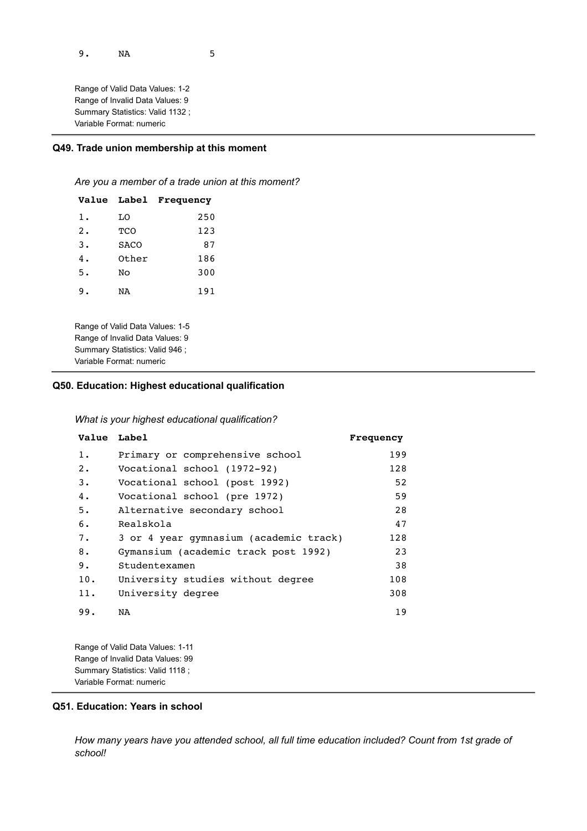9. NA 5

Range of Valid Data Values: 1-2 Range of Invalid Data Values: 9 Summary Statistics: Valid 1132 ; Variable Format: numeric

### **Q49. Trade union membership at this moment**

*Are you a member of a trade union at this moment?*

| Value                                                                                                                             | <b>Label</b> | Frequency |  |
|-----------------------------------------------------------------------------------------------------------------------------------|--------------|-----------|--|
| 1.                                                                                                                                | T.O          | 250       |  |
| 2.                                                                                                                                | TCO          | 123       |  |
| 3.                                                                                                                                | SACO         | 87        |  |
| 4.                                                                                                                                | Other        | 186       |  |
| 5.                                                                                                                                | NΩ           | 300       |  |
| 9.                                                                                                                                | NA           | 191       |  |
| Range of Valid Data Values: 1-5<br>Range of Invalid Data Values: 9<br>Summary Statistics: Valid 946 ;<br>Variable Format: numeric |              |           |  |

### **Q50. Education: Highest educational qualification**

*What is your highest educational qualification?*

| Value Label |                                        | Frequency |
|-------------|----------------------------------------|-----------|
| $1$ .       | Primary or comprehensive school        | 199       |
| 2.          | Vocational school (1972-92)            | 128       |
| 3.          | Vocational school (post 1992)          | 52        |
| 4.          | Vocational school (pre 1972)           | 59        |
| 5.          | Alternative secondary school           | 28        |
| 6.          | Realskola                              | 47        |
| 7.          | 3 or 4 year gymnasium (academic track) | 128       |
| 8.          | Gymansium (academic track post 1992)   | 23        |
| 9.          | Studentexamen                          | 38        |
| 10.         | University studies without degree      | 108       |
| 11.         | University degree                      | 308       |
| 99.         | NA                                     | 19        |

Range of Valid Data Values: 1-11 Range of Invalid Data Values: 99 Summary Statistics: Valid 1118 ; Variable Format: numeric

### **Q51. Education: Years in school**

*How many years have you attended school, all full time education included? Count from 1st grade of school!*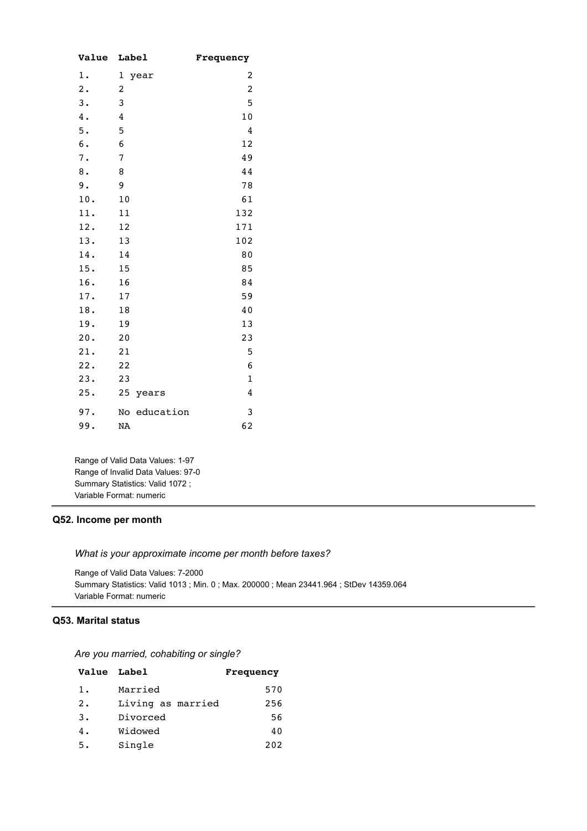| <b>Value</b> | Label           | Frequency      |
|--------------|-----------------|----------------|
| $1$ .        | 1<br>year       | 2              |
| 2.           | 2               | $\overline{c}$ |
| 3.           | 3               | 5              |
| $4$ .        | 4               | 10             |
| 5.           | 5               | 4              |
| $6$ .        | 6               | 12             |
| 7.           | 7               | 49             |
| $\bf 8$ .    | 8               | 44             |
| 9.           | 9               | 78             |
| 10.          | 10              | 61             |
| 11.          | 11              | 132            |
| 12.          | 12              | 171            |
| 13.          | 13              | 102            |
| 14.          | 14              | 80             |
| 15.          | 15              | 85             |
| 16.          | 16              | 84             |
| 17.          | 17              | 59             |
| 18.          | 18              | 40             |
| 19.          | 19              | 13             |
| 20.          | 20              | 23             |
| 21.          | 21              | 5              |
| 22.          | 22              | 6              |
| 23.          | 23              | $\mathbf{1}$   |
| 25.          | 25<br>years     | 4              |
| 97.          | education<br>No | 3              |
| 99.          | <b>NA</b>       | 62             |

Range of Valid Data Values: 1-97 Range of Invalid Data Values: 97-0 Summary Statistics: Valid 1072 ; Variable Format: numeric

### **Q52. Income per month**

*What is your approximate income per month before taxes?*

Range of Valid Data Values: 7-2000 Summary Statistics: Valid 1013 ; Min. 0 ; Max. 200000 ; Mean 23441.964 ; StDev 14359.064 Variable Format: numeric

## **Q53. Marital status**

*Are you married, cohabiting or single?*

| Value Label |                   | Frequency |
|-------------|-------------------|-----------|
| 1.          | Married           | 570       |
| 2.          | Living as married | 256       |
| 3.          | Divorced          | 56        |
| 4.          | Widowed           | 40        |
| 5.          | Single            | 202       |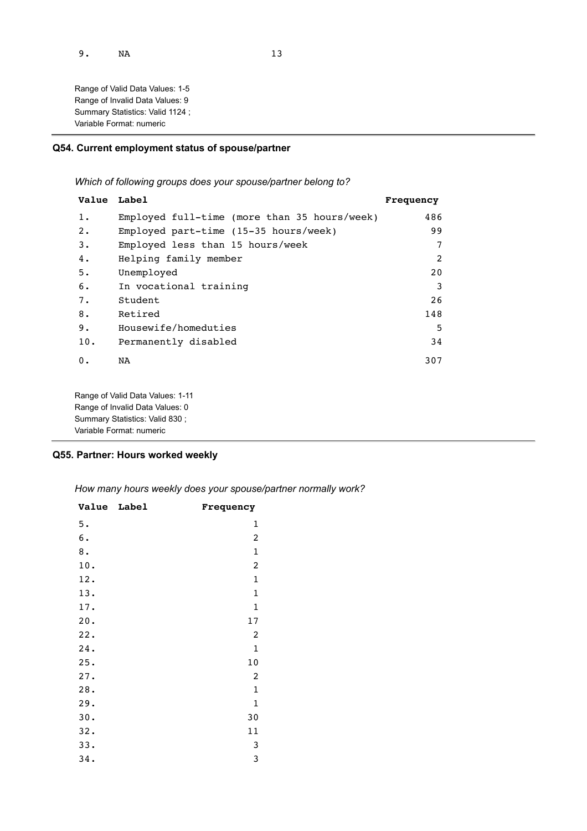Range of Valid Data Values: 1-5 Range of Invalid Data Values: 9 Summary Statistics: Valid 1124 ; Variable Format: numeric

## **Q54. Current employment status of spouse/partner**

*Which of following groups does your spouse/partner belong to?*

| Value Label |                                                        | Frequency |
|-------------|--------------------------------------------------------|-----------|
| $1$ .       | Employed full-time (more than 35 hours/week)           | 486       |
| 2.          | Employed part-time $(15-35 \text{ hours}/\text{week})$ | 99        |
| 3.          | Employed less than 15 hours/week                       | 7         |
| 4.          | Helping family member                                  | 2         |
| 5.          | Unemployed                                             | 20        |
| 6.          | In vocational training                                 | 3         |
| 7.          | Student                                                | 26        |
| 8.          | Retired                                                | 148       |
| 9.          | Housewife/homeduties                                   | 5         |
| 10.         | Permanently disabled                                   | 34        |
| 0.          | NA                                                     | 307       |
|             |                                                        |           |
|             | Range of Valid Data Values: 1-11                       |           |
|             | Range of Invalid Data Values: 0                        |           |

**Q55. Partner: Hours worked weekly**

Summary Statistics: Valid 830 ; Variable Format: numeric

*How many hours weekly does your spouse/partner normally work?*

| <b>Value</b>  | Label | Frequency        |
|---------------|-------|------------------|
| 5.            |       | 1                |
| $\mathbf 6$ . |       | 2                |
| 8.            |       | $\mathbf 1$      |
| 10.           |       | $\boldsymbol{2}$ |
| 12.           |       | $\mathbf 1$      |
| 13.           |       | $\mathbf 1$      |
| 17.           |       | $\mathbf 1$      |
| 20.           |       | $17$             |
| 22.           |       | 2                |
| 24.           |       | $\mathbf 1$      |
| 25.           |       | $1\,0$           |
| 27.           |       | 2                |
| 28.           |       | $\mathbf 1$      |
| 29.           |       | $\mathbf 1$      |
| 30.           |       | 30               |
| 32.           |       | 11               |
| 33.           |       | 3                |
| 34.           |       | 3                |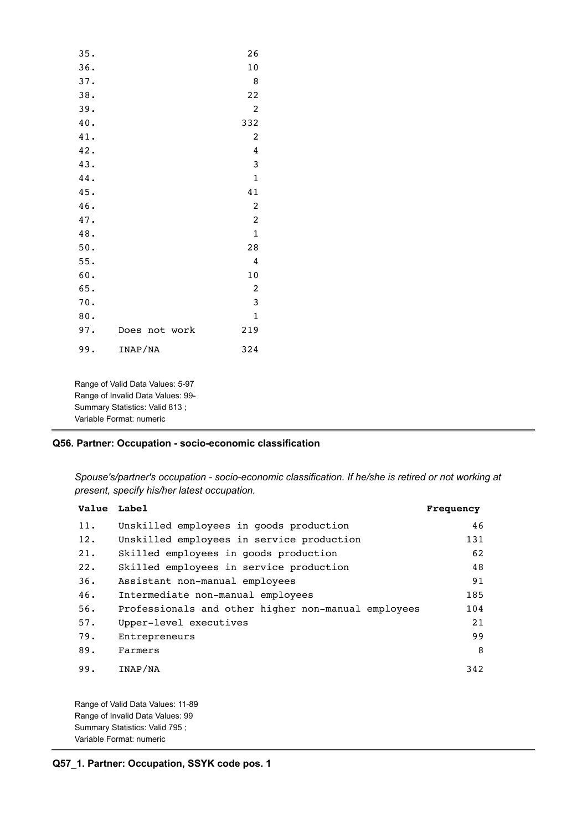| 35. |                  | 26             |
|-----|------------------|----------------|
| 36. |                  | 10             |
| 37. |                  | 8              |
| 38. |                  | 22             |
| 39. |                  | 2              |
| 40. |                  | 332            |
| 41. |                  | 2              |
| 42. |                  | 4              |
| 43. |                  | 3              |
| 44. |                  | $\mathbf 1$    |
| 45. |                  | 41             |
| 46. |                  | 2              |
| 47. |                  | $\overline{c}$ |
| 48. |                  | $\mathbf{1}$   |
| 50. |                  | 28             |
| 55. |                  | 4              |
| 60. |                  | 10             |
| 65. |                  | $\overline{2}$ |
| 70. |                  | 3              |
| 80. |                  | $\mathbf{1}$   |
| 97. | Does<br>not work | 219            |
| 99. | INAP/NA          | 324            |

Range of Valid Data Values: 5-97 Range of Invalid Data Values: 99- Summary Statistics: Valid 813 ; Variable Format: numeric

## **Q56. Partner: Occupation - socio-economic classification**

*Spouse's/partner's occupation - socio-economic classification. If he/she is retired or not working at present, specify his/her latest occupation.*

| Value Label |                                                     | Frequency |
|-------------|-----------------------------------------------------|-----------|
| 11.         | Unskilled employees in goods production             | 46        |
| 12.         | Unskilled employees in service production           | 131       |
| 21.         | Skilled employees in goods production               | 62        |
| 22.         | Skilled employees in service production             | 48        |
| 36.         | Assistant non-manual employees                      | 91        |
| 46.         | Intermediate non-manual employees                   | 185       |
| 56.         | Professionals and other higher non-manual employees | 104       |
| 57.         | Upper-level executives                              | 21        |
| 79.         | Entrepreneurs                                       | 99        |
| 89.         | Farmers                                             | 8         |
| 99.         | INAP/NA                                             | 342       |
|             | Range of Valid Data Values: 11-89                   |           |
|             | Range of Invalid Data Values: 99                    |           |
|             | Summary Statistics: Valid 795;                      |           |

Variable Format: numeric

**Q57\_1. Partner: Occupation, SSYK code pos. 1**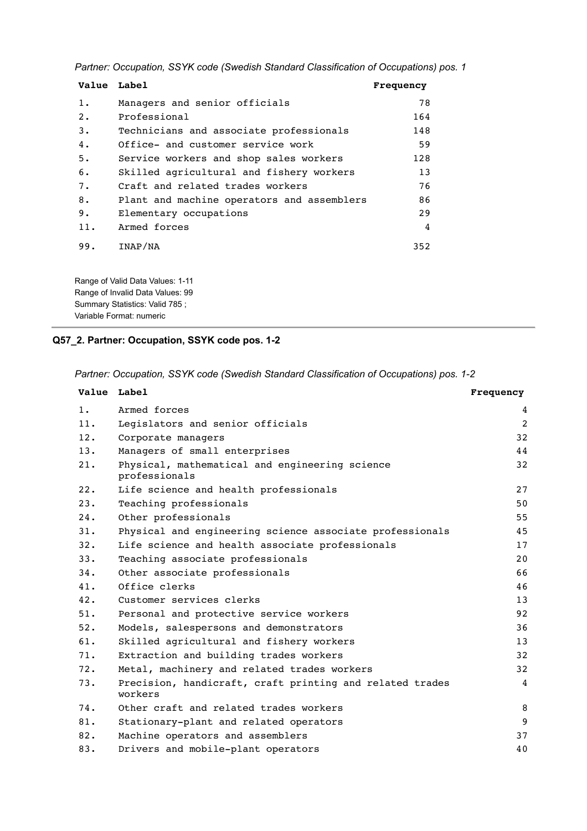*Partner: Occupation, SSYK code (Swedish Standard Classification of Occupations) pos. 1*

| Value Label |                                            | Frequency |
|-------------|--------------------------------------------|-----------|
| $1$ .       | Managers and senior officials              | 78        |
| 2.          | Professional                               | 164       |
| 3.          | Technicians and associate professionals    | 148       |
| 4.          | Office- and customer service work          | 59        |
| 5.          | Service workers and shop sales workers     | 128       |
| 6.          | Skilled agricultural and fishery workers   | 13        |
| 7.          | Craft and related trades workers           | 76        |
| 8.          | Plant and machine operators and assemblers | 86        |
| 9.          | Elementary occupations                     | 29        |
| 11.         | Armed forces                               | 4         |
| 99.         | INAP/NA                                    | 352       |

Range of Valid Data Values: 1-11 Range of Invalid Data Values: 99 Summary Statistics: Valid 785 ; Variable Format: numeric

# **Q57\_2. Partner: Occupation, SSYK code pos. 1-2**

*Partner: Occupation, SSYK code (Swedish Standard Classification of Occupations) pos. 1-2*

|     | Value Label                                                         | Frequency |
|-----|---------------------------------------------------------------------|-----------|
| 1.  | Armed forces                                                        | 4         |
| 11. | Legislators and senior officials                                    | 2         |
| 12. | Corporate managers                                                  | 32        |
| 13. | Managers of small enterprises                                       | 44        |
| 21. | Physical, mathematical and engineering science<br>professionals     | 32        |
| 22. | Life science and health professionals                               | 27        |
| 23. | Teaching professionals                                              | 50        |
| 24. | Other professionals                                                 | 55        |
| 31. | Physical and engineering science associate professionals            | 45        |
| 32. | Life science and health associate professionals                     | 17        |
| 33. | Teaching associate professionals                                    | 20        |
| 34. | Other associate professionals                                       | 66        |
| 41. | Office clerks                                                       | 46        |
| 42. | Customer services clerks                                            | 13        |
| 51. | Personal and protective service workers                             | 92        |
| 52. | Models, salespersons and demonstrators                              | 36        |
| 61. | Skilled agricultural and fishery workers                            | 13        |
| 71. | Extraction and building trades workers                              | 32        |
| 72. | Metal, machinery and related trades workers                         | 32        |
| 73. | Precision, handicraft, craft printing and related trades<br>workers | 4         |
| 74. | Other craft and related trades workers                              | 8         |
| 81. | Stationary-plant and related operators                              | 9         |
| 82. | Machine operators and assemblers                                    | 37        |
| 83. | Drivers and mobile-plant operators                                  | 40        |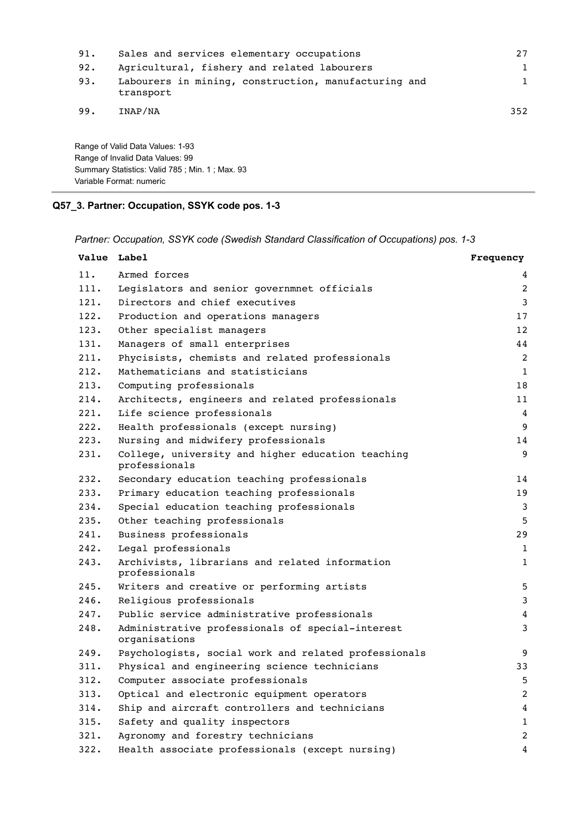| 91. | Sales and services elementary occupations                         | 27  |
|-----|-------------------------------------------------------------------|-----|
| 92. | Agricultural, fishery and related labourers                       | 1   |
| 93. | Labourers in mining, construction, manufacturing and<br>transport | 1   |
| 99. | INAP/NA                                                           | 352 |

Range of Valid Data Values: 1-93 Range of Invalid Data Values: 99 Summary Statistics: Valid 785 ; Min. 1 ; Max. 93 Variable Format: numeric

# **Q57\_3. Partner: Occupation, SSYK code pos. 1-3**

*Partner: Occupation, SSYK code (Swedish Standard Classification of Occupations) pos. 1-3*

|      | Value Label                                                        | Frequency      |
|------|--------------------------------------------------------------------|----------------|
| 11.  | Armed forces                                                       | 4              |
| 111. | Legislators and senior governmnet officials                        | 2              |
| 121. | Directors and chief executives                                     | 3              |
| 122. | Production and operations managers                                 | 17             |
| 123. | Other specialist managers                                          | 12             |
| 131. | Managers of small enterprises                                      | 44             |
| 211. | Phycisists, chemists and related professionals                     | 2              |
| 212. | Mathematicians and statisticians                                   | $\mathbf{1}$   |
| 213. | Computing professionals                                            | 18             |
| 214. | Architects, engineers and related professionals                    | 11             |
| 221. | Life science professionals                                         | 4              |
| 222. | Health professionals (except nursing)                              | 9              |
| 223. | Nursing and midwifery professionals                                | 14             |
| 231. | College, university and higher education teaching<br>professionals | 9              |
| 232. | Secondary education teaching professionals                         | 14             |
| 233. | Primary education teaching professionals                           | 19             |
| 234. | Special education teaching professionals                           | 3              |
| 235. | Other teaching professionals                                       | 5              |
| 241. | Business professionals                                             | 29             |
| 242. | Legal professionals                                                | $\mathbf{1}$   |
| 243. | Archivists, librarians and related information<br>professionals    | $\mathbf{1}$   |
| 245. | Writers and creative or performing artists                         | 5              |
| 246. | Religious professionals                                            | 3              |
| 247. | Public service administrative professionals                        | 4              |
| 248. | Administrative professionals of special-interest<br>organisations  | 3              |
| 249. | Psychologists, social work and related professionals               | 9              |
| 311. | Physical and engineering science technicians                       | 33             |
| 312. | Computer associate professionals                                   | 5              |
| 313. | Optical and electronic equipment operators                         | $\overline{2}$ |
| 314. | Ship and aircraft controllers and technicians                      | 4              |
| 315. | Safety and quality inspectors                                      | $\mathbf{1}$   |
| 321. | Agronomy and forestry technicians                                  | 2              |
| 322. | Health associate professionals (except nursing)                    | 4              |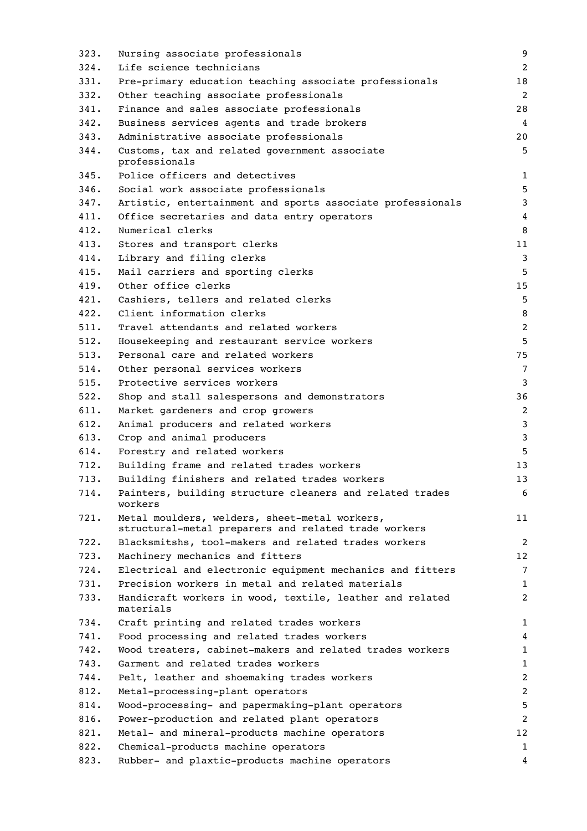| 323. | Nursing associate professionals                                       | 9              |
|------|-----------------------------------------------------------------------|----------------|
| 324. | Life science technicians                                              | 2              |
| 331. | Pre-primary education teaching associate professionals                | 18             |
| 332. | Other teaching associate professionals                                | 2              |
| 341. | Finance and sales associate professionals                             | 28             |
| 342. | Business services agents and trade brokers                            | 4              |
| 343. | Administrative associate professionals                                | 20             |
| 344. | Customs, tax and related government associate<br>professionals        | 5              |
| 345. | Police officers and detectives                                        | 1              |
| 346. | Social work associate professionals                                   | 5              |
| 347. | Artistic, entertainment and sports associate professionals            | 3              |
| 411. | Office secretaries and data entry operators                           | 4              |
| 412. | Numerical clerks                                                      | 8              |
| 413. | Stores and transport clerks                                           | 11             |
| 414. | Library and filing clerks                                             | 3              |
| 415. | Mail carriers and sporting clerks                                     | 5              |
| 419. | Other office clerks                                                   | 15             |
| 421. | Cashiers, tellers and related clerks                                  | 5              |
| 422. | Client information clerks                                             | 8              |
| 511. | Travel attendants and related workers                                 | $\overline{2}$ |
| 512. | Housekeeping and restaurant service workers                           | 5              |
| 513. | Personal care and related workers                                     | 75             |
| 514. | Other personal services workers                                       | 7              |
| 515. | Protective services workers                                           | 3              |
| 522. | Shop and stall salespersons and demonstrators                         | 36             |
| 611. | Market gardeners and crop growers                                     | 2              |
| 612. | Animal producers and related workers                                  | 3              |
| 613. | Crop and animal producers                                             | 3              |
| 614. | Forestry and related workers                                          | 5              |
| 712. | Building frame and related trades workers                             | 13             |
| 713. | Building finishers and related trades workers                         | 13             |
| 714. | Painters, building structure cleaners and related trades<br>workers   | 6              |
| 721. | Metal moulders, welders, sheet-metal workers,                         | 11             |
|      | structural-metal preparers and related trade workers                  |                |
| 722. | Blacksmitshs, tool-makers and related trades workers                  | 2              |
| 723. | Machinery mechanics and fitters                                       | 12             |
| 724. | Electrical and electronic equipment mechanics and fitters             | 7              |
| 731. | Precision workers in metal and related materials                      | 1              |
| 733. | Handicraft workers in wood, textile, leather and related<br>materials | 2              |
| 734. | Craft printing and related trades workers                             | 1              |
| 741. | Food processing and related trades workers                            | 4              |
| 742. | Wood treaters, cabinet-makers and related trades workers              | 1              |
| 743. | Garment and related trades workers                                    | 1              |
| 744. | Pelt, leather and shoemaking trades workers                           | 2              |
| 812. | Metal-processing-plant operators                                      | 2              |
| 814. | Wood-processing- and papermaking-plant operators                      | 5              |
| 816. | Power-production and related plant operators                          | $\overline{c}$ |
| 821. | Metal- and mineral-products machine operators                         | 12             |
| 822. | Chemical-products machine operators                                   | $\mathbf{1}$   |
| 823. | Rubber- and plaxtic-products machine operators                        | 4              |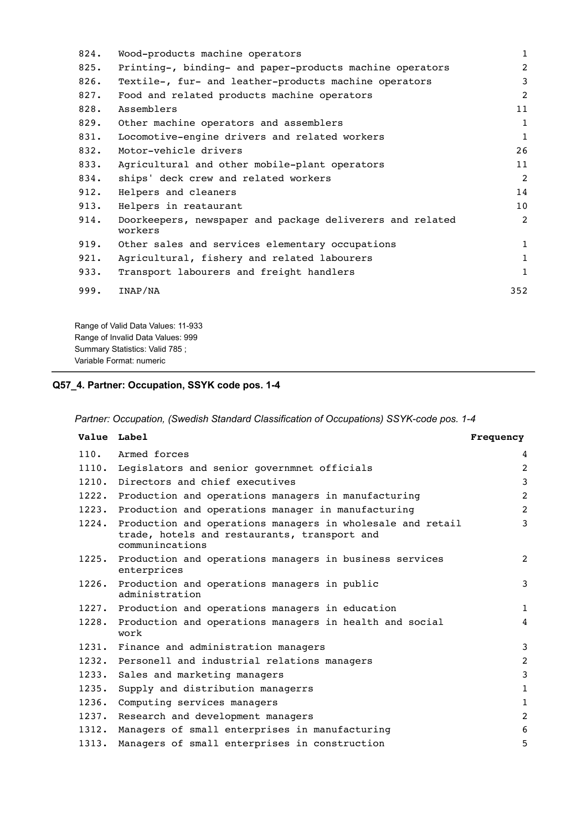| 824. | Wood-products machine operators                                      | $\mathbf{1}$ |
|------|----------------------------------------------------------------------|--------------|
| 825. | Printing-, binding- and paper-products machine operators             | 2            |
| 826. | Textile-, fur- and leather-products machine operators                | 3            |
| 827. | Food and related products machine operators                          | 2            |
| 828. | Assemblers                                                           | 11           |
| 829. | Other machine operators and assemblers                               | $\mathbf{1}$ |
| 831. | Locomotive-engine drivers and related workers                        | $\mathbf{1}$ |
| 832. | Motor-vehicle drivers                                                | 26           |
| 833. | Agricultural and other mobile-plant operators                        | 11           |
| 834. | ships' deck crew and related workers                                 | 2            |
| 912. | Helpers and cleaners                                                 | 14           |
| 913. | Helpers in reataurant                                                | 10           |
| 914. | Doorkeepers, newspaper and package deliverers and related<br>workers | 2            |
| 919. | Other sales and services elementary occupations                      | $\mathbf{1}$ |
| 921. | Agricultural, fishery and related labourers                          | $\mathbf{1}$ |
| 933. | Transport labourers and freight handlers                             | $\mathbf{1}$ |
| 999. | INAP/NA                                                              | 352          |
|      |                                                                      |              |

Range of Valid Data Values: 11-933 Range of Invalid Data Values: 999 Summary Statistics: Valid 785 ; Variable Format: numeric

# **Q57\_4. Partner: Occupation, SSYK code pos. 1-4**

*Partner: Occupation, (Swedish Standard Classification of Occupations) SSYK-code pos. 1-4*

| Value Label |                                                                                                                                     | Frequency      |
|-------------|-------------------------------------------------------------------------------------------------------------------------------------|----------------|
| 110.        | Armed forces                                                                                                                        | 4              |
|             | 1110. Legislators and senior governmnet officials                                                                                   | $\overline{2}$ |
|             | 1210. Directors and chief executives                                                                                                | 3              |
|             | 1222. Production and operations managers in manufacturing                                                                           | $\overline{2}$ |
| 1223.       | Production and operations manager in manufacturing                                                                                  | $\overline{2}$ |
|             | 1224. Production and operations managers in wholesale and retail<br>trade, hotels and restaurants, transport and<br>communincations | 3              |
|             | 1225. Production and operations managers in business services<br>enterprices                                                        | 2              |
|             | 1226. Production and operations managers in public<br>administration                                                                | 3              |
|             | 1227. Production and operations managers in education                                                                               | $\mathbf{1}$   |
|             | 1228. Production and operations managers in health and social<br>work                                                               | 4              |
|             | 1231. Finance and administration managers                                                                                           | 3              |
|             | 1232. Personell and industrial relations managers                                                                                   | 2              |
| 1233.       | Sales and marketing managers                                                                                                        | 3              |
| 1235.       | Supply and distribution managerrs                                                                                                   | $\mathbf{1}$   |
| 1236.       | Computing services managers                                                                                                         | $\mathbf{1}$   |
|             | 1237. Research and development managers                                                                                             | $\overline{2}$ |
| 1312.       | Managers of small enterprises in manufacturing                                                                                      | 6              |
| 1313.       | Managers of small enterprises in construction                                                                                       | 5              |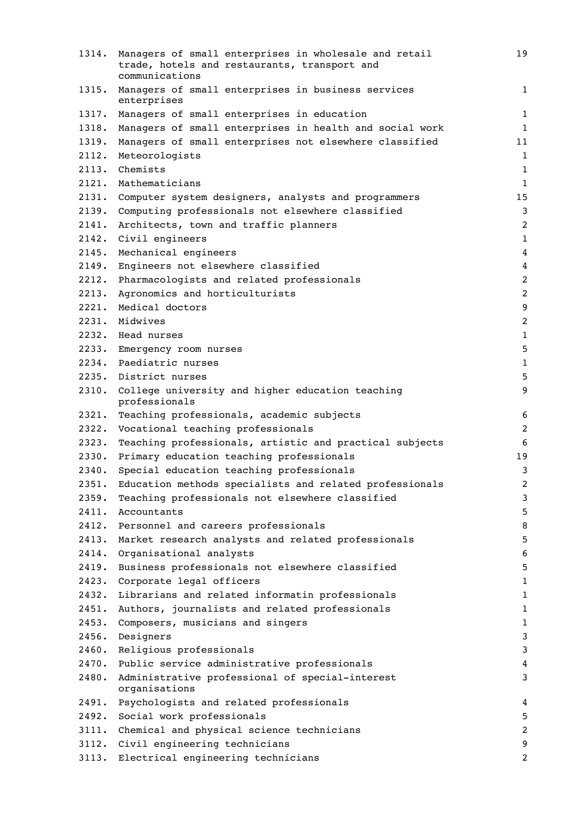| 1314. | Managers of small enterprises in wholesale and retail<br>trade, hotels and restaurants, transport and<br>communications | 19               |
|-------|-------------------------------------------------------------------------------------------------------------------------|------------------|
| 1315. | Managers of small enterprises in business services<br>enterprises                                                       | 1                |
| 1317. | Managers of small enterprises in education                                                                              | $1\,$            |
| 1318. | Managers of small enterprises in health and social work                                                                 | 1                |
| 1319. | Managers of small enterprises not elsewhere classified                                                                  | 11               |
| 2112. | Meteorologists                                                                                                          | $1\,$            |
| 2113. | Chemists                                                                                                                | 1                |
| 2121. | Mathematicians                                                                                                          | $\mathbf{1}$     |
| 2131. | Computer system designers, analysts and programmers                                                                     | 15               |
| 2139. | Computing professionals not elsewhere classified                                                                        | 3                |
| 2141. | Architects, town and traffic planners                                                                                   | $\overline{2}$   |
| 2142. | Civil engineers                                                                                                         | $\mathbf{1}$     |
| 2145. | Mechanical engineers                                                                                                    | 4                |
| 2149. | Engineers not elsewhere classified                                                                                      | $\overline{4}$   |
| 2212. | Pharmacologists and related professionals                                                                               | $\overline{c}$   |
| 2213. | Agronomics and horticulturists                                                                                          | $\overline{c}$   |
| 2221. | Medical doctors                                                                                                         | $\boldsymbol{9}$ |
| 2231. | Midwives                                                                                                                | $\overline{c}$   |
|       | 2232. Head nurses                                                                                                       | 1                |
| 2233. | Emergency room nurses                                                                                                   | 5                |
| 2234. | Paediatric nurses                                                                                                       | $1\,$            |
| 2235. | District nurses                                                                                                         | 5                |
| 2310. | College university and higher education teaching<br>professionals                                                       | 9                |
| 2321. | Teaching professionals, academic subjects                                                                               | 6                |
| 2322. | Vocational teaching professionals                                                                                       | 2                |
| 2323. | Teaching professionals, artistic and practical subjects                                                                 | 6                |
| 2330. | Primary education teaching professionals                                                                                | 19               |
| 2340. | Special education teaching professionals                                                                                | 3                |
| 2351. | Education methods specialists and related professionals                                                                 | $\overline{2}$   |
| 2359. | Teaching professionals not elsewhere classified                                                                         | 3                |
| 2411. | Accountants                                                                                                             | 5                |
| 2412. | Personnel and careers professionals                                                                                     | 8                |
| 2413. | Market research analysts and related professionals                                                                      | 5                |
| 2414. | Organisational analysts                                                                                                 | 6                |
| 2419. | Business professionals not elsewhere classified                                                                         | 5                |
| 2423. | Corporate legal officers                                                                                                | $\mathbf 1$      |
| 2432. | Librarians and related informatin professionals                                                                         | 1                |
| 2451. | Authors, journalists and related professionals                                                                          | $1\,$            |
| 2453. | Composers, musicians and singers                                                                                        | $\mathbf{1}$     |
| 2456. | Designers                                                                                                               | 3                |
| 2460. | Religious professionals                                                                                                 | 3                |
| 2470. | Public service administrative professionals                                                                             | 4                |
| 2480. | Administrative professional of special-interest<br>organisations                                                        | 3                |
| 2491. | Psychologists and related professionals                                                                                 | 4                |
| 2492. | Social work professionals                                                                                               | 5                |
| 3111. | Chemical and physical science technicians                                                                               | $\overline{c}$   |
|       | 3112. Civil engineering technicians                                                                                     | 9                |
| 3113. | Electrical engineering technicians                                                                                      | $\overline{c}$   |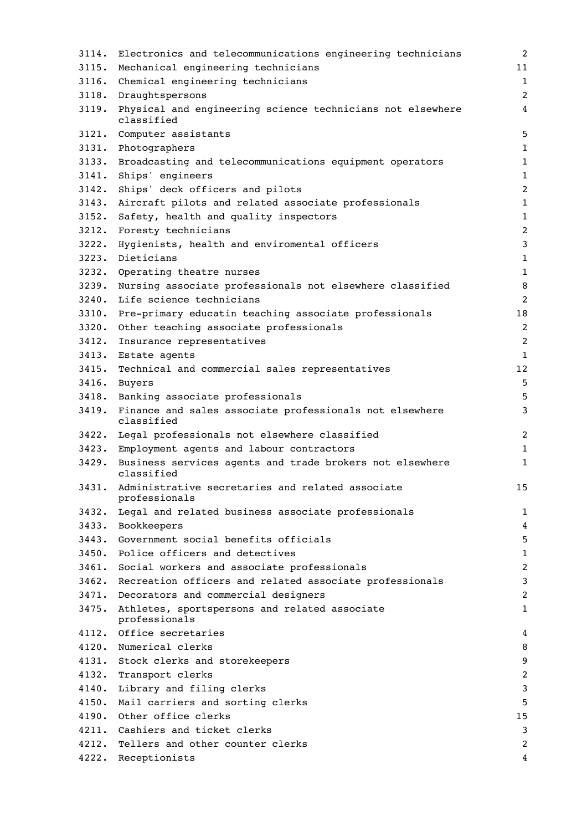| 3114. | Electronics and telecommunications engineering technicians                     | 2              |
|-------|--------------------------------------------------------------------------------|----------------|
| 3115. | Mechanical engineering technicians                                             | 11             |
|       | 3116. Chemical engineering technicians                                         | $\mathbf{1}$   |
|       | 3118. Draughtspersons                                                          | $\overline{2}$ |
|       | 3119. Physical and engineering science technicians not elsewhere<br>classified | $\overline{4}$ |
|       | 3121. Computer assistants                                                      | 5              |
|       | 3131. Photographers                                                            | $\mathbf{1}$   |
|       | 3133. Broadcasting and telecommunications equipment operators                  | 1              |
| 3141. | Ships' engineers                                                               | $\mathbf{1}$   |
| 3142. | Ships' deck officers and pilots                                                | $\overline{2}$ |
| 3143. | Aircraft pilots and related associate professionals                            | $\mathbf{1}$   |
| 3152. | Safety, health and quality inspectors                                          | $\mathbf{1}$   |
|       | 3212. Foresty technicians                                                      | $\overline{2}$ |
|       | 3222. Hygienists, health and enviromental officers                             | $\mathbf{3}$   |
|       | 3223. Dieticians                                                               | $\mathbf{1}$   |
|       | 3232. Operating theatre nurses                                                 | $1\,$          |
| 3239. | Nursing associate professionals not elsewhere classified                       | 8              |
| 3240. | Life science technicians                                                       | 2              |
| 3310. | Pre-primary educatin teaching associate professionals                          | 18             |
| 3320. | Other teaching associate professionals                                         | 2              |
| 3412. | Insurance representatives                                                      | $\overline{2}$ |
|       | 3413. Estate agents                                                            | $\mathbf{1}$   |
| 3415. | Technical and commercial sales representatives                                 | 12             |
|       | 3416. Buyers                                                                   | 5              |
|       | 3418. Banking associate professionals                                          | 5              |
| 3419. | Finance and sales associate professionals not elsewhere<br>classified          | 3              |
|       | 3422. Legal professionals not elsewhere classified                             | $\overline{c}$ |
|       | 3423. Employment agents and labour contractors                                 | 1              |
|       | 3429. Business services agents and trade brokers not elsewhere<br>classified   | 1              |
|       | 3431. Administrative secretaries and related associate<br>professionals        | 15             |
| 3432. | Legal and related business associate professionals                             | 1              |
|       | 3433. Bookkeepers                                                              | 4              |
|       | 3443. Government social benefits officials                                     | 5              |
|       | 3450. Police officers and detectives                                           | 1              |
|       | 3461. Social workers and associate professionals                               | $\overline{c}$ |
|       | 3462. Recreation officers and related associate professionals                  | 3              |
|       | 3471. Decorators and commercial designers                                      | 2              |
|       | 3475. Athletes, sportspersons and related associate<br>professionals           | $\mathbf 1$    |
|       | 4112. Office secretaries                                                       | 4              |
|       | 4120. Numerical clerks                                                         | 8              |
|       | 4131. Stock clerks and storekeepers                                            | 9              |
|       | 4132. Transport clerks                                                         | $\overline{c}$ |
|       | 4140. Library and filing clerks                                                | 3              |
|       | 4150. Mail carriers and sorting clerks                                         | 5              |
|       | 4190. Other office clerks                                                      | 15             |
|       | 4211. Cashiers and ticket clerks                                               | 3              |
|       | 4212. Tellers and other counter clerks                                         | 2              |
|       | 4222. Receptionists                                                            | 4              |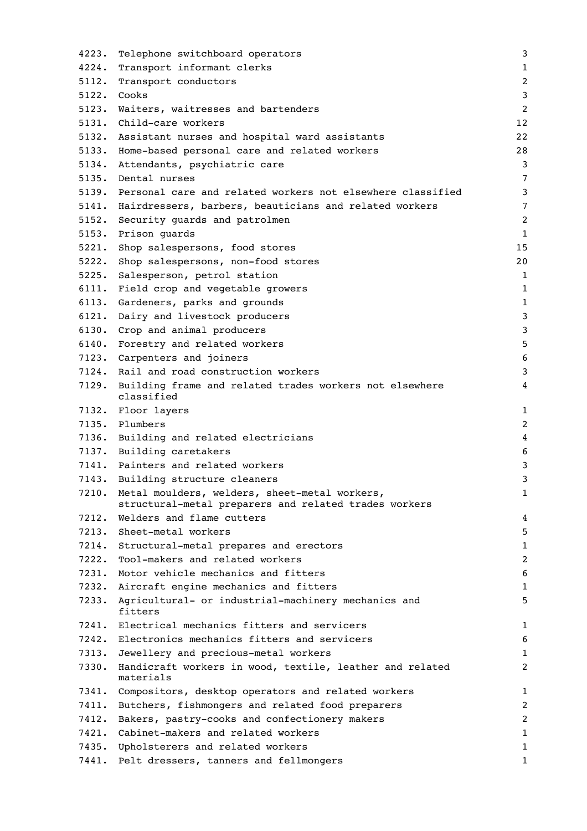| 4223. | Telephone switchboard operators                                                                        | 3              |
|-------|--------------------------------------------------------------------------------------------------------|----------------|
| 4224. | Transport informant clerks                                                                             | $\mathbf{1}$   |
| 5112. | Transport conductors                                                                                   | $\overline{c}$ |
| 5122. | Cooks                                                                                                  | 3              |
| 5123. | Waiters, waitresses and bartenders                                                                     | $\overline{c}$ |
| 5131. | Child-care workers                                                                                     | 12             |
| 5132. | Assistant nurses and hospital ward assistants                                                          | 22             |
| 5133. | Home-based personal care and related workers                                                           | 28             |
| 5134. | Attendants, psychiatric care                                                                           | 3              |
| 5135. | Dental nurses                                                                                          | $\overline{7}$ |
|       | 5139. Personal care and related workers not elsewhere classified                                       | 3              |
|       | 5141. Hairdressers, barbers, beauticians and related workers                                           | 7              |
| 5152. | Security guards and patrolmen                                                                          | $\overline{2}$ |
| 5153. | Prison quards                                                                                          | $1\,$          |
| 5221. | Shop salespersons, food stores                                                                         | 15             |
| 5222. | Shop salespersons, non-food stores                                                                     | 20             |
| 5225. | Salesperson, petrol station                                                                            | $\mathbf{1}$   |
| 6111. | Field crop and vegetable growers                                                                       | $\mathbf{1}$   |
| 6113. | Gardeners, parks and grounds                                                                           | $\mathbf{1}$   |
| 6121. | Dairy and livestock producers                                                                          | 3              |
|       | 6130. Crop and animal producers                                                                        | 3              |
|       | 6140. Forestry and related workers                                                                     | 5              |
|       | 7123. Carpenters and joiners                                                                           | 6              |
|       | 7124. Rail and road construction workers                                                               | 3              |
| 7129. | Building frame and related trades workers not elsewhere                                                | 4              |
|       | classified                                                                                             |                |
|       | 7132. Floor layers                                                                                     | 1              |
|       | 7135. Plumbers                                                                                         | $\overline{c}$ |
|       | 7136. Building and related electricians                                                                | $\overline{4}$ |
|       | 7137. Building caretakers                                                                              | 6              |
|       | 7141. Painters and related workers                                                                     | 3              |
|       | 7143. Building structure cleaners                                                                      | 3              |
| 7210. | Metal moulders, welders, sheet-metal workers,<br>structural-metal preparers and related trades workers | 1              |
| 7212. | Welders and flame cutters                                                                              | 4              |
| 7213. | Sheet-metal workers                                                                                    | 5              |
| 7214. | Structural-metal prepares and erectors                                                                 | 1              |
| 7222. | Tool-makers and related workers                                                                        | $\overline{c}$ |
| 7231. | Motor vehicle mechanics and fitters                                                                    | 6              |
| 7232. | Aircraft engine mechanics and fitters                                                                  | 1              |
| 7233. | Agricultural- or industrial-machinery mechanics and<br>fitters                                         | 5              |
|       | 7241. Electrical mechanics fitters and servicers                                                       | 1              |
| 7242. | Electronics mechanics fitters and servicers                                                            | 6              |
| 7313. | Jewellery and precious-metal workers                                                                   | 1              |
| 7330. | Handicraft workers in wood, textile, leather and related<br>materials                                  | 2              |
|       | 7341. Compositors, desktop operators and related workers                                               | $\mathbf 1$    |
| 7411. | Butchers, fishmongers and related food preparers                                                       | 2              |
| 7412. | Bakers, pastry-cooks and confectionery makers                                                          | 2              |
| 7421. | Cabinet-makers and related workers                                                                     | 1              |
| 7435. | Upholsterers and related workers                                                                       | 1              |
| 7441. | Pelt dressers, tanners and fellmongers                                                                 | 1              |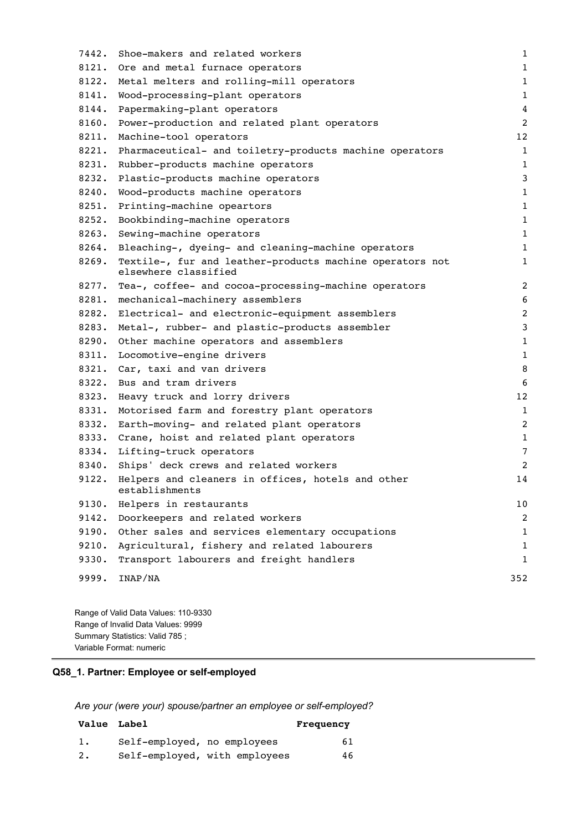| 7442. | Shoe-makers and related workers                                                  | $\mathbf 1$    |
|-------|----------------------------------------------------------------------------------|----------------|
| 8121. | Ore and metal furnace operators                                                  | $\mathbf 1$    |
| 8122. | Metal melters and rolling-mill operators                                         | $\mathbf 1$    |
| 8141. | Wood-processing-plant operators                                                  | $1\,$          |
| 8144. | Papermaking-plant operators                                                      | $\overline{4}$ |
| 8160. | Power-production and related plant operators                                     | $\overline{c}$ |
| 8211. | Machine-tool operators                                                           | 12             |
| 8221. | Pharmaceutical- and toiletry-products machine operators                          | $\mathbf{1}$   |
| 8231. | Rubber-products machine operators                                                | $\mathbf{1}$   |
| 8232. | Plastic-products machine operators                                               | 3              |
| 8240. | Wood-products machine operators                                                  | $\mathbf 1$    |
| 8251. | Printing-machine opeartors                                                       | $\mathbf 1$    |
| 8252. | Bookbinding-machine operators                                                    | $\mathbf 1$    |
| 8263. | Sewing-machine operators                                                         | $\mathbf 1$    |
| 8264. | Bleaching-, dyeing- and cleaning-machine operators                               | $\mathbf 1$    |
| 8269. | Textile-, fur and leather-products machine operators not<br>elsewhere classified | $\mathbf 1$    |
| 8277. | Tea-, coffee- and cocoa-processing-machine operators                             | $\overline{2}$ |
| 8281. | mechanical-machinery assemblers                                                  | 6              |
| 8282. | Electrical- and electronic-equipment assemblers                                  | $\overline{2}$ |
| 8283. | Metal-, rubber- and plastic-products assembler                                   | 3              |
| 8290. | Other machine operators and assemblers                                           | $\mathbf 1$    |
| 8311. | Locomotive-engine drivers                                                        | $\mathbf{1}$   |
| 8321. | Car, taxi and van drivers                                                        | 8              |
| 8322. | Bus and tram drivers                                                             | 6              |
| 8323. | Heavy truck and lorry drivers                                                    | 12             |
| 8331. | Motorised farm and forestry plant operators                                      | $\mathbf 1$    |
| 8332. | Earth-moving- and related plant operators                                        | $\overline{c}$ |
| 8333. | Crane, hoist and related plant operators                                         | $\mathbf 1$    |
| 8334. | Lifting-truck operators                                                          | $\overline{7}$ |
| 8340. | Ships' deck crews and related workers                                            | 2              |
| 9122. | Helpers and cleaners in offices, hotels and other<br>establishments              | 14             |
| 9130. | Helpers in restaurants                                                           | $10$           |
| 9142. | Doorkeepers and related workers                                                  | $\overline{c}$ |
| 9190. | Other sales and services elementary occupations                                  | $\mathbf 1$    |
| 9210. | Agricultural, fishery and related labourers                                      | 1              |
| 9330. | Transport labourers and freight handlers                                         | $\mathbf 1$    |
| 9999. | INAP/NA                                                                          | 352            |
|       |                                                                                  |                |

Range of Valid Data Values: 110-9330 Range of Invalid Data Values: 9999 Summary Statistics: Valid 785 ; Variable Format: numeric

# **Q58\_1. Partner: Employee or self-employed**

*Are your (were your) spouse/partner an employee or self-employed?*

|    | Value Label                 |                               | Frequency |
|----|-----------------------------|-------------------------------|-----------|
| 1. | Self-employed, no employees |                               | 61        |
| 2. |                             | Self-employed, with employees | 46        |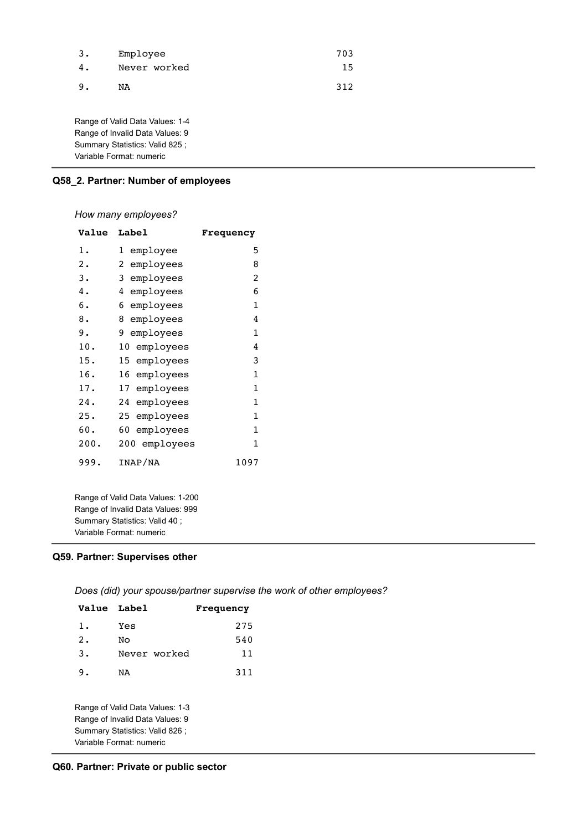| 3. | Employee     | 703 |
|----|--------------|-----|
| 4. | Never worked | 15  |
| 9. | NA           | 312 |

Range of Valid Data Values: 1-4 Range of Invalid Data Values: 9 Summary Statistics: Valid 825 ; Variable Format: numeric

# **Q58\_2. Partner: Number of employees**

# *How many employees?*

| <b>Value</b> | <b>Label</b>    | <b>Frequency</b> |
|--------------|-----------------|------------------|
| 1.           | 1 employee      | 5                |
| 2.           | employees<br>2  | 8                |
| з.           | employees<br>3  | 2                |
| 4.           | employees<br>4  | 6                |
| б.           | 6<br>employees  | $\mathbf{1}$     |
| 8.           | 8<br>employees  | 4                |
| 9.           | employees<br>9  | $\mathbf{1}$     |
| 10.          | 10 employees    | 4                |
| 15.          | 15 employees    | 3                |
| 16.          | 16 employees    | $\mathbf{1}$     |
| 17.          | employees<br>17 | $\mathbf{1}$     |
| 24.          | 24<br>employees | $\mathbf{1}$     |
| 25.          | 25 employees    | 1                |
| 60.          | 60 employees    | 1                |
| 200.         | 200 employees   | $\mathbf{1}$     |
| 999.         | INAP/NA         | 1097             |

Range of Valid Data Values: 1-200 Range of Invalid Data Values: 999 Summary Statistics: Valid 40 ; Variable Format: numeric

## **Q59. Partner: Supervises other**

*Does (did) your spouse/partner supervise the work of other employees?*

| Value Label                                                                                                                       |              | Frequency |
|-----------------------------------------------------------------------------------------------------------------------------------|--------------|-----------|
| 1.                                                                                                                                | Yes          | 275       |
| 2.                                                                                                                                | Nο           | 540       |
| $\overline{3}$ .                                                                                                                  | Never worked | 11        |
| 9.                                                                                                                                | NA           | 311       |
| Range of Valid Data Values: 1-3<br>Range of Invalid Data Values: 9<br>Summary Statistics: Valid 826 ;<br>Variable Format: numeric |              |           |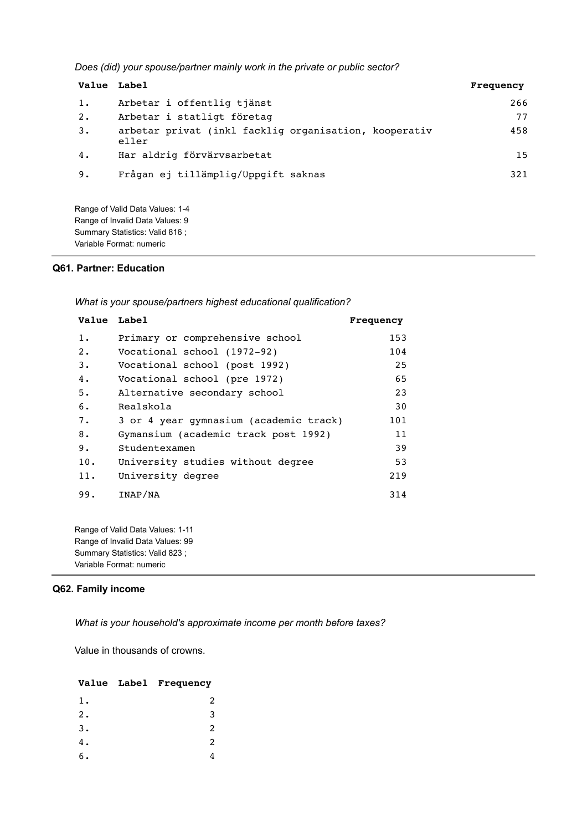*Does (did) your spouse/partner mainly work in the private or public sector?*

| Value Label |                                                                | Frequency |
|-------------|----------------------------------------------------------------|-----------|
| 1.          | Arbetar i offentlig tjänst                                     | 266       |
| 2.          | Arbetar i statligt företag                                     | 77        |
| 3.          | arbetar privat (inkl facklig organisation, kooperativ<br>eller | 458       |
| 4.          | Har aldrig förvärvsarbetat                                     | 15        |
| 9.          | Frågan ej tillämplig/Uppgift saknas                            | 321       |

Range of Valid Data Values: 1-4 Range of Invalid Data Values: 9 Summary Statistics: Valid 816 ; Variable Format: numeric

## **Q61. Partner: Education**

*What is your spouse/partners highest educational qualification?*

| Value Label |                                        | Frequency |
|-------------|----------------------------------------|-----------|
| $1$ .       | Primary or comprehensive school        | 153       |
| $2$ .       | Vocational school (1972-92)            | 104       |
| 3.          | Vocational school (post 1992)          | 25        |
| 4.          | Vocational school (pre 1972)           | 65        |
| 5.          | Alternative secondary school           | 23        |
| 6.          | Realskola                              | 30        |
| 7.          | 3 or 4 year gymnasium (academic track) | 101       |
| 8.          | Gymansium (academic track post 1992)   | 11        |
| 9.          | Studentexamen                          | 39        |
| 10.         | University studies without degree      | 53        |
| 11.         | University degree                      | 219       |
| 99.         | INAP/NA                                | 314       |
|             |                                        |           |

Range of Valid Data Values: 1-11 Range of Invalid Data Values: 99 Summary Statistics: Valid 823 ; Variable Format: numeric

### **Q62. Family income**

*What is your household's approximate income per month before taxes?*

Value in thousands of crowns.

#### **Value Label Frequency**

| $1$ .            | 2 |
|------------------|---|
| $\overline{2}$ . | 3 |
| 3.               | 2 |
| 4.               | 2 |
| б.               | 4 |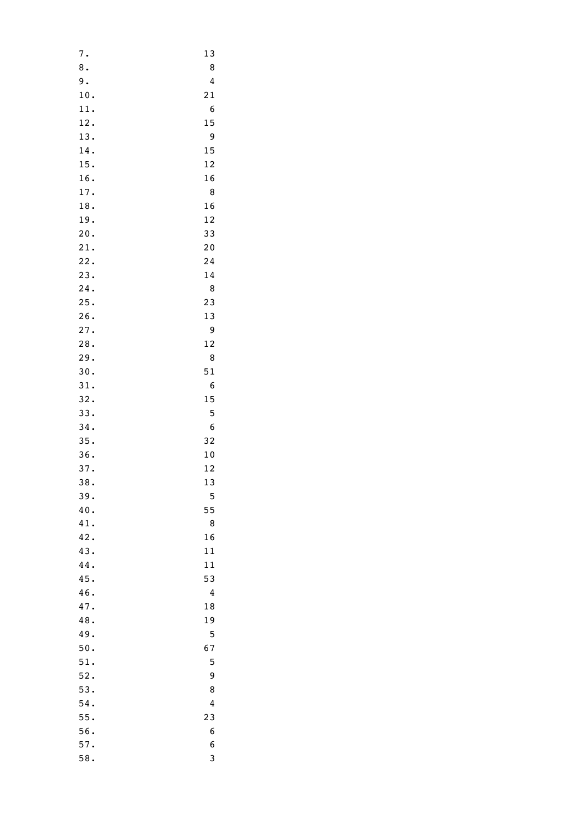| 7.     | 13 |
|--------|----|
| $8\,.$ | 8  |
| 9.     | 4  |
| 10.    | 21 |
| 11.    | 6  |
| 12.    | 15 |
| 13.    | 9  |
| 14.    | 15 |
| 15.    | 12 |
| 16.    | 16 |
| 17.    | 8  |
| 18.    | 16 |
| 19.    | 12 |
|        |    |
| 20.    | 33 |
| 21.    | 20 |
| 22.    | 24 |
| 23.    | 14 |
| 24.    | 8  |
| 25.    | 23 |
| 26.    | 13 |
| 27.    | 9  |
| 28.    | 12 |
| 29.    | 8  |
| 30.    | 51 |
| 31.    | 6  |
| 32.    | 15 |
| 33.    | 5  |
| 34.    | 6  |
| 35.    | 32 |
| 36.    | 10 |
| 37.    | 12 |
| 38.    | 13 |
| 39.    | 5  |
| 40.    | 55 |
| 41.    | 8  |
| 42.    | 16 |
| 43.    | 11 |
| 44.    | 11 |
| 45.    | 53 |
| 46.    | 4  |
| 47.    | 18 |
| 48.    | 19 |
| 49.    | 5  |
| 50.    | 67 |
|        |    |
| 51.    | 5  |
| 52.    | 9  |
| 53.    | 8  |
| 54.    | 4  |
| 55.    | 23 |
| 56.    | 6  |
| 57.    | 6  |
| 58.    | 3  |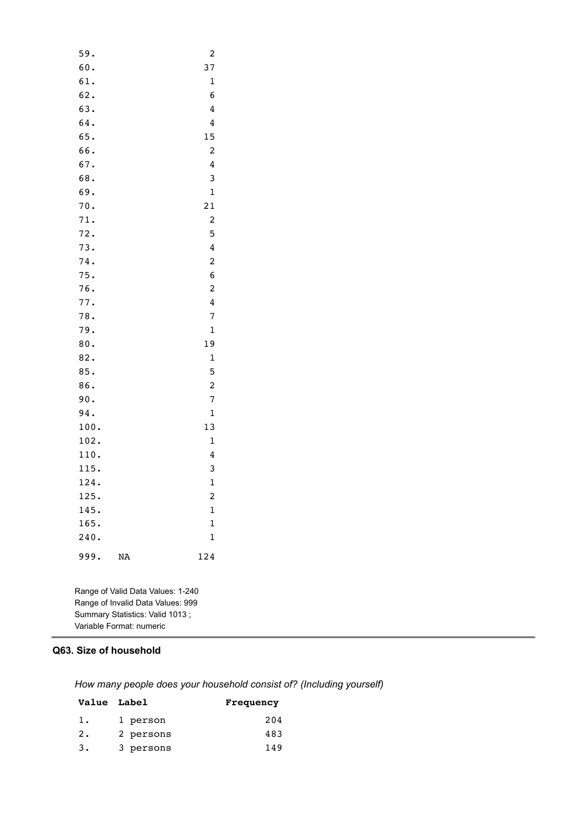| 59.  |    | $\overline{\mathbf{c}}$ |
|------|----|-------------------------|
| 60.  |    | 37                      |
| 61.  |    | $\mathbf{1}$            |
| 62.  |    | 6                       |
| 63.  |    | 4                       |
| 64.  |    | 4                       |
| 65.  |    | 15                      |
| 66.  |    | 2                       |
| 67.  |    | 4                       |
| 68.  |    | 3                       |
| 69.  |    | $\mathbf{1}$            |
| 70.  |    | 21                      |
| 71.  |    | $\overline{\mathbf{c}}$ |
| 72.  |    | 5                       |
| 73.  |    | 4                       |
| 74.  |    | 2                       |
| 75.  |    | 6                       |
| 76.  |    | $\overline{\mathbf{c}}$ |
| 77.  |    | 4                       |
| 78.  |    | 7                       |
| 79.  |    | $\mathbf{1}$            |
| 80.  |    | 19                      |
| 82.  |    | $\mathbf 1$             |
| 85.  |    | 5                       |
| 86.  |    | 2                       |
| 90.  |    | 7                       |
| 94.  |    | $\mathbf{1}$            |
| 100. |    | 13                      |
| 102. |    | $\mathbf{1}$            |
| 110. |    | 4                       |
| 115. |    | 3                       |
| 124. |    | $\mathbf{1}$            |
| 125. |    | $\overline{\mathbf{c}}$ |
| 145. |    | $\mathbf{1}$            |
| 165. |    | $\mathbf 1$             |
| 240. |    | $\mathbf 1$             |
| 999. | NA | 124                     |
|      |    |                         |

Range of Valid Data Values: 1-240 Range of Invalid Data Values: 999 Summary Statistics: Valid 1013 ; Variable Format: numeric

# **Q63. Size of household**

*How many people does your household consist of? (Including yourself)*

|    | <b>Value</b> Label | Frequency |
|----|--------------------|-----------|
| 1. | 1 person           | 204       |
| 2. | 2 persons          | 483       |
| 3. | 3 persons          | 149       |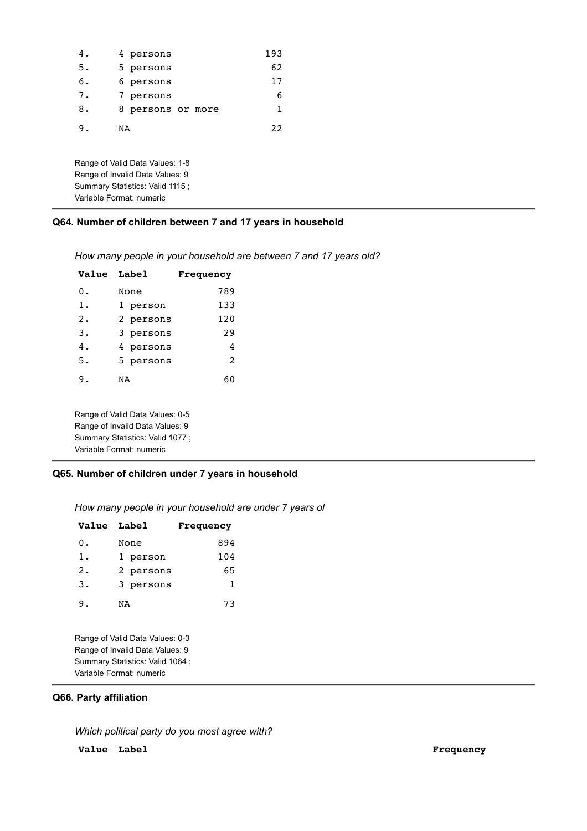| 4.                               | 4 persons                       | 193 |
|----------------------------------|---------------------------------|-----|
| 5.                               | 5 persons                       | 62  |
| 6.                               | 6 persons                       | 17  |
| 7.                               | 7 persons                       | 6   |
| 8.                               | 8 persons or more               | 1   |
| 9.                               | NA                              | 22  |
|                                  |                                 |     |
|                                  | Range of Valid Data Values: 1-8 |     |
| Range of Invalid Data Values: 9  |                                 |     |
| Summary Statistics: Valid 1115 ; |                                 |     |

# **Q64. Number of children between 7 and 17 years in household**

*How many people in your household are between 7 and 17 years old?*

| Value Label      |           | <b>Frequency</b> |
|------------------|-----------|------------------|
| 0.               | None      | 789              |
| 1.               | 1 person  | 133              |
| $\overline{2}$ . | 2 persons | 120              |
| 3.               | 3 persons | 29               |
| 4.               | 4 persons | 4                |
| 5.               | 5 persons | $\mathfrak{D}$   |
| 9.               | NA        | 60               |
|                  |           |                  |

Range of Valid Data Values: 0-5 Range of Invalid Data Values: 9 Summary Statistics: Valid 1077 ; Variable Format: numeric

Variable Format: numeric

### **Q65. Number of children under 7 years in household**

*How many people in your household are under 7 years ol*

| Value Label |           | Frequency |
|-------------|-----------|-----------|
| $0$ .       | None      | 894       |
| 1.          | 1 person  | 104       |
| 2.          | 2 persons | 65        |
| $3$ .       | 3 persons | 1         |
| 9.          | NA        | 73        |
|             |           |           |

Range of Valid Data Values: 0-3 Range of Invalid Data Values: 9 Summary Statistics: Valid 1064 ; Variable Format: numeric

### **Q66. Party affiliation**

*Which political party do you most agree with?*

**Value Label Frequency**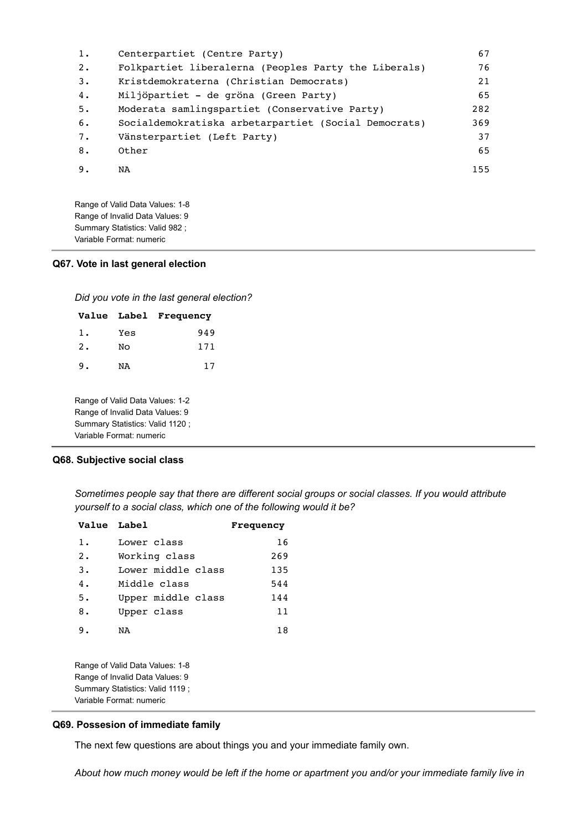| 1. | Centerpartiet (Centre Party)                         | 67  |
|----|------------------------------------------------------|-----|
| 2. | Folkpartiet liberalerna (Peoples Party the Liberals) | 76  |
| 3. | Kristdemokraterna (Christian Democrats)              | 21  |
| 4. | Miljöpartiet - de gröna (Green Party)                | 65  |
| 5. | Moderata samlingspartiet (Conservative Party)        | 282 |
| 6. | Socialdemokratiska arbetarpartiet (Social Democrats) | 369 |
| 7. | Vänsterpartiet (Left Party)                          | 37  |
| 8. | Other                                                | 65  |
| 9. | NA                                                   | 155 |

Range of Valid Data Values: 1-8 Range of Invalid Data Values: 9 Summary Statistics: Valid 982 ; Variable Format: numeric

#### **Q67. Vote in last general election**

*Did you vote in the last general election?*

|    |     | Value Label Frequency |
|----|-----|-----------------------|
| 1. | Yes | 949                   |
| 2. | No  | 171                   |
| 9. | NA  | 17                    |

Range of Valid Data Values: 1-2 Range of Invalid Data Values: 9 Summary Statistics: Valid 1120 ; Variable Format: numeric

## **Q68. Subjective social class**

*Sometimes people say that there are different social groups or social classes. If you would attribute yourself to a social class, which one of the following would it be?*

| Value Label |                    | <b>Frequency</b> |
|-------------|--------------------|------------------|
| 1.          | Lower class        | 16               |
| 2.          | Working class      | 269              |
| 3.          | Lower middle class | 135              |
| 4.          | Middle class       | 544              |
| 5.          | Upper middle class | 144              |
| 8.          | Upper class        | 11               |
| 9.          | NA                 | 18               |

Range of Valid Data Values: 1-8 Range of Invalid Data Values: 9 Summary Statistics: Valid 1119 ; Variable Format: numeric

#### **Q69. Possesion of immediate family**

The next few questions are about things you and your immediate family own.

*About how much money would be left if the home or apartment you and/or your immediate family live in*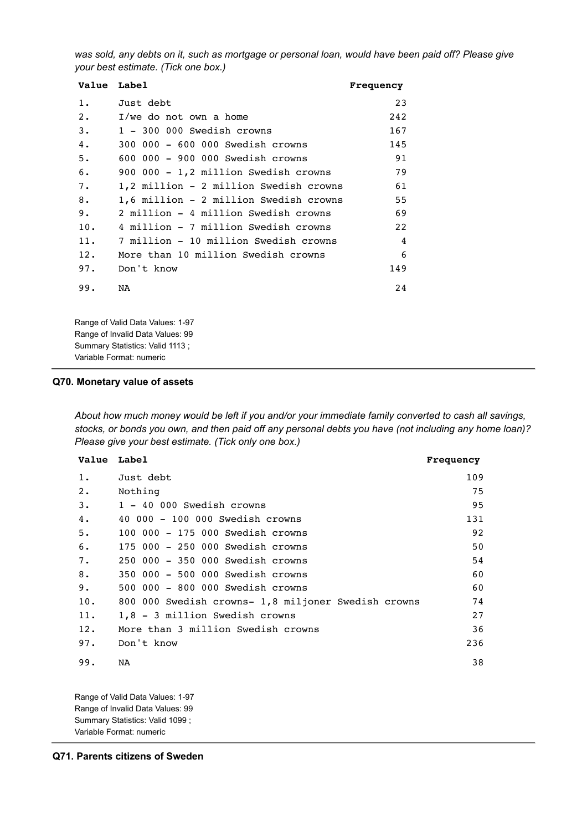*was sold, any debts on it, such as mortgage or personal loan, would have been paid off? Please give your best estimate. (Tick one box.)*

| Value Label                            | Frequency      |
|----------------------------------------|----------------|
| Just debt                              | 23             |
| I/we do not own a home                 | 242            |
| 1 - 300 000 Swedish crowns             | 167            |
| 300 000 - 600 000 Swedish crowns       | 145            |
| 600 000 - 900 000 Swedish crowns       | 91             |
| 900 000 - 1,2 million Swedish crowns   | 79             |
| 1,2 million - 2 million Swedish crowns | 61             |
| 1,6 million - 2 million Swedish crowns | 55             |
| 2 million - 4 million Swedish crowns   | 69             |
| 4 million - 7 million Swedish crowns   | 22             |
| 7 million - 10 million Swedish crowns  | $\overline{4}$ |
| More than 10 million Swedish crowns    | 6              |
| Don't know                             | 149            |
| <b>NA</b>                              | 2.4            |
|                                        |                |

Range of Valid Data Values: 1-97 Range of Invalid Data Values: 99 Summary Statistics: Valid 1113 ; Variable Format: numeric

#### **Q70. Monetary value of assets**

*About how much money would be left if you and/or your immediate family converted to cash all savings, stocks, or bonds you own, and then paid off any personal debts you have (not including any home loan)? Please give your best estimate. (Tick only one box.)*

| Value Label |                                                     | Frequency |
|-------------|-----------------------------------------------------|-----------|
| $1$ .       | Just debt                                           | 109       |
| 2.          | Nothing                                             | 75        |
| 3.          | 1 - 40 000 Swedish crowns                           | 95        |
| 4.          | 40 000 - 100 000 Swedish crowns                     | 131       |
| 5.          | 100 000 - 175 000 Swedish crowns                    | 92        |
| 6.          | 175 000 - 250 000 Swedish crowns                    | 50        |
| 7.          | 250 000 - 350 000 Swedish crowns                    | 54        |
| 8.          | 350 000 - 500 000 Swedish crowns                    | 60        |
| 9.          | 500 000 - 800 000 Swedish crowns                    | 60        |
| 10.         | 800 000 Swedish crowns- 1,8 miljoner Swedish crowns | 74        |
| 11.         | 1,8 - 3 million Swedish crowns                      | 27        |
| 12.         | More than 3 million Swedish crowns                  | 36        |
| 97.         | Don't know                                          | 236       |
| 99.         | NA                                                  | 38        |

Range of Valid Data Values: 1-97 Range of Invalid Data Values: 99 Summary Statistics: Valid 1099 ; Variable Format: numeric

**Q71. Parents citizens of Sweden**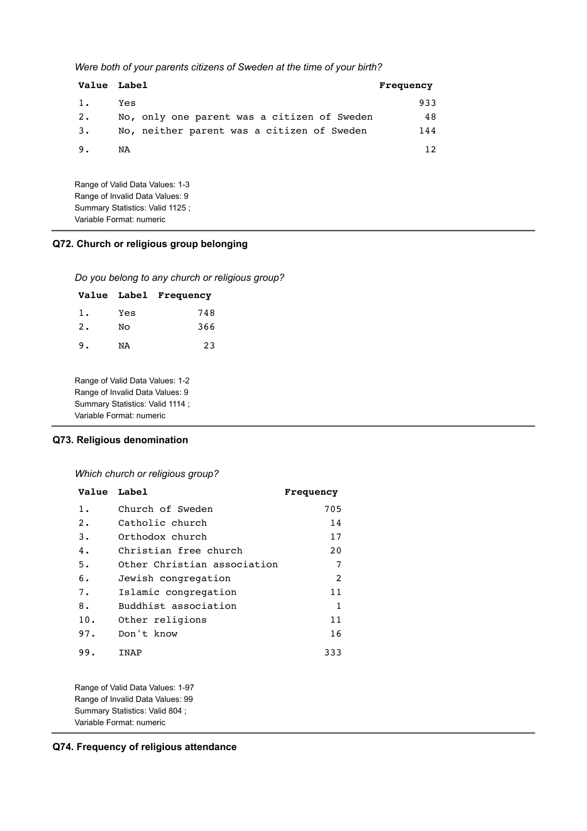*Were both of your parents citizens of Sweden at the time of your birth?*

| <b>Value Label</b> |                                             | Frequency       |
|--------------------|---------------------------------------------|-----------------|
| 1.                 | Yes                                         | 933             |
| 2.                 | No, only one parent was a citizen of Sweden | 48              |
| 3.                 | No, neither parent was a citizen of Sweden  | 144             |
| 9.                 | NA                                          | 12 <sub>1</sub> |

Range of Valid Data Values: 1-3 Range of Invalid Data Values: 9 Summary Statistics: Valid 1125 ; Variable Format: numeric

### **Q72. Church or religious group belonging**

*Do you belong to any church or religious group?*

|    |     | Value Label Frequency |
|----|-----|-----------------------|
| 1. | Yes | 748                   |
| 2. | No  | 366                   |
| 9. | NA  | 23                    |

Range of Valid Data Values: 1-2 Range of Invalid Data Values: 9 Summary Statistics: Valid 1114 ; Variable Format: numeric

### **Q73. Religious denomination**

### *Which church or religious group?*

| Value Label |                             | Frequency |
|-------------|-----------------------------|-----------|
| 1.          | Church of Sweden            | 705       |
| 2.          | Catholic church             | 14        |
| 3.          | Orthodox church             | 17        |
| 4.          | Christian free church       | 20        |
| 5.          | Other Christian association | 7         |
| 6.          | Jewish congregation         | 2         |
| 7.          | Islamic congregation        | 11        |
| 8.          | Buddhist association        | 1         |
| 10.         | Other religions             | 11        |
| 97.         | Don't know                  | 16        |
| 99.         | INAP                        | 333       |

Range of Valid Data Values: 1-97 Range of Invalid Data Values: 99 Summary Statistics: Valid 804 ; Variable Format: numeric

**Q74. Frequency of religious attendance**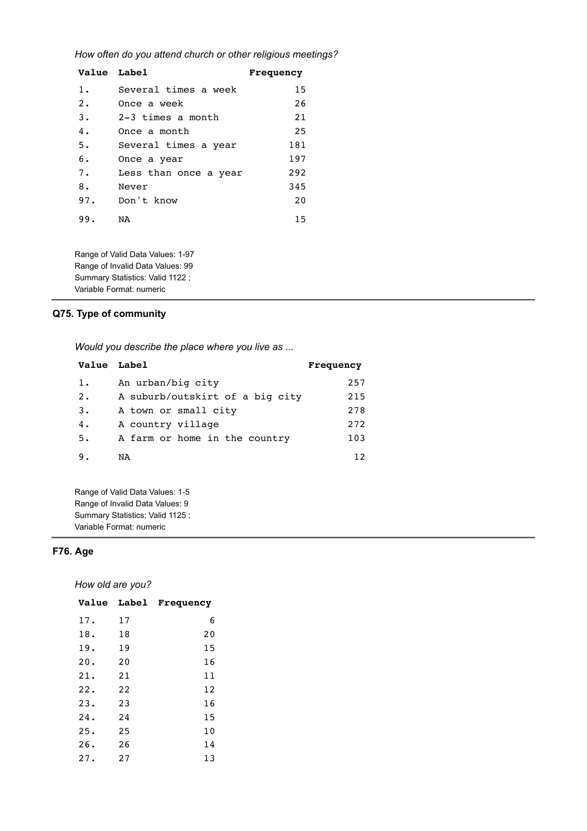*How often do you attend church or other religious meetings?*

| Value Label |                       | Frequency |
|-------------|-----------------------|-----------|
| $1$ .       | Several times a week  | 15        |
| 2.          | Once a week           | 26        |
| 3.          | $2-3$ times a month   | 21        |
| 4.          | Once a month          | 25        |
| 5.          | Several times a year  | 181       |
| 6.          | Once a year           | 197       |
| 7.          | Less than once a year | 292       |
| 8.          | Never                 | 345       |
| 97.         | Don't know            | 20        |
| 99.         | NA                    | 15        |

Range of Valid Data Values: 1-97 Range of Invalid Data Values: 99 Summary Statistics: Valid 1122 ; Variable Format: numeric

# **Q75. Type of community**

*Would you describe the place where you live as ...*

| Value Label |                                 | Frequency |
|-------------|---------------------------------|-----------|
| 1.          | An urban/big city               | 257       |
| 2.          | A suburb/outskirt of a big city | 215       |
| 3.          | A town or small city            | 278       |
| 4.          | A country village               | 272       |
| 5.          | A farm or home in the country   | 103       |
| 9.          | NA                              | 12        |

Range of Valid Data Values: 1-5 Range of Invalid Data Values: 9 Summary Statistics: Valid 1125 ; Variable Format: numeric

# **F76. Age**

*How old are you?*

| <b>Value</b> |    | Label Frequency |
|--------------|----|-----------------|
| 17.          | 17 | 6               |
| 18.          | 18 | 20              |
| 19.          | 19 | 15              |
| 20.          | 20 | 16              |
| 21.          | 21 | 11              |
| 22.          | 22 | 12              |
| 23.          | 23 | 16              |
| 24.          | 24 | 15              |
| 25.          | 25 | 10              |
| 26.          | 26 | 14              |
| 27.          | 27 | 13              |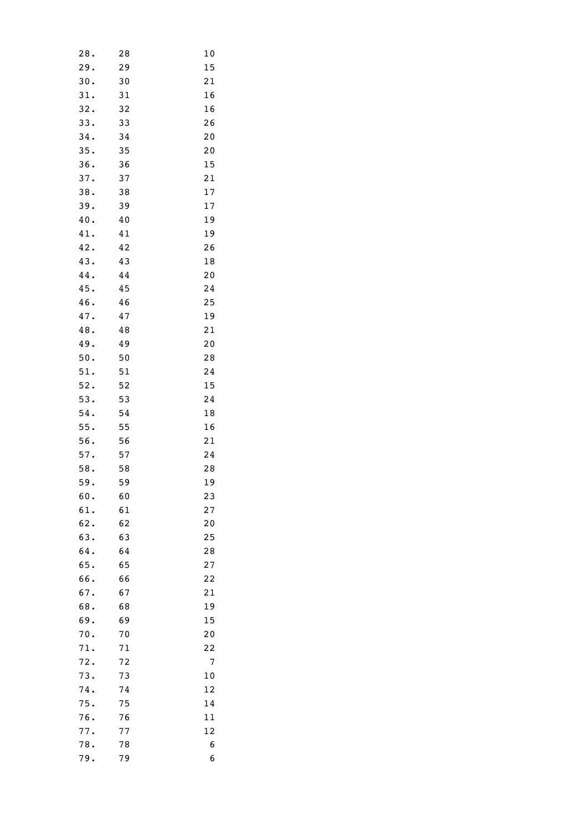| 28.        | 28       | 10              |
|------------|----------|-----------------|
| 29.        | 29       | 15              |
| 30.        | 30       | 21              |
| 31.        | 31       | 16              |
| 32.        | 32       | 16              |
| 33.        | 33       | 26              |
| 34.        | 34       | 20              |
| 35.        | 35       | 20              |
| 36.        | 36       | 15              |
| 37.        | 37       | 21              |
| 38.        | 38       | 17              |
| 39.        | 39       | 17              |
| 40.        | 40       | 19              |
| 41.        | 41       | 19              |
| 42.        | 42       | 26              |
| 43.        | 43       | 18              |
| 44.        | 44       | 20              |
| 45.        | 45       | 24              |
| 46.        | 46       | 25              |
| 47.        | 47       | 19              |
| 48.        | 48       | 21              |
| 49.        | 49       | 20              |
| 50.        | 50       | 28              |
| 51.        | 51       | 24              |
| 52.        | 52       | 15              |
| 53.        | 53       | 24              |
| 54.        | 54       | 18              |
| 55.        | 55       | 16              |
| 56.        | 56       | 21              |
| 57.        | 57       | 24              |
| 58.        | 58       | 28              |
| 59.        | 59       | 19              |
| 60.        | 60       | $\overline{23}$ |
| 61.        | 61       | 27              |
| 62.        | 62       | 20              |
| 63.        | 63       | 25              |
| 64.        | 64       | 28              |
| 65.        | 65       | 27              |
| 66.        | 66       | 22              |
| 67.        | 67       | 21              |
| 68.        | 68       | 19              |
| 69.        | 69       | 15              |
| 70.        | 70       | 20              |
| 71.        | 71       | 22              |
| 72.        | 72       | 7               |
| 73.        |          |                 |
| 74.        | 73<br>74 | 10<br>12        |
|            |          |                 |
| 75.        | 75       | 14              |
| 76.<br>77. | 76<br>77 | 11              |
| 78.        | 78       | 12<br>6         |
| 79.        | 79       | 6               |
|            |          |                 |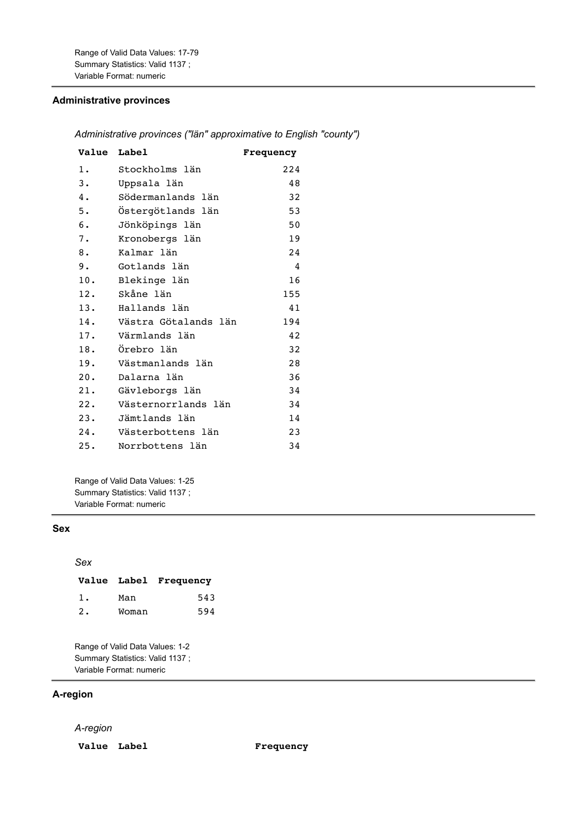Range of Valid Data Values: 17-79 Summary Statistics: Valid 1137 ; Variable Format: numeric

# **Administrative provinces**

### *Administrative provinces ("län" approximative to English "county")*

| Value Label |                      | Frequency |
|-------------|----------------------|-----------|
| 1.          | Stockholms län       | 224       |
| 3.          | Uppsala län          | 48        |
| 4.          | Södermanlands län    | 32        |
| 5.          | Östergötlands län    | 53        |
| 6.          | Jönköpings län       | 50        |
| 7.          | Kronobergs län       | 19        |
| 8.          | Kalmar län           | 24        |
| 9.          | Gotlands län         | 4         |
| 10.         | Blekinge län         | 16        |
| 12.         | Skåne län            | 155       |
| 13.         | Hallands län         | 41        |
| 14.         | Västra Götalands län | 194       |
| 17.         | Värmlands län        | 42        |
| 18.         | Örebro län           | 32        |
| 19.         | Västmanlands län     | 28        |
| 20.         | Dalarna län          | 36        |
| 21.         | Gävleborgs län       | 34        |
| 22.         | Västernorrlands län  | 34        |
| 23.         | Jämtlands län        | 14        |
| 24.         | Västerbottens län    | 23        |
| 25.         | Norrbottens län      | 34        |

Range of Valid Data Values: 1-25 Summary Statistics: Valid 1137 ; Variable Format: numeric

# **Sex**

#### *Sex*

|    |       | Value Label Frequency |
|----|-------|-----------------------|
| 1. | Man   | 543                   |
| 2. | Woman | 594                   |

Range of Valid Data Values: 1-2 Summary Statistics: Valid 1137 ; Variable Format: numeric

# **A-region**

### *A-region*

**Value Label Frequency**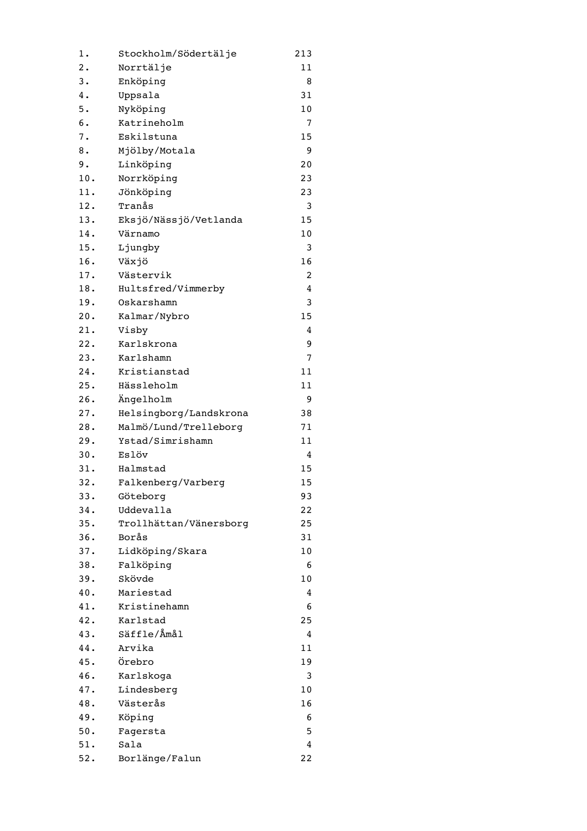| 1.  | Stockholm/Södertälje   | 213 |
|-----|------------------------|-----|
| 2.  | Norrtälje              | 11  |
| 3.  | Enköping               | 8   |
| 4.  | Uppsala                | 31  |
| 5.  | Nyköping               | 10  |
| 6.  | Katrineholm            | 7   |
| 7.  | Eskilstuna             | 15  |
| 8.  | Mjölby/Motala          | 9   |
| 9.  | Linköping              | 20  |
| 10. | Norrköping             | 23  |
| 11. | Jönköping              | 23  |
| 12. | Tranås                 | 3   |
| 13. | Eksjö/Nässjö/Vetlanda  | 15  |
| 14. | Värnamo                | 10  |
| 15. | Ljungby                | 3   |
| 16. | Växjö                  | 16  |
| 17. | Västervik              | 2   |
| 18. | Hultsfred/Vimmerby     | 4   |
| 19. | Oskarshamn             | 3   |
| 20. | Kalmar/Nybro           | 15  |
| 21. | Visby                  | 4   |
| 22. | Karlskrona             | 9   |
| 23. | Karlshamn              | 7   |
| 24. | Kristianstad           | 11  |
| 25. | Hässleholm             | 11  |
| 26. | Ängelholm              | 9   |
| 27. | Helsingborg/Landskrona | 38  |
| 28. | Malmö/Lund/Trelleborg  | 71  |
| 29. | Ystad/Simrishamn       | 11  |
| 30. | Eslöv                  | 4   |
| 31. | Halmstad               | 15  |
| 32. | Falkenberg/Varberg     | 15  |
| 33. | Göteborg               | 93  |
| 34. | Uddevalla              | 22  |
| 35. | Trollhättan/Vänersborg | 25  |
| 36. | Borås                  | 31  |
| 37. |                        | 10  |
| 38. | Lidköping/Skara        | 6   |
| 39. | Falköping<br>Skövde    | 10  |
| 40. | Mariestad              |     |
| 41. | Kristinehamn           | 4   |
| 42. | Karlstad               | 6   |
|     | Säffle/Åmål            | 25  |
| 43. |                        | 4   |
| 44. | Arvika                 | 11  |
| 45. | Örebro                 | 19  |
| 46. | Karlskoga              | 3   |
| 47. | Lindesberg             | 10  |
| 48. | Västerås               | 16  |
| 49. | Köping                 | 6   |
| 50. | Fagersta               | 5   |
| 51. | Sala                   | 4   |
| 52. | Borlänge/Falun         | 22  |